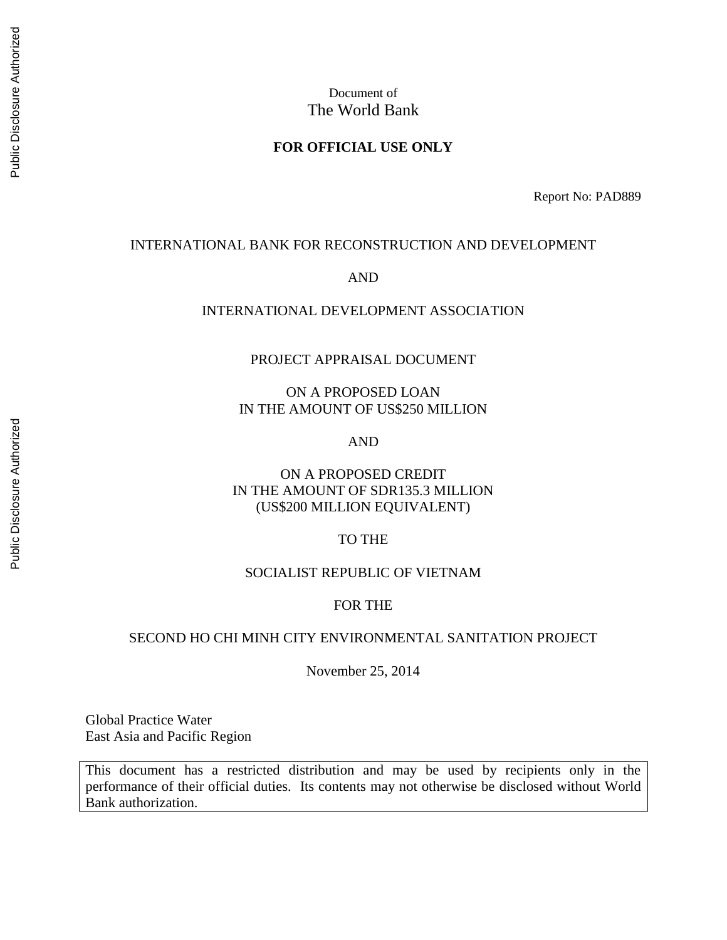## Document of The World Bank

#### **FOR OFFICIAL USE ONLY**

Report No: PAD889

#### INTERNATIONAL BANK FOR RECONSTRUCTION AND DEVELOPMENT

AND

#### INTERNATIONAL DEVELOPMENT ASSOCIATION

#### PROJECT APPRAISAL DOCUMENT

ON A PROPOSED LOAN IN THE AMOUNT OF US\$250 MILLION

AND

ON A PROPOSED CREDIT IN THE AMOUNT OF SDR135.3 MILLION (US\$200 MILLION EQUIVALENT)

#### TO THE

#### SOCIALIST REPUBLIC OF VIETNAM

#### FOR THE

#### SECOND HO CHI MINH CITY ENVIRONMENTAL SANITATION PROJECT

November 25, 2014

Global Practice Water East Asia and Pacific Region

This document has a restricted distribution and may be used by recipients only in the performance of their official duties. Its contents may not otherwise be disclosed without World Bank authorization.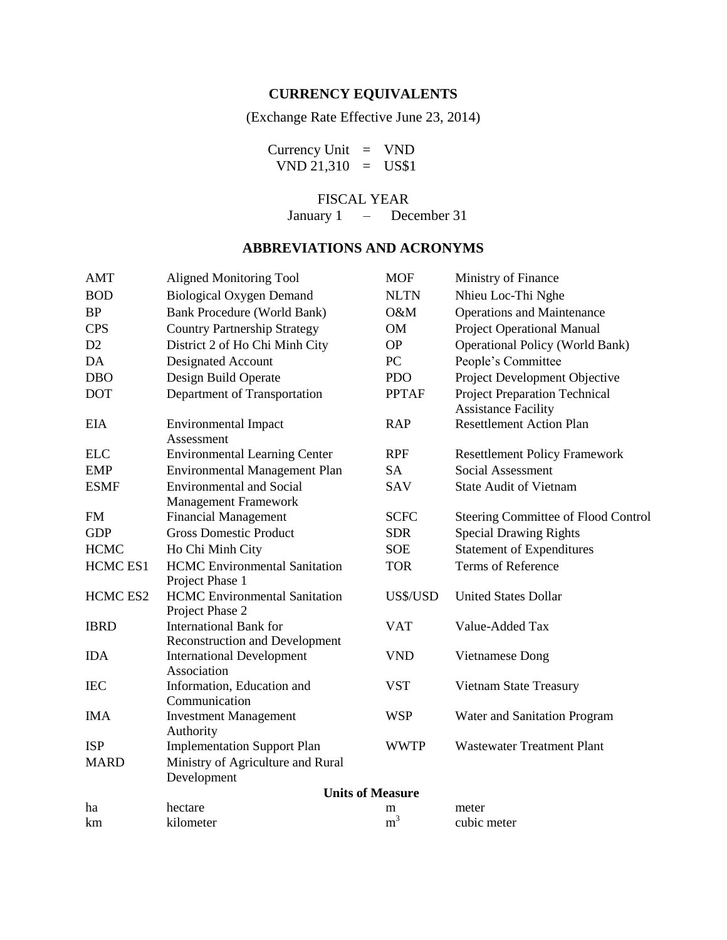# **CURRENCY EQUIVALENTS**

(Exchange Rate Effective June 23, 2014)

Currency Unit = VND  $VND 21,310 = US$1$ 

FISCAL YEAR

January 1 – December 31

## **ABBREVIATIONS AND ACRONYMS**

| <b>AMT</b>      | <b>Aligned Monitoring Tool</b>                                         | <b>MOF</b>              | Ministry of Finance                                                |
|-----------------|------------------------------------------------------------------------|-------------------------|--------------------------------------------------------------------|
| <b>BOD</b>      | <b>Biological Oxygen Demand</b>                                        | <b>NLTN</b>             | Nhieu Loc-Thi Nghe                                                 |
| <b>BP</b>       | <b>Bank Procedure (World Bank)</b>                                     | O&M                     | <b>Operations and Maintenance</b>                                  |
| <b>CPS</b>      | <b>Country Partnership Strategy</b>                                    | OM                      | <b>Project Operational Manual</b>                                  |
| D <sub>2</sub>  | District 2 of Ho Chi Minh City                                         | <b>OP</b>               | <b>Operational Policy (World Bank)</b>                             |
| DA              | Designated Account                                                     | PC                      | People's Committee                                                 |
| <b>DBO</b>      | Design Build Operate                                                   | <b>PDO</b>              | Project Development Objective                                      |
| <b>DOT</b>      | Department of Transportation                                           | <b>PPTAF</b>            | <b>Project Preparation Technical</b><br><b>Assistance Facility</b> |
| <b>EIA</b>      | <b>Environmental Impact</b><br>Assessment                              | <b>RAP</b>              | <b>Resettlement Action Plan</b>                                    |
| <b>ELC</b>      | <b>Environmental Learning Center</b>                                   | <b>RPF</b>              | <b>Resettlement Policy Framework</b>                               |
| <b>EMP</b>      | <b>Environmental Management Plan</b>                                   | <b>SA</b>               | Social Assessment                                                  |
| <b>ESMF</b>     | <b>Environmental and Social</b><br><b>Management Framework</b>         | <b>SAV</b>              | <b>State Audit of Vietnam</b>                                      |
| <b>FM</b>       | <b>Financial Management</b>                                            | <b>SCFC</b>             | Steering Committee of Flood Control                                |
| <b>GDP</b>      | <b>Gross Domestic Product</b>                                          | <b>SDR</b>              | <b>Special Drawing Rights</b>                                      |
| <b>HCMC</b>     | Ho Chi Minh City                                                       | <b>SOE</b>              | <b>Statement of Expenditures</b>                                   |
| <b>HCMC ES1</b> | <b>HCMC</b> Environmental Sanitation<br>Project Phase 1                | <b>TOR</b>              | Terms of Reference                                                 |
| <b>HCMC ES2</b> | <b>HCMC</b> Environmental Sanitation<br>Project Phase 2                | US\$/USD                | <b>United States Dollar</b>                                        |
| <b>IBRD</b>     | <b>International Bank for</b><br><b>Reconstruction and Development</b> | <b>VAT</b>              | Value-Added Tax                                                    |
| <b>IDA</b>      | <b>International Development</b><br>Association                        | <b>VND</b>              | Vietnamese Dong                                                    |
| <b>IEC</b>      | Information, Education and<br>Communication                            | <b>VST</b>              | Vietnam State Treasury                                             |
| <b>IMA</b>      | <b>Investment Management</b><br>Authority                              | <b>WSP</b>              | Water and Sanitation Program                                       |
| <b>ISP</b>      | <b>Implementation Support Plan</b>                                     | <b>WWTP</b>             | <b>Wastewater Treatment Plant</b>                                  |
| <b>MARD</b>     | Ministry of Agriculture and Rural<br>Development                       |                         |                                                                    |
|                 |                                                                        | <b>Units of Measure</b> |                                                                    |
| ha              | hectare                                                                | m                       | meter                                                              |
| km              | kilometer                                                              | m <sup>3</sup>          | cubic meter                                                        |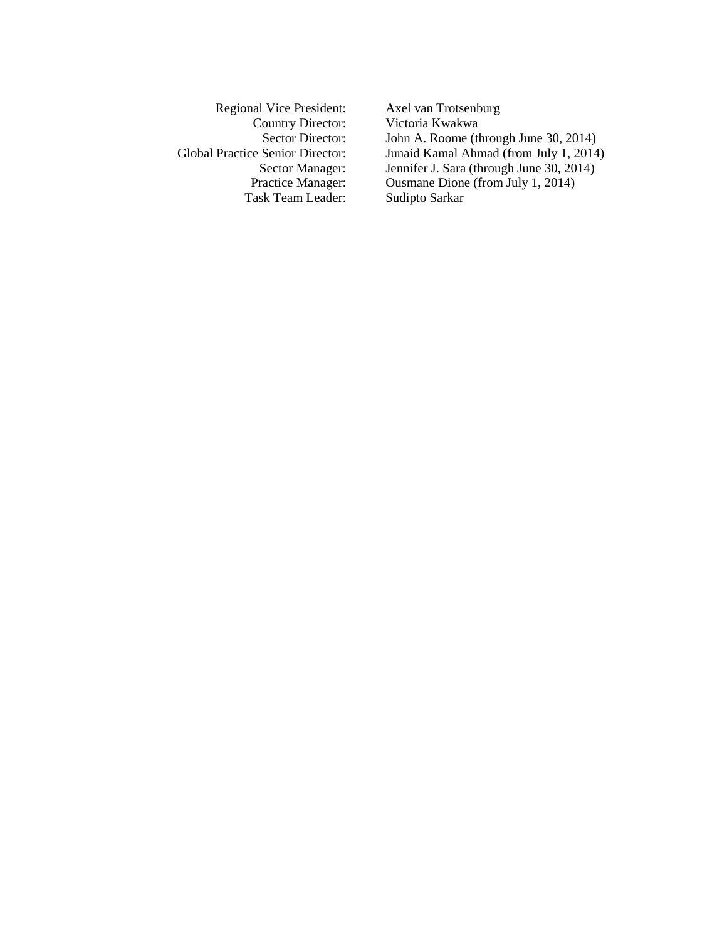Regional Vice President: Axel van Trotsenburg Task Team Leader:

Country Director: Victoria Kwakwa<br>Sector Director: John A. Roome (the Victoria Country) John A. Roome (through June 30, 2014) Global Practice Senior Director: Junaid Kamal Ahmad (from July 1, 2014) Sector Manager: Jennifer J. Sara (through June 30, 2014)<br>Practice Manager: Ousmane Dione (from July 1, 2014) Ousmane Dione (from July 1, 2014)<br>Sudipto Sarkar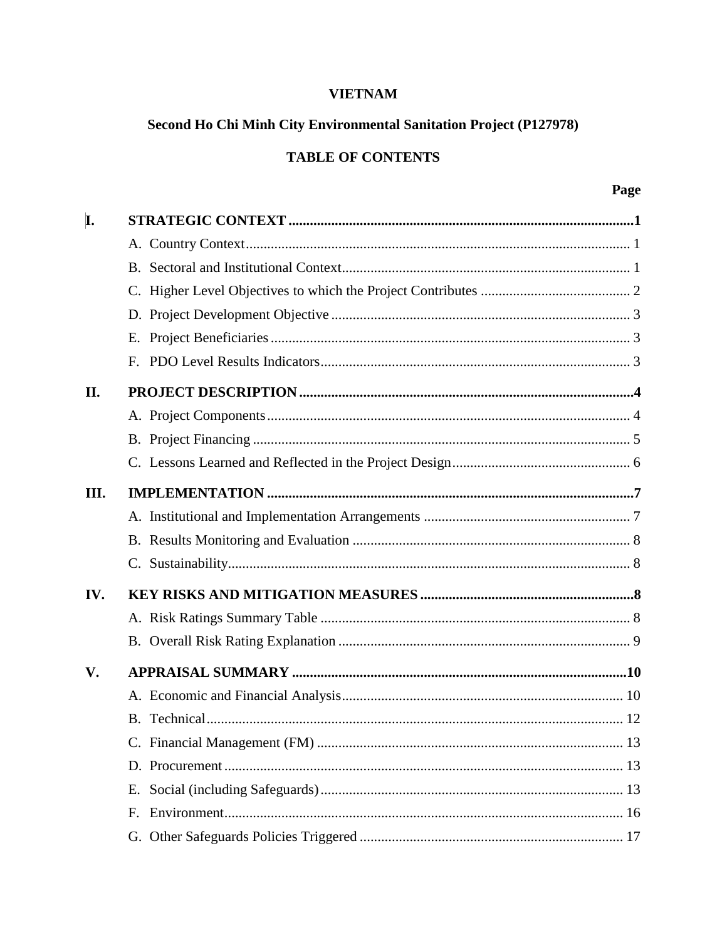# **VIETNAM**

# Second Ho Chi Minh City Environmental Sanitation Project (P127978)

# **TABLE OF CONTENTS**

| I.   |    |  |
|------|----|--|
|      |    |  |
|      |    |  |
|      |    |  |
|      |    |  |
|      |    |  |
|      |    |  |
| II.  |    |  |
|      |    |  |
|      |    |  |
|      |    |  |
| III. |    |  |
|      |    |  |
|      |    |  |
|      |    |  |
| IV.  |    |  |
|      |    |  |
|      |    |  |
| V.   |    |  |
|      |    |  |
|      |    |  |
|      |    |  |
|      |    |  |
|      | Е. |  |
|      | F. |  |
|      |    |  |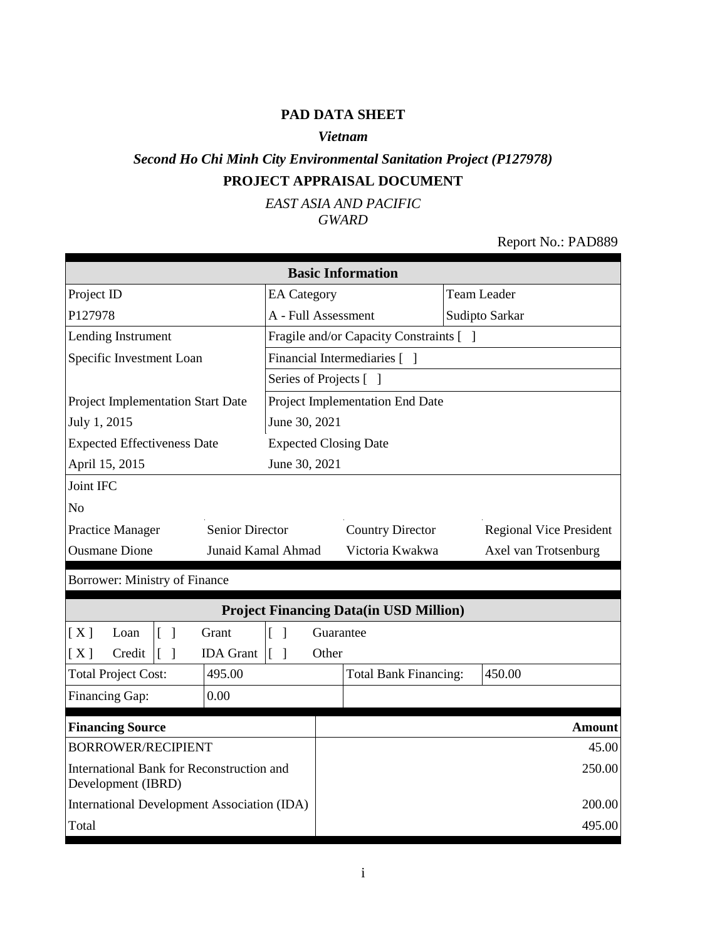## **PAD DATA SHEET**

#### *Vietnam*

# *Second Ho Chi Minh City Environmental Sanitation Project (P127978)* **PROJECT APPRAISAL DOCUMENT**

*EAST ASIA AND PACIFIC GWARD*

## Report No.: PAD889

| <b>Basic Information</b>                                        |                                      |                                       |                                               |                                |  |  |  |
|-----------------------------------------------------------------|--------------------------------------|---------------------------------------|-----------------------------------------------|--------------------------------|--|--|--|
| Project ID                                                      | <b>EA</b> Category                   |                                       |                                               | <b>Team Leader</b>             |  |  |  |
| P127978                                                         |                                      | A - Full Assessment<br>Sudipto Sarkar |                                               |                                |  |  |  |
| Lending Instrument                                              |                                      |                                       | Fragile and/or Capacity Constraints [ ]       |                                |  |  |  |
| Specific Investment Loan                                        |                                      |                                       | Financial Intermediaries [ ]                  |                                |  |  |  |
|                                                                 | Series of Projects [ ]               |                                       |                                               |                                |  |  |  |
| Project Implementation Start Date                               |                                      |                                       | Project Implementation End Date               |                                |  |  |  |
| July 1, 2015                                                    | June 30, 2021                        |                                       |                                               |                                |  |  |  |
| <b>Expected Effectiveness Date</b>                              | <b>Expected Closing Date</b>         |                                       |                                               |                                |  |  |  |
| April 15, 2015                                                  | June 30, 2021                        |                                       |                                               |                                |  |  |  |
| Joint IFC                                                       |                                      |                                       |                                               |                                |  |  |  |
| N <sub>o</sub>                                                  |                                      |                                       |                                               |                                |  |  |  |
| <b>Senior Director</b><br><b>Practice Manager</b>               |                                      |                                       | <b>Country Director</b>                       | <b>Regional Vice President</b> |  |  |  |
| <b>Ousmane Dione</b><br>Junaid Kamal Ahmad                      |                                      |                                       | Victoria Kwakwa<br>Axel van Trotsenburg       |                                |  |  |  |
| Borrower: Ministry of Finance                                   |                                      |                                       |                                               |                                |  |  |  |
|                                                                 |                                      |                                       | <b>Project Financing Data(in USD Million)</b> |                                |  |  |  |
| $\lceil \; \rceil$<br>Grant<br>[X]<br>Loan                      | $\Gamma$<br>$\overline{\phantom{a}}$ | Guarantee                             |                                               |                                |  |  |  |
| Credit<br><b>IDA</b> Grant<br>[X]<br>$\lceil \; \rceil$         | $\begin{bmatrix} 1 \end{bmatrix}$    | Other                                 |                                               |                                |  |  |  |
| <b>Total Project Cost:</b><br>495.00                            |                                      |                                       | <b>Total Bank Financing:</b>                  | 450.00                         |  |  |  |
| Financing Gap:<br>0.00                                          |                                      |                                       |                                               |                                |  |  |  |
| <b>Financing Source</b>                                         |                                      |                                       |                                               | <b>Amount</b>                  |  |  |  |
| <b>BORROWER/RECIPIENT</b>                                       |                                      |                                       |                                               | 45.00                          |  |  |  |
| International Bank for Reconstruction and<br>Development (IBRD) |                                      |                                       |                                               | 250.00                         |  |  |  |
| <b>International Development Association (IDA)</b>              |                                      |                                       |                                               | 200.00                         |  |  |  |
| Total                                                           |                                      |                                       |                                               | 495.00                         |  |  |  |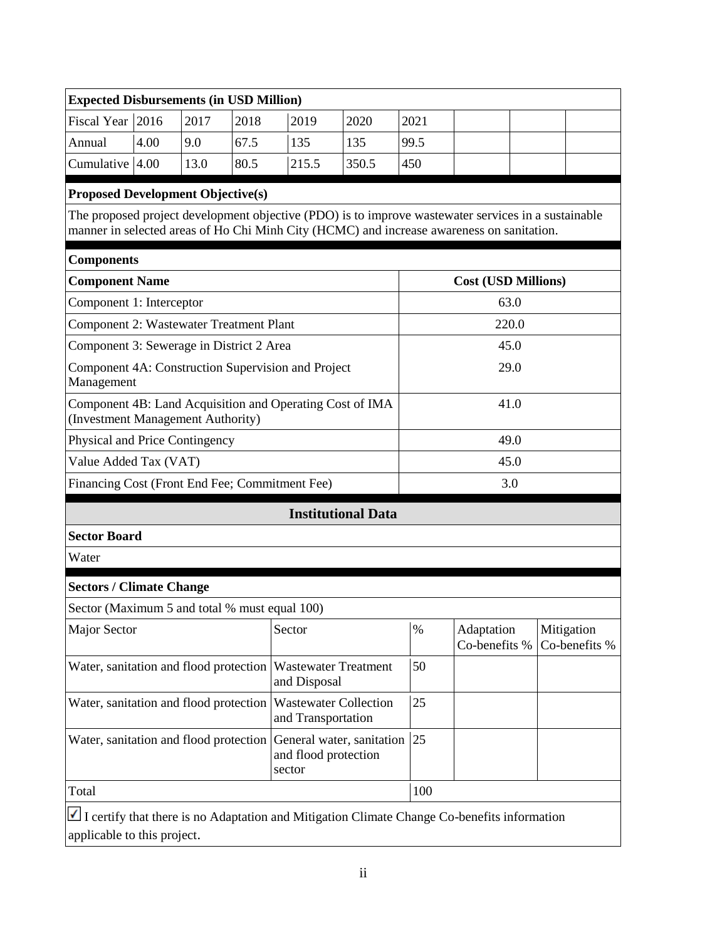### **Expected Disbursements (in USD Million)**

| Fiscal Year $ 2016 $ |      | 2017 | 2018 | 2019  | 2020  | 2021 |  |  |
|----------------------|------|------|------|-------|-------|------|--|--|
| Annual               | 4.00 | 9.0  | 67.5 | 135   |       | 99.5 |  |  |
| Cumulative $ 4.00 $  |      | 13.0 | 80.5 | 215.5 | 350.5 | 450  |  |  |

#### **Proposed Development Objective(s)**

The proposed project development objective (PDO) is to improve wastewater services in a sustainable manner in selected areas of Ho Chi Minh City (HCMC) and increase awareness on sanitation.

| <b>Components</b>                                                                             |                            |  |  |  |  |
|-----------------------------------------------------------------------------------------------|----------------------------|--|--|--|--|
| <b>Component Name</b>                                                                         | <b>Cost (USD Millions)</b> |  |  |  |  |
| Component 1: Interceptor                                                                      | 63.0                       |  |  |  |  |
| <b>Component 2: Wastewater Treatment Plant</b>                                                | 220.0                      |  |  |  |  |
| Component 3: Sewerage in District 2 Area                                                      | 45.0                       |  |  |  |  |
| Component 4A: Construction Supervision and Project<br>Management                              | 29.0                       |  |  |  |  |
| Component 4B: Land Acquisition and Operating Cost of IMA<br>(Investment Management Authority) | 41.0                       |  |  |  |  |
| Physical and Price Contingency                                                                | 49.0                       |  |  |  |  |
| Value Added Tax (VAT)                                                                         | 45.0                       |  |  |  |  |
| Financing Cost (Front End Fee; Commitment Fee)                                                | 3.0                        |  |  |  |  |

#### **Institutional Data**

**Sector Board**

Water

#### **Sectors / Climate Change**

Sector (Maximum 5 and total % must equal 100)

| Major Sector                                                        | Sector                         | %   | Adaptation<br>Co-benefits $\%$   Co-benefits $\%$ | Mitigation |
|---------------------------------------------------------------------|--------------------------------|-----|---------------------------------------------------|------------|
| Water, sanitation and flood protection Wastewater Treatment         | and Disposal                   | 50  |                                                   |            |
| Water, sanitation and flood protection Wastewater Collection        | and Transportation             | 25  |                                                   |            |
| Water, sanitation and flood protection General water, sanitation 25 | and flood protection<br>sector |     |                                                   |            |
| Total                                                               |                                | 100 |                                                   |            |
|                                                                     |                                |     |                                                   |            |

I certify that there is no Adaptation and Mitigation Climate Change Co-benefits information applicable to this project.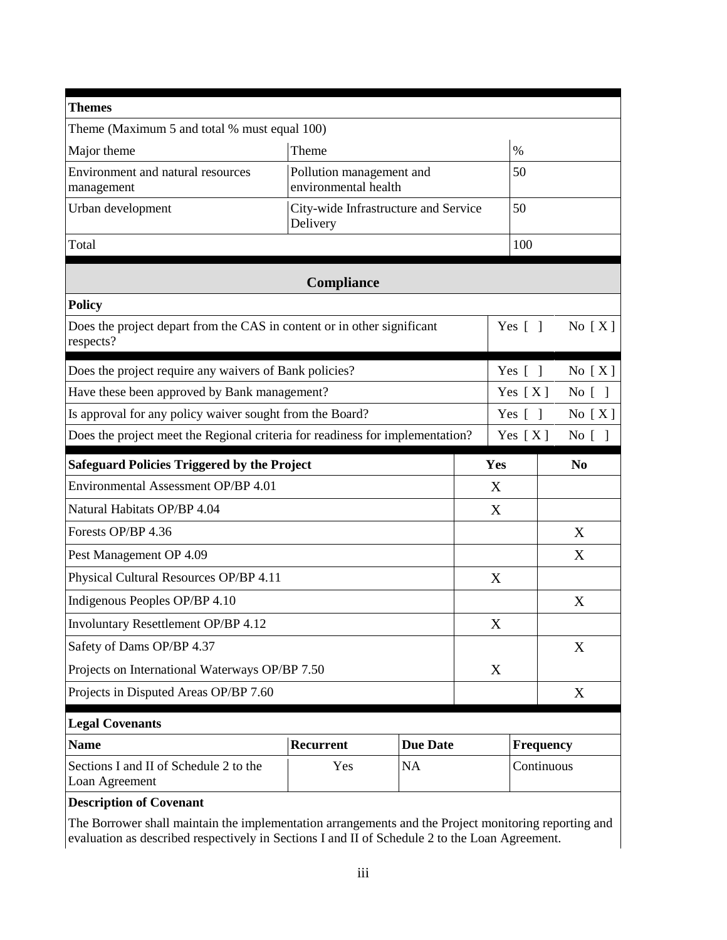| <b>Themes</b>                                                                        |                                                  |                                      |          |                        |                |  |  |
|--------------------------------------------------------------------------------------|--------------------------------------------------|--------------------------------------|----------|------------------------|----------------|--|--|
| Theme (Maximum 5 and total % must equal 100)                                         |                                                  |                                      |          |                        |                |  |  |
| Major theme                                                                          | Theme                                            |                                      |          |                        |                |  |  |
| Environment and natural resources<br>management                                      | Pollution management and<br>environmental health |                                      |          | 50                     |                |  |  |
| Urban development                                                                    | Delivery                                         | City-wide Infrastructure and Service |          | 50                     |                |  |  |
| Total                                                                                |                                                  | 100                                  |          |                        |                |  |  |
|                                                                                      | Compliance                                       |                                      |          |                        |                |  |  |
| <b>Policy</b>                                                                        |                                                  |                                      |          |                        |                |  |  |
| Does the project depart from the CAS in content or in other significant<br>respects? |                                                  |                                      |          | Yes $[$ $]$            | No $[X]$       |  |  |
| Does the project require any waivers of Bank policies?                               |                                                  |                                      |          | Yes $\lceil \; \rceil$ | No $[X]$       |  |  |
| Have these been approved by Bank management?                                         |                                                  |                                      |          | Yes $[X]$              | No [ ]         |  |  |
| Is approval for any policy waiver sought from the Board?                             |                                                  | Yes $\lceil \; \rceil$               | No $[X]$ |                        |                |  |  |
| Does the project meet the Regional criteria for readiness for implementation?        |                                                  |                                      |          | Yes $[X]$              | No [ ]         |  |  |
| <b>Safeguard Policies Triggered by the Project</b>                                   |                                                  |                                      | Yes      |                        | N <sub>0</sub> |  |  |
| Environmental Assessment OP/BP 4.01                                                  |                                                  |                                      | X        |                        |                |  |  |
| Natural Habitats OP/BP 4.04                                                          |                                                  |                                      | X        |                        |                |  |  |
| Forests OP/BP 4.36                                                                   |                                                  |                                      |          |                        | X              |  |  |
| Pest Management OP 4.09                                                              |                                                  |                                      |          |                        | X              |  |  |
| Physical Cultural Resources OP/BP 4.11                                               |                                                  |                                      |          |                        |                |  |  |
|                                                                                      |                                                  |                                      | X        |                        |                |  |  |
| Indigenous Peoples OP/BP 4.10                                                        |                                                  |                                      |          |                        | X              |  |  |
| Involuntary Resettlement OP/BP 4.12                                                  |                                                  |                                      | Χ        |                        |                |  |  |
| Safety of Dams OP/BP 4.37                                                            |                                                  |                                      |          |                        | X              |  |  |
| Projects on International Waterways OP/BP 7.50                                       |                                                  |                                      | X        |                        |                |  |  |
| Projects in Disputed Areas OP/BP 7.60                                                |                                                  |                                      |          |                        | X              |  |  |
| <b>Legal Covenants</b>                                                               |                                                  |                                      |          |                        |                |  |  |
| <b>Name</b>                                                                          | Recurrent                                        | <b>Due Date</b>                      |          | Frequency              |                |  |  |

## **Description of Covenant**

The Borrower shall maintain the implementation arrangements and the Project monitoring reporting and evaluation as described respectively in Sections I and II of Schedule 2 to the Loan Agreement.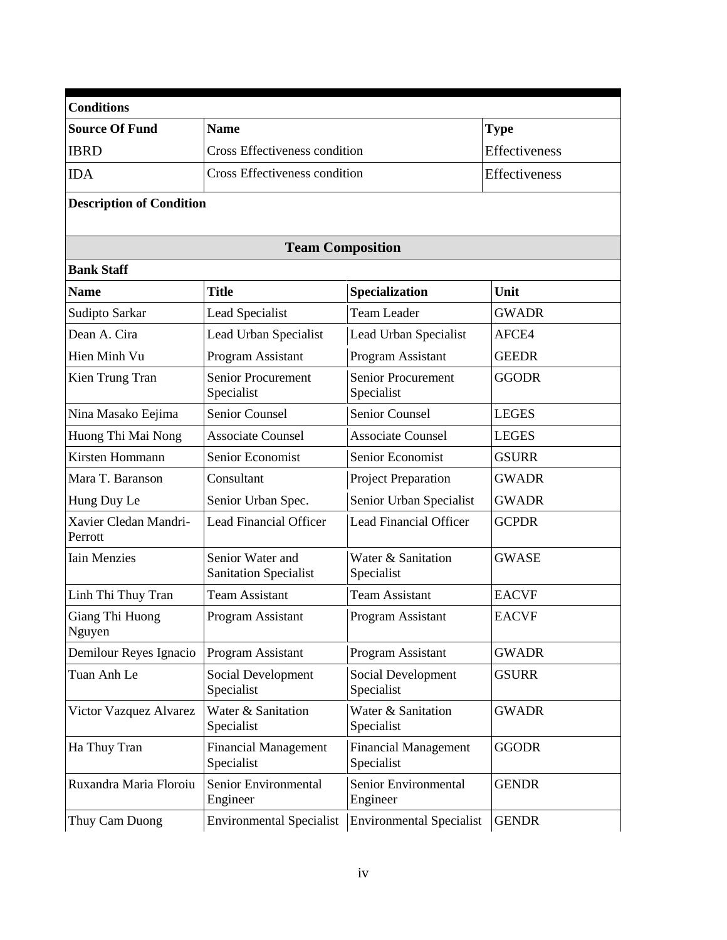| <b>Conditions</b>                |                                                  |                                           |               |  |  |  |  |  |
|----------------------------------|--------------------------------------------------|-------------------------------------------|---------------|--|--|--|--|--|
| <b>Source Of Fund</b>            | <b>Name</b>                                      |                                           | <b>Type</b>   |  |  |  |  |  |
| <b>IBRD</b>                      | Cross Effectiveness condition                    |                                           | Effectiveness |  |  |  |  |  |
| <b>IDA</b>                       | Cross Effectiveness condition                    |                                           | Effectiveness |  |  |  |  |  |
| <b>Description of Condition</b>  |                                                  |                                           |               |  |  |  |  |  |
| <b>Team Composition</b>          |                                                  |                                           |               |  |  |  |  |  |
| <b>Bank Staff</b>                |                                                  |                                           |               |  |  |  |  |  |
| <b>Name</b>                      | <b>Title</b>                                     | Specialization                            | Unit          |  |  |  |  |  |
| Sudipto Sarkar                   | Lead Specialist                                  | <b>Team Leader</b>                        | <b>GWADR</b>  |  |  |  |  |  |
| Dean A. Cira                     | Lead Urban Specialist                            | Lead Urban Specialist                     | AFCE4         |  |  |  |  |  |
| Hien Minh Vu                     | Program Assistant                                | <b>Program Assistant</b>                  | <b>GEEDR</b>  |  |  |  |  |  |
| Kien Trung Tran                  | <b>Senior Procurement</b><br>Specialist          | <b>Senior Procurement</b><br>Specialist   | <b>GGODR</b>  |  |  |  |  |  |
| Nina Masako Eejima               | <b>Senior Counsel</b>                            | <b>Senior Counsel</b>                     | <b>LEGES</b>  |  |  |  |  |  |
| Huong Thi Mai Nong               | <b>Associate Counsel</b>                         | <b>Associate Counsel</b>                  | <b>LEGES</b>  |  |  |  |  |  |
| Kirsten Hommann                  | Senior Economist                                 | Senior Economist                          | <b>GSURR</b>  |  |  |  |  |  |
| Mara T. Baranson                 | Consultant                                       | Project Preparation                       | <b>GWADR</b>  |  |  |  |  |  |
| Hung Duy Le                      | Senior Urban Spec.                               | Senior Urban Specialist                   | <b>GWADR</b>  |  |  |  |  |  |
| Xavier Cledan Mandri-<br>Perrott | <b>Lead Financial Officer</b>                    | <b>Lead Financial Officer</b>             | <b>GCPDR</b>  |  |  |  |  |  |
| <b>Iain Menzies</b>              | Senior Water and<br><b>Sanitation Specialist</b> | Water & Sanitation<br>Specialist          | <b>GWASE</b>  |  |  |  |  |  |
| Linh Thi Thuy Tran               | <b>Team Assistant</b>                            | Team Assistant                            | <b>EACVF</b>  |  |  |  |  |  |
| Giang Thi Huong<br>Nguyen        | Program Assistant                                | Program Assistant                         | <b>EACVF</b>  |  |  |  |  |  |
| Demilour Reyes Ignacio           | Program Assistant                                | Program Assistant                         | <b>GWADR</b>  |  |  |  |  |  |
| Tuan Anh Le                      | Social Development<br>Specialist                 | Social Development<br>Specialist          | <b>GSURR</b>  |  |  |  |  |  |
| Victor Vazquez Alvarez           | Water & Sanitation<br>Specialist                 | Water & Sanitation<br>Specialist          | <b>GWADR</b>  |  |  |  |  |  |
| Ha Thuy Tran                     | <b>Financial Management</b><br>Specialist        | <b>Financial Management</b><br>Specialist | <b>GGODR</b>  |  |  |  |  |  |
| Ruxandra Maria Floroiu           | Senior Environmental<br>Engineer                 | Senior Environmental<br>Engineer          | <b>GENDR</b>  |  |  |  |  |  |
| Thuy Cam Duong                   | <b>Environmental Specialist</b>                  | <b>Environmental Specialist</b>           | <b>GENDR</b>  |  |  |  |  |  |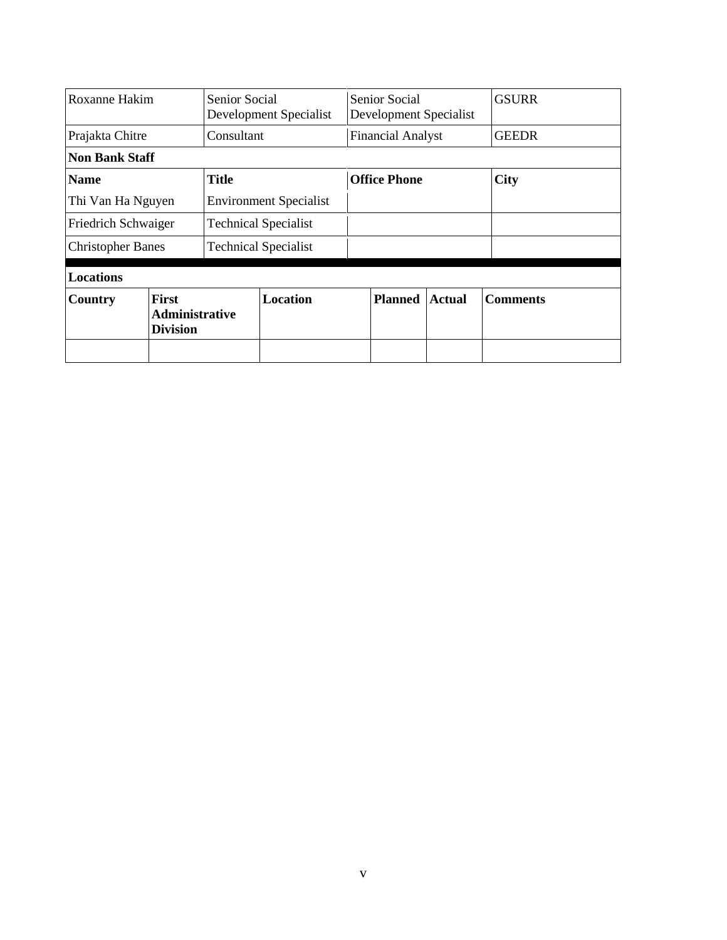| Roxanne Hakim            |                                                          | <b>Senior Social</b><br>Development Specialist |                 | Senior Social<br>Development Specialist |                          |               | <b>GSURR</b>    |
|--------------------------|----------------------------------------------------------|------------------------------------------------|-----------------|-----------------------------------------|--------------------------|---------------|-----------------|
| Prajakta Chitre          |                                                          | Consultant                                     |                 |                                         | <b>Financial Analyst</b> |               | <b>GEEDR</b>    |
| <b>Non Bank Staff</b>    |                                                          |                                                |                 |                                         |                          |               |                 |
| <b>Name</b>              |                                                          | <b>Title</b>                                   |                 | <b>Office Phone</b>                     |                          |               | <b>City</b>     |
| Thi Van Ha Nguyen        |                                                          | <b>Environment Specialist</b>                  |                 |                                         |                          |               |                 |
| Friedrich Schwaiger      |                                                          | <b>Technical Specialist</b>                    |                 |                                         |                          |               |                 |
| <b>Christopher Banes</b> |                                                          | <b>Technical Specialist</b>                    |                 |                                         |                          |               |                 |
| <b>Locations</b>         |                                                          |                                                |                 |                                         |                          |               |                 |
| Country                  | <b>First</b><br><b>Administrative</b><br><b>Division</b> |                                                | <b>Location</b> |                                         | <b>Planned</b>           | <b>Actual</b> | <b>Comments</b> |
|                          |                                                          |                                                |                 |                                         |                          |               |                 |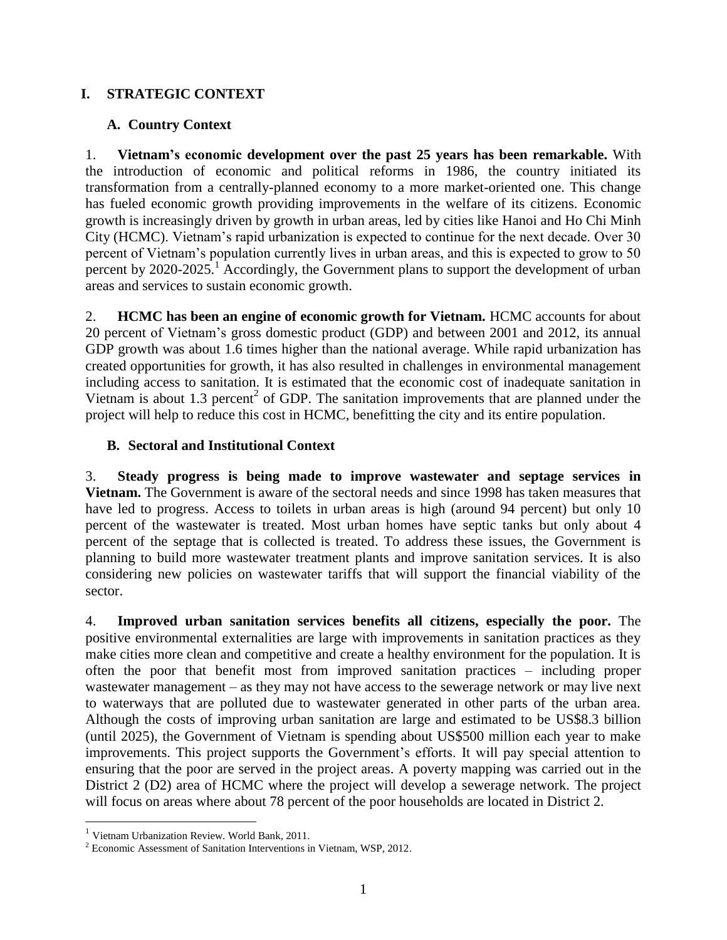## **I. STRATEGIC CONTEXT**

## **A. Country Context**

1. **Vietnam's economic development over the past 25 years has been remarkable.** With the introduction of economic and political reforms in 1986, the country initiated its transformation from a centrally-planned economy to a more market-oriented one. This change has fueled economic growth providing improvements in the welfare of its citizens. Economic growth is increasingly driven by growth in urban areas, led by cities like Hanoi and Ho Chi Minh City (HCMC). Vietnam's rapid urbanization is expected to continue for the next decade. Over 30 percent of Vietnam's population currently lives in urban areas, and this is expected to grow to 50 percent by  $2020-2025$ .<sup>1</sup> Accordingly, the Government plans to support the development of urban areas and services to sustain economic growth.

2. **HCMC has been an engine of economic growth for Vietnam.** HCMC accounts for about 20 percent of Vietnam's gross domestic product (GDP) and between 2001 and 2012, its annual GDP growth was about 1.6 times higher than the national average. While rapid urbanization has created opportunities for growth, it has also resulted in challenges in environmental management including access to sanitation. It is estimated that the economic cost of inadequate sanitation in Vietnam is about 1.3 percent<sup>2</sup> of GDP. The sanitation improvements that are planned under the project will help to reduce this cost in HCMC, benefitting the city and its entire population.

## **B. Sectoral and Institutional Context**

3. **Steady progress is being made to improve wastewater and septage services in Vietnam.** The Government is aware of the sectoral needs and since 1998 has taken measures that have led to progress. Access to toilets in urban areas is high (around 94 percent) but only 10 percent of the wastewater is treated. Most urban homes have septic tanks but only about 4 percent of the septage that is collected is treated. To address these issues, the Government is planning to build more wastewater treatment plants and improve sanitation services. It is also considering new policies on wastewater tariffs that will support the financial viability of the sector.

4. **Improved urban sanitation services benefits all citizens, especially the poor.** The positive environmental externalities are large with improvements in sanitation practices as they make cities more clean and competitive and create a healthy environment for the population. It is often the poor that benefit most from improved sanitation practices – including proper wastewater management – as they may not have access to the sewerage network or may live next to waterways that are polluted due to wastewater generated in other parts of the urban area. Although the costs of improving urban sanitation are large and estimated to be US\$8.3 billion (until 2025), the Government of Vietnam is spending about US\$500 million each year to make improvements. This project supports the Government's efforts. It will pay special attention to ensuring that the poor are served in the project areas. A poverty mapping was carried out in the District 2 (D2) area of HCMC where the project will develop a sewerage network. The project will focus on areas where about 78 percent of the poor households are located in District 2.

 $\overline{a}$ 

<sup>&</sup>lt;sup>1</sup> Vietnam Urbanization Review. World Bank, 2011.

<sup>2</sup> Economic Assessment of Sanitation Interventions in Vietnam, WSP, 2012.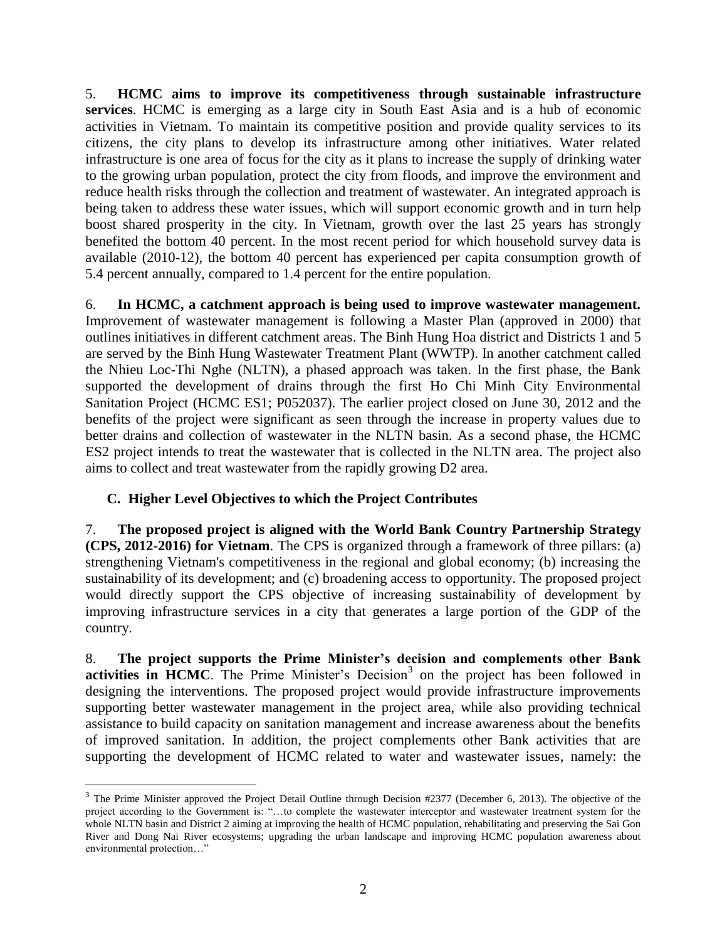5. **HCMC aims to improve its competitiveness through sustainable infrastructure services**. HCMC is emerging as a large city in South East Asia and is a hub of economic activities in Vietnam. To maintain its competitive position and provide quality services to its citizens, the city plans to develop its infrastructure among other initiatives. Water related infrastructure is one area of focus for the city as it plans to increase the supply of drinking water to the growing urban population, protect the city from floods, and improve the environment and reduce health risks through the collection and treatment of wastewater. An integrated approach is being taken to address these water issues, which will support economic growth and in turn help boost shared prosperity in the city. In Vietnam, growth over the last 25 years has strongly benefited the bottom 40 percent. In the most recent period for which household survey data is available (2010-12), the bottom 40 percent has experienced per capita consumption growth of 5.4 percent annually, compared to 1.4 percent for the entire population.

6. **In HCMC, a catchment approach is being used to improve wastewater management.**  Improvement of wastewater management is following a Master Plan (approved in 2000) that outlines initiatives in different catchment areas. The Binh Hung Hoa district and Districts 1 and 5 are served by the Binh Hung Wastewater Treatment Plant (WWTP). In another catchment called the Nhieu Loc-Thi Nghe (NLTN), a phased approach was taken. In the first phase, the Bank supported the development of drains through the first Ho Chi Minh City Environmental Sanitation Project (HCMC ES1; P052037). The earlier project closed on June 30, 2012 and the benefits of the project were significant as seen through the increase in property values due to better drains and collection of wastewater in the NLTN basin. As a second phase, the HCMC ES2 project intends to treat the wastewater that is collected in the NLTN area. The project also aims to collect and treat wastewater from the rapidly growing D2 area.

## **C. Higher Level Objectives to which the Project Contributes**

 $\overline{a}$ 

7. **The proposed project is aligned with the World Bank Country Partnership Strategy (CPS, 2012-2016) for Vietnam**. The CPS is organized through a framework of three pillars: (a) strengthening Vietnam's competitiveness in the regional and global economy; (b) increasing the sustainability of its development; and (c) broadening access to opportunity. The proposed project would directly support the CPS objective of increasing sustainability of development by improving infrastructure services in a city that generates a large portion of the GDP of the country.

8. **The project supports the Prime Minister's decision and complements other Bank**  activities in HCMC. The Prime Minister's Decision<sup>3</sup> on the project has been followed in designing the interventions. The proposed project would provide infrastructure improvements supporting better wastewater management in the project area, while also providing technical assistance to build capacity on sanitation management and increase awareness about the benefits of improved sanitation. In addition, the project complements other Bank activities that are supporting the development of HCMC related to water and wastewater issues, namely: the

 $3$  The Prime Minister approved the Project Detail Outline through Decision #2377 (December 6, 2013). The objective of the project according to the Government is: "…to complete the wastewater interceptor and wastewater treatment system for the whole NLTN basin and District 2 aiming at improving the health of HCMC population, rehabilitating and preserving the Sai Gon River and Dong Nai River ecosystems; upgrading the urban landscape and improving HCMC population awareness about environmental protection…"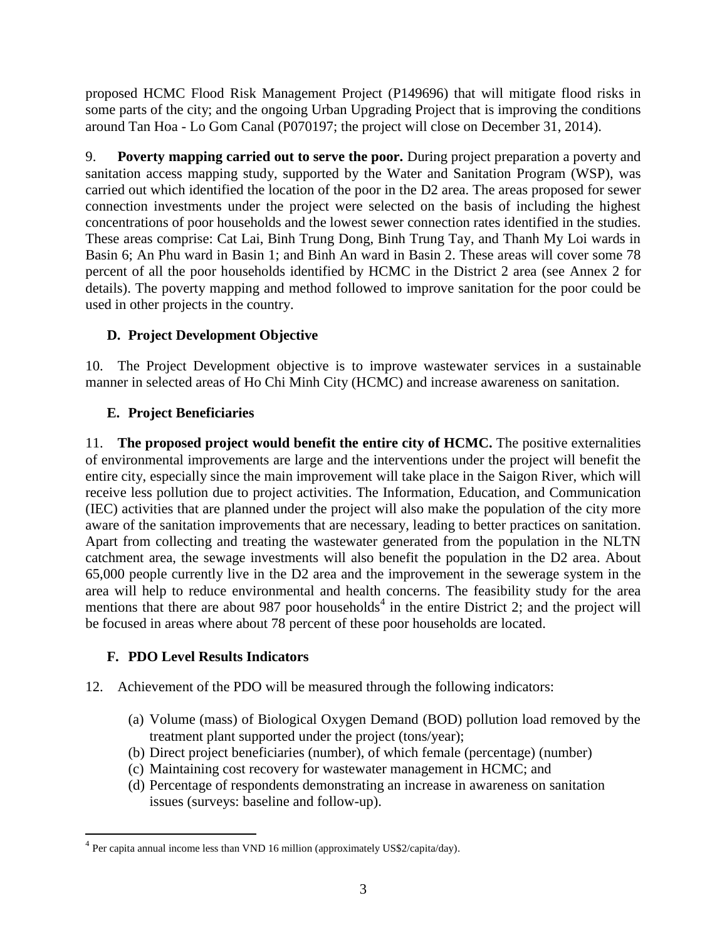proposed HCMC Flood Risk Management Project (P149696) that will mitigate flood risks in some parts of the city; and the ongoing Urban Upgrading Project that is improving the conditions around Tan Hoa - Lo Gom Canal (P070197; the project will close on December 31, 2014).

9. **Poverty mapping carried out to serve the poor.** During project preparation a poverty and sanitation access mapping study, supported by the Water and Sanitation Program (WSP), was carried out which identified the location of the poor in the D2 area. The areas proposed for sewer connection investments under the project were selected on the basis of including the highest concentrations of poor households and the lowest sewer connection rates identified in the studies. These areas comprise: Cat Lai, Binh Trung Dong, Binh Trung Tay, and Thanh My Loi wards in Basin 6; An Phu ward in Basin 1; and Binh An ward in Basin 2. These areas will cover some 78 percent of all the poor households identified by HCMC in the District 2 area (see Annex 2 for details). The poverty mapping and method followed to improve sanitation for the poor could be used in other projects in the country.

# **D. Project Development Objective**

10. The Project Development objective is to improve wastewater services in a sustainable manner in selected areas of Ho Chi Minh City (HCMC) and increase awareness on sanitation.

# **E. Project Beneficiaries**

11. **The proposed project would benefit the entire city of HCMC.** The positive externalities of environmental improvements are large and the interventions under the project will benefit the entire city, especially since the main improvement will take place in the Saigon River, which will receive less pollution due to project activities. The Information, Education, and Communication (IEC) activities that are planned under the project will also make the population of the city more aware of the sanitation improvements that are necessary, leading to better practices on sanitation. Apart from collecting and treating the wastewater generated from the population in the NLTN catchment area, the sewage investments will also benefit the population in the D2 area. About 65,000 people currently live in the D2 area and the improvement in the sewerage system in the area will help to reduce environmental and health concerns. The feasibility study for the area mentions that there are about 987 poor households<sup>4</sup> in the entire District 2; and the project will be focused in areas where about 78 percent of these poor households are located.

## **F. PDO Level Results Indicators**

 $\overline{a}$ 

- 12. Achievement of the PDO will be measured through the following indicators:
	- (a) Volume (mass) of Biological Oxygen Demand (BOD) pollution load removed by the treatment plant supported under the project (tons/year);
	- (b) Direct project beneficiaries (number), of which female (percentage) (number)
	- (c) Maintaining cost recovery for wastewater management in HCMC; and
	- (d) Percentage of respondents demonstrating an increase in awareness on sanitation issues (surveys: baseline and follow-up).

<sup>&</sup>lt;sup>4</sup> Per capita annual income less than VND 16 million (approximately US\$2/capita/day).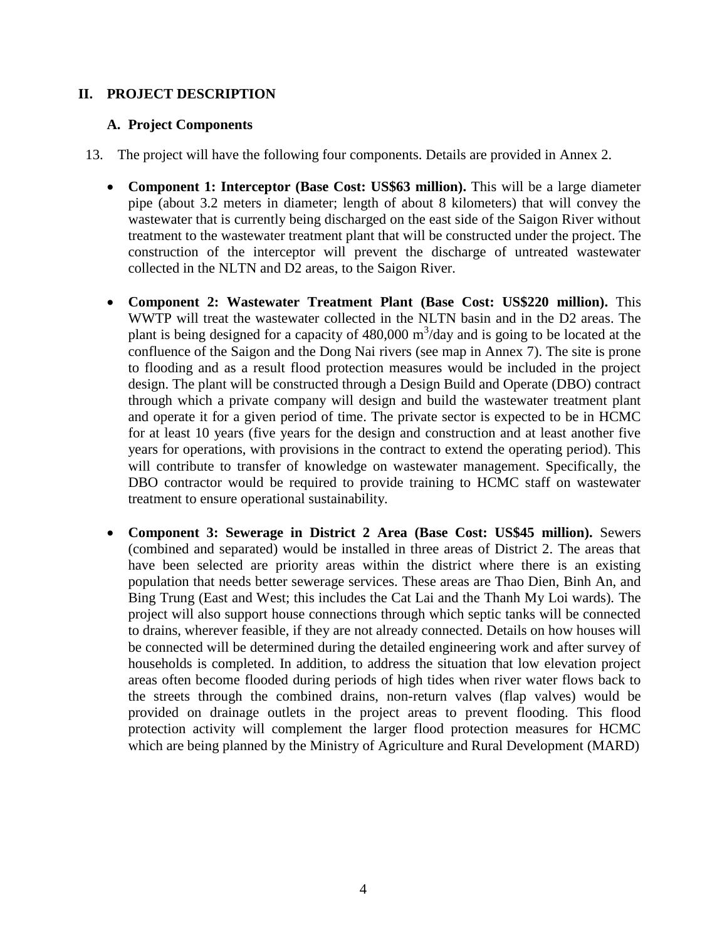### **II. PROJECT DESCRIPTION**

#### **A. Project Components**

- 13. The project will have the following four components. Details are provided in Annex 2.
	- **Component 1: Interceptor (Base Cost: US\$63 million).** This will be a large diameter pipe (about 3.2 meters in diameter; length of about 8 kilometers) that will convey the wastewater that is currently being discharged on the east side of the Saigon River without treatment to the wastewater treatment plant that will be constructed under the project. The construction of the interceptor will prevent the discharge of untreated wastewater collected in the NLTN and D2 areas, to the Saigon River.
	- **Component 2: Wastewater Treatment Plant (Base Cost: US\$220 million).** This WWTP will treat the wastewater collected in the NLTN basin and in the D2 areas. The plant is being designed for a capacity of  $480,000 \text{ m}^3/\text{day}$  and is going to be located at the confluence of the Saigon and the Dong Nai rivers (see map in Annex 7). The site is prone to flooding and as a result flood protection measures would be included in the project design. The plant will be constructed through a Design Build and Operate (DBO) contract through which a private company will design and build the wastewater treatment plant and operate it for a given period of time. The private sector is expected to be in HCMC for at least 10 years (five years for the design and construction and at least another five years for operations, with provisions in the contract to extend the operating period). This will contribute to transfer of knowledge on wastewater management. Specifically, the DBO contractor would be required to provide training to HCMC staff on wastewater treatment to ensure operational sustainability.
	- **Component 3: Sewerage in District 2 Area (Base Cost: US\$45 million).** Sewers (combined and separated) would be installed in three areas of District 2. The areas that have been selected are priority areas within the district where there is an existing population that needs better sewerage services. These areas are Thao Dien, Binh An, and Bing Trung (East and West; this includes the Cat Lai and the Thanh My Loi wards). The project will also support house connections through which septic tanks will be connected to drains, wherever feasible, if they are not already connected. Details on how houses will be connected will be determined during the detailed engineering work and after survey of households is completed. In addition, to address the situation that low elevation project areas often become flooded during periods of high tides when river water flows back to the streets through the combined drains, non-return valves (flap valves) would be provided on drainage outlets in the project areas to prevent flooding. This flood protection activity will complement the larger flood protection measures for HCMC which are being planned by the Ministry of Agriculture and Rural Development (MARD)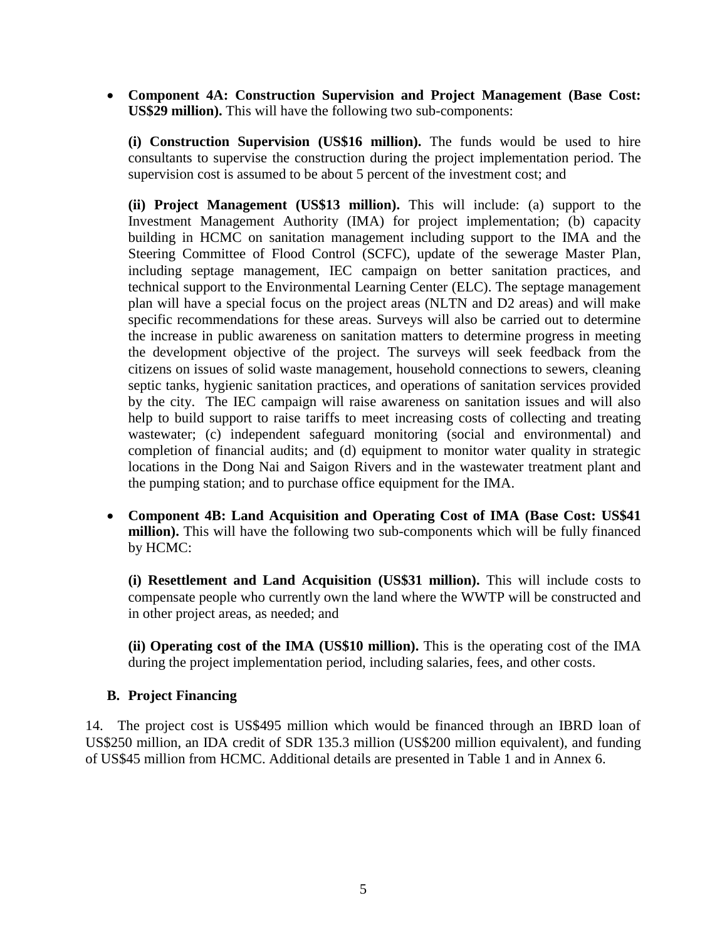**Component 4A: Construction Supervision and Project Management (Base Cost: US\$29 million).** This will have the following two sub-components:

**(i) Construction Supervision (US\$16 million).** The funds would be used to hire consultants to supervise the construction during the project implementation period. The supervision cost is assumed to be about 5 percent of the investment cost; and

**(ii) Project Management (US\$13 million).** This will include: (a) support to the Investment Management Authority (IMA) for project implementation; (b) capacity building in HCMC on sanitation management including support to the IMA and the Steering Committee of Flood Control (SCFC), update of the sewerage Master Plan, including septage management, IEC campaign on better sanitation practices, and technical support to the Environmental Learning Center (ELC). The septage management plan will have a special focus on the project areas (NLTN and D2 areas) and will make specific recommendations for these areas. Surveys will also be carried out to determine the increase in public awareness on sanitation matters to determine progress in meeting the development objective of the project. The surveys will seek feedback from the citizens on issues of solid waste management, household connections to sewers, cleaning septic tanks, hygienic sanitation practices, and operations of sanitation services provided by the city. The IEC campaign will raise awareness on sanitation issues and will also help to build support to raise tariffs to meet increasing costs of collecting and treating wastewater; (c) independent safeguard monitoring (social and environmental) and completion of financial audits; and (d) equipment to monitor water quality in strategic locations in the Dong Nai and Saigon Rivers and in the wastewater treatment plant and the pumping station; and to purchase office equipment for the IMA.

 **Component 4B: Land Acquisition and Operating Cost of IMA (Base Cost: US\$41 million).** This will have the following two sub-components which will be fully financed by HCMC:

**(i) Resettlement and Land Acquisition (US\$31 million).** This will include costs to compensate people who currently own the land where the WWTP will be constructed and in other project areas, as needed; and

**(ii) Operating cost of the IMA (US\$10 million).** This is the operating cost of the IMA during the project implementation period, including salaries, fees, and other costs.

## **B. Project Financing**

14. The project cost is US\$495 million which would be financed through an IBRD loan of US\$250 million, an IDA credit of SDR 135.3 million (US\$200 million equivalent), and funding of US\$45 million from HCMC. Additional details are presented in Table 1 and in Annex 6.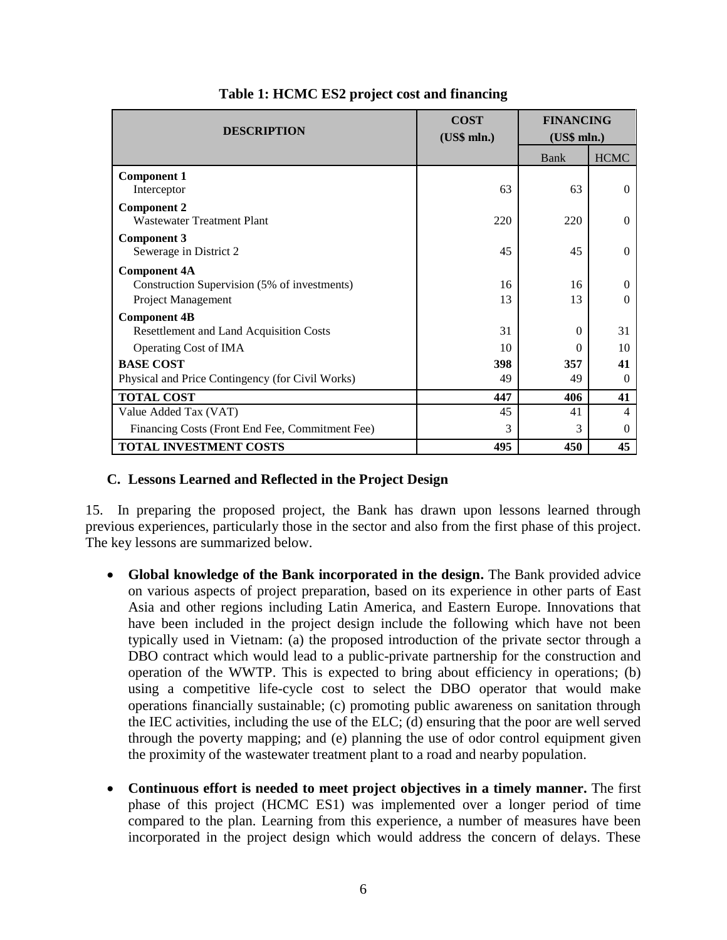| <b>DESCRIPTION</b>                                                                            | <b>COST</b><br>(US\$ mln.) | <b>FINANCING</b><br>(US\$ mln.) |                      |
|-----------------------------------------------------------------------------------------------|----------------------------|---------------------------------|----------------------|
|                                                                                               |                            | Bank                            | <b>HCMC</b>          |
| <b>Component 1</b><br>Interceptor                                                             | 63                         | 63                              | 0                    |
| <b>Component 2</b><br><b>Wastewater Treatment Plant</b>                                       | 220                        | 220                             | 0                    |
| <b>Component 3</b><br>Sewerage in District 2                                                  | 45                         | 45                              | $\Omega$             |
| <b>Component 4A</b><br>Construction Supervision (5% of investments)<br>Project Management     | 16<br>13                   | 16<br>13                        | 0<br>0               |
| <b>Component 4B</b><br><b>Resettlement and Land Acquisition Costs</b>                         | 31<br>10                   | $\Omega$                        | 31                   |
| Operating Cost of IMA<br><b>BASE COST</b><br>Physical and Price Contingency (for Civil Works) | 398<br>49                  | $\Omega$<br>357<br>49           | 10<br>41<br>$\Omega$ |
| <b>TOTAL COST</b>                                                                             | 447                        | 406                             | 41                   |
| Value Added Tax (VAT)                                                                         | 45                         | 41                              | 4                    |
| Financing Costs (Front End Fee, Commitment Fee)                                               | 3                          | 3                               | 0                    |
| <b>TOTAL INVESTMENT COSTS</b>                                                                 | 495                        | 450                             | 45                   |

**Table 1: HCMC ES2 project cost and financing**

#### **C. Lessons Learned and Reflected in the Project Design**

15. In preparing the proposed project, the Bank has drawn upon lessons learned through previous experiences, particularly those in the sector and also from the first phase of this project. The key lessons are summarized below.

- **Global knowledge of the Bank incorporated in the design.** The Bank provided advice on various aspects of project preparation, based on its experience in other parts of East Asia and other regions including Latin America, and Eastern Europe. Innovations that have been included in the project design include the following which have not been typically used in Vietnam: (a) the proposed introduction of the private sector through a DBO contract which would lead to a public-private partnership for the construction and operation of the WWTP. This is expected to bring about efficiency in operations; (b) using a competitive life-cycle cost to select the DBO operator that would make operations financially sustainable; (c) promoting public awareness on sanitation through the IEC activities, including the use of the ELC; (d) ensuring that the poor are well served through the poverty mapping; and (e) planning the use of odor control equipment given the proximity of the wastewater treatment plant to a road and nearby population.
- **Continuous effort is needed to meet project objectives in a timely manner.** The first phase of this project (HCMC ES1) was implemented over a longer period of time compared to the plan. Learning from this experience, a number of measures have been incorporated in the project design which would address the concern of delays. These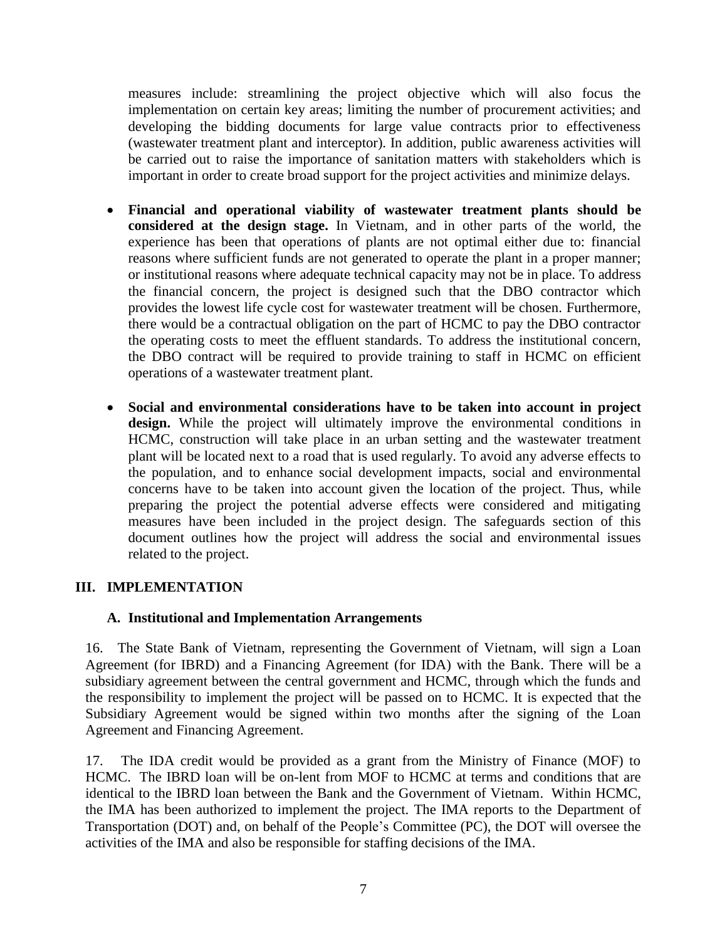measures include: streamlining the project objective which will also focus the implementation on certain key areas; limiting the number of procurement activities; and developing the bidding documents for large value contracts prior to effectiveness (wastewater treatment plant and interceptor). In addition, public awareness activities will be carried out to raise the importance of sanitation matters with stakeholders which is important in order to create broad support for the project activities and minimize delays.

- **Financial and operational viability of wastewater treatment plants should be considered at the design stage.** In Vietnam, and in other parts of the world, the experience has been that operations of plants are not optimal either due to: financial reasons where sufficient funds are not generated to operate the plant in a proper manner; or institutional reasons where adequate technical capacity may not be in place. To address the financial concern, the project is designed such that the DBO contractor which provides the lowest life cycle cost for wastewater treatment will be chosen. Furthermore, there would be a contractual obligation on the part of HCMC to pay the DBO contractor the operating costs to meet the effluent standards. To address the institutional concern, the DBO contract will be required to provide training to staff in HCMC on efficient operations of a wastewater treatment plant.
- **Social and environmental considerations have to be taken into account in project design.** While the project will ultimately improve the environmental conditions in HCMC, construction will take place in an urban setting and the wastewater treatment plant will be located next to a road that is used regularly. To avoid any adverse effects to the population, and to enhance social development impacts, social and environmental concerns have to be taken into account given the location of the project. Thus, while preparing the project the potential adverse effects were considered and mitigating measures have been included in the project design. The safeguards section of this document outlines how the project will address the social and environmental issues related to the project.

## **III. IMPLEMENTATION**

## **A. Institutional and Implementation Arrangements**

16. The State Bank of Vietnam, representing the Government of Vietnam, will sign a Loan Agreement (for IBRD) and a Financing Agreement (for IDA) with the Bank. There will be a subsidiary agreement between the central government and HCMC, through which the funds and the responsibility to implement the project will be passed on to HCMC. It is expected that the Subsidiary Agreement would be signed within two months after the signing of the Loan Agreement and Financing Agreement.

17. The IDA credit would be provided as a grant from the Ministry of Finance (MOF) to HCMC. The IBRD loan will be on-lent from MOF to HCMC at terms and conditions that are identical to the IBRD loan between the Bank and the Government of Vietnam. Within HCMC, the IMA has been authorized to implement the project. The IMA reports to the Department of Transportation (DOT) and, on behalf of the People's Committee (PC), the DOT will oversee the activities of the IMA and also be responsible for staffing decisions of the IMA.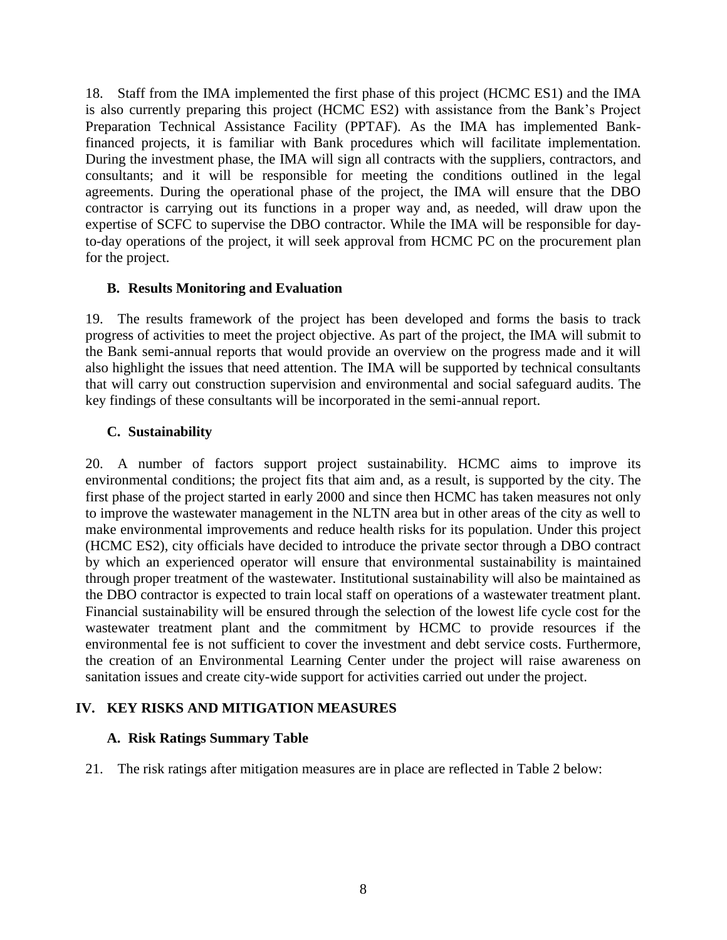18. Staff from the IMA implemented the first phase of this project (HCMC ES1) and the IMA is also currently preparing this project (HCMC ES2) with assistance from the Bank's Project Preparation Technical Assistance Facility (PPTAF). As the IMA has implemented Bankfinanced projects, it is familiar with Bank procedures which will facilitate implementation. During the investment phase, the IMA will sign all contracts with the suppliers, contractors, and consultants; and it will be responsible for meeting the conditions outlined in the legal agreements. During the operational phase of the project, the IMA will ensure that the DBO contractor is carrying out its functions in a proper way and, as needed, will draw upon the expertise of SCFC to supervise the DBO contractor. While the IMA will be responsible for dayto-day operations of the project, it will seek approval from HCMC PC on the procurement plan for the project.

### **B. Results Monitoring and Evaluation**

19. The results framework of the project has been developed and forms the basis to track progress of activities to meet the project objective. As part of the project, the IMA will submit to the Bank semi-annual reports that would provide an overview on the progress made and it will also highlight the issues that need attention. The IMA will be supported by technical consultants that will carry out construction supervision and environmental and social safeguard audits. The key findings of these consultants will be incorporated in the semi-annual report.

## **C. Sustainability**

20. A number of factors support project sustainability. HCMC aims to improve its environmental conditions; the project fits that aim and, as a result, is supported by the city. The first phase of the project started in early 2000 and since then HCMC has taken measures not only to improve the wastewater management in the NLTN area but in other areas of the city as well to make environmental improvements and reduce health risks for its population. Under this project (HCMC ES2), city officials have decided to introduce the private sector through a DBO contract by which an experienced operator will ensure that environmental sustainability is maintained through proper treatment of the wastewater. Institutional sustainability will also be maintained as the DBO contractor is expected to train local staff on operations of a wastewater treatment plant. Financial sustainability will be ensured through the selection of the lowest life cycle cost for the wastewater treatment plant and the commitment by HCMC to provide resources if the environmental fee is not sufficient to cover the investment and debt service costs. Furthermore, the creation of an Environmental Learning Center under the project will raise awareness on sanitation issues and create city-wide support for activities carried out under the project.

## **IV. KEY RISKS AND MITIGATION MEASURES**

#### **A. Risk Ratings Summary Table**

21. The risk ratings after mitigation measures are in place are reflected in Table 2 below: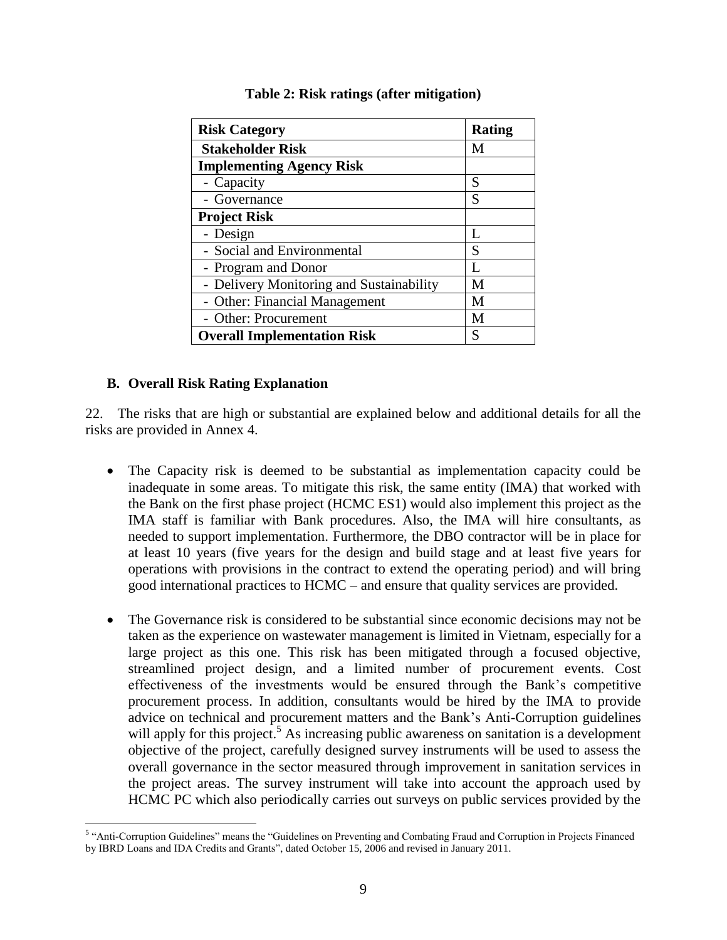| <b>Risk Category</b>                     | Rating |
|------------------------------------------|--------|
| <b>Stakeholder Risk</b>                  | М      |
| <b>Implementing Agency Risk</b>          |        |
| - Capacity                               | S      |
| - Governance                             | S      |
| <b>Project Risk</b>                      |        |
| - Design                                 | L      |
| - Social and Environmental               | S      |
| - Program and Donor                      | Ι.     |
| - Delivery Monitoring and Sustainability | M      |
| - Other: Financial Management            | M      |
| - Other: Procurement                     | M      |
| <b>Overall Implementation Risk</b>       | S      |

#### **Table 2: Risk ratings (after mitigation)**

### **B. Overall Risk Rating Explanation**

22. The risks that are high or substantial are explained below and additional details for all the risks are provided in Annex 4.

- The Capacity risk is deemed to be substantial as implementation capacity could be inadequate in some areas. To mitigate this risk, the same entity (IMA) that worked with the Bank on the first phase project (HCMC ES1) would also implement this project as the IMA staff is familiar with Bank procedures. Also, the IMA will hire consultants, as needed to support implementation. Furthermore, the DBO contractor will be in place for at least 10 years (five years for the design and build stage and at least five years for operations with provisions in the contract to extend the operating period) and will bring good international practices to HCMC – and ensure that quality services are provided.
- The Governance risk is considered to be substantial since economic decisions may not be taken as the experience on wastewater management is limited in Vietnam, especially for a large project as this one. This risk has been mitigated through a focused objective, streamlined project design, and a limited number of procurement events. Cost effectiveness of the investments would be ensured through the Bank's competitive procurement process. In addition, consultants would be hired by the IMA to provide advice on technical and procurement matters and the Bank's Anti-Corruption guidelines will apply for this project.<sup>5</sup> As increasing public awareness on sanitation is a development objective of the project, carefully designed survey instruments will be used to assess the overall governance in the sector measured through improvement in sanitation services in the project areas. The survey instrument will take into account the approach used by HCMC PC which also periodically carries out surveys on public services provided by the

 5 "Anti-Corruption Guidelines" means the "Guidelines on Preventing and Combating Fraud and Corruption in Projects Financed by IBRD Loans and IDA Credits and Grants", dated October 15, 2006 and revised in January 2011.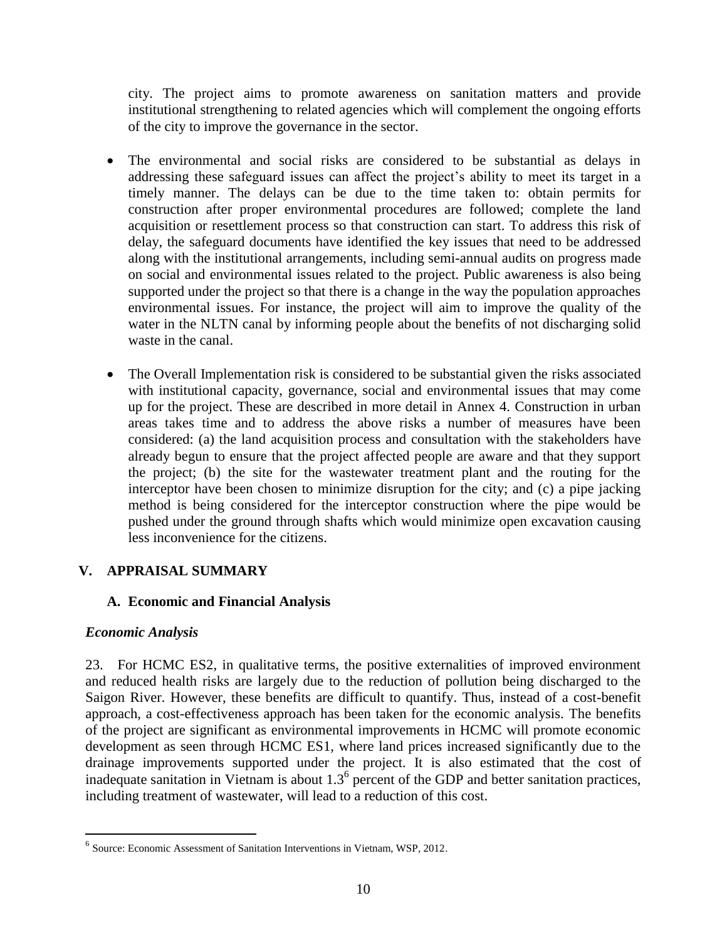city. The project aims to promote awareness on sanitation matters and provide institutional strengthening to related agencies which will complement the ongoing efforts of the city to improve the governance in the sector.

- The environmental and social risks are considered to be substantial as delays in addressing these safeguard issues can affect the project's ability to meet its target in a timely manner. The delays can be due to the time taken to: obtain permits for construction after proper environmental procedures are followed; complete the land acquisition or resettlement process so that construction can start. To address this risk of delay, the safeguard documents have identified the key issues that need to be addressed along with the institutional arrangements, including semi-annual audits on progress made on social and environmental issues related to the project. Public awareness is also being supported under the project so that there is a change in the way the population approaches environmental issues. For instance, the project will aim to improve the quality of the water in the NLTN canal by informing people about the benefits of not discharging solid waste in the canal.
- The Overall Implementation risk is considered to be substantial given the risks associated with institutional capacity, governance, social and environmental issues that may come up for the project. These are described in more detail in Annex 4. Construction in urban areas takes time and to address the above risks a number of measures have been considered: (a) the land acquisition process and consultation with the stakeholders have already begun to ensure that the project affected people are aware and that they support the project; (b) the site for the wastewater treatment plant and the routing for the interceptor have been chosen to minimize disruption for the city; and (c) a pipe jacking method is being considered for the interceptor construction where the pipe would be pushed under the ground through shafts which would minimize open excavation causing less inconvenience for the citizens.

## **V. APPRAISAL SUMMARY**

## **A. Economic and Financial Analysis**

## *Economic Analysis*

 $\overline{a}$ 

23. For HCMC ES2, in qualitative terms, the positive externalities of improved environment and reduced health risks are largely due to the reduction of pollution being discharged to the Saigon River. However, these benefits are difficult to quantify. Thus, instead of a cost-benefit approach, a cost-effectiveness approach has been taken for the economic analysis. The benefits of the project are significant as environmental improvements in HCMC will promote economic development as seen through HCMC ES1, where land prices increased significantly due to the drainage improvements supported under the project. It is also estimated that the cost of inadequate sanitation in Vietnam is about  $1.3<sup>6</sup>$  percent of the GDP and better sanitation practices, including treatment of wastewater, will lead to a reduction of this cost.

<sup>&</sup>lt;sup>6</sup> Source: Economic Assessment of Sanitation Interventions in Vietnam, WSP, 2012.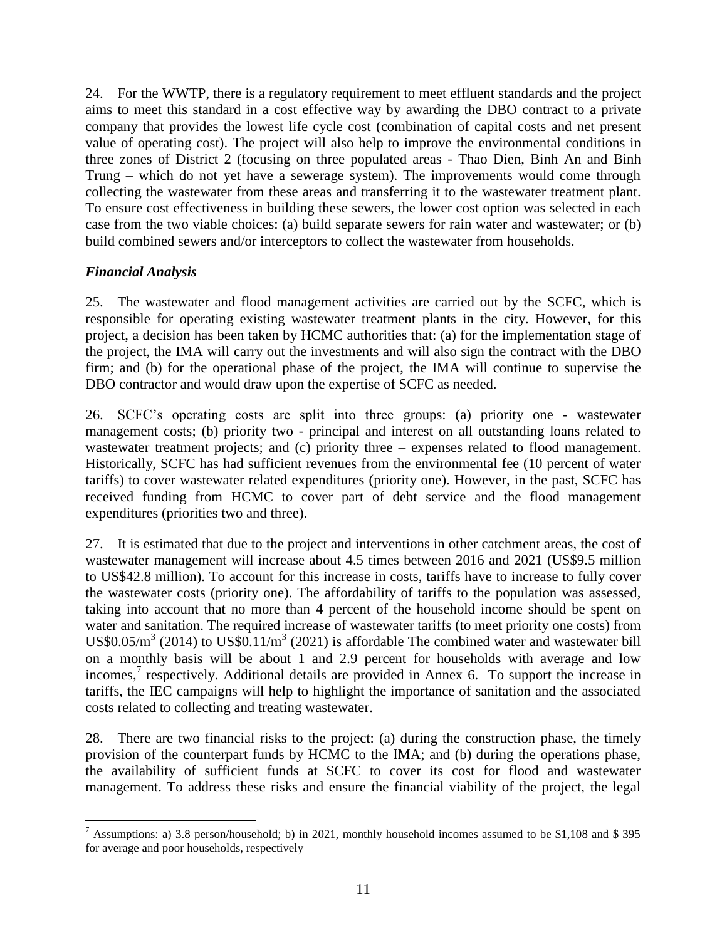24. For the WWTP, there is a regulatory requirement to meet effluent standards and the project aims to meet this standard in a cost effective way by awarding the DBO contract to a private company that provides the lowest life cycle cost (combination of capital costs and net present value of operating cost). The project will also help to improve the environmental conditions in three zones of District 2 (focusing on three populated areas - Thao Dien, Binh An and Binh Trung – which do not yet have a sewerage system). The improvements would come through collecting the wastewater from these areas and transferring it to the wastewater treatment plant. To ensure cost effectiveness in building these sewers, the lower cost option was selected in each case from the two viable choices: (a) build separate sewers for rain water and wastewater; or (b) build combined sewers and/or interceptors to collect the wastewater from households.

## *Financial Analysis*

25. The wastewater and flood management activities are carried out by the SCFC, which is responsible for operating existing wastewater treatment plants in the city. However, for this project, a decision has been taken by HCMC authorities that: (a) for the implementation stage of the project, the IMA will carry out the investments and will also sign the contract with the DBO firm; and (b) for the operational phase of the project, the IMA will continue to supervise the DBO contractor and would draw upon the expertise of SCFC as needed.

26. SCFC's operating costs are split into three groups: (a) priority one - wastewater management costs; (b) priority two - principal and interest on all outstanding loans related to wastewater treatment projects; and (c) priority three – expenses related to flood management. Historically, SCFC has had sufficient revenues from the environmental fee (10 percent of water tariffs) to cover wastewater related expenditures (priority one). However, in the past, SCFC has received funding from HCMC to cover part of debt service and the flood management expenditures (priorities two and three).

27. It is estimated that due to the project and interventions in other catchment areas, the cost of wastewater management will increase about 4.5 times between 2016 and 2021 (US\$9.5 million to US\$42.8 million). To account for this increase in costs, tariffs have to increase to fully cover the wastewater costs (priority one). The affordability of tariffs to the population was assessed, taking into account that no more than 4 percent of the household income should be spent on water and sanitation. The required increase of wastewater tariffs (to meet priority one costs) from US\$0.05/ $m^3$  (2014) to US\$0.11/ $m^3$  (2021) is affordable The combined water and wastewater bill on a monthly basis will be about 1 and 2.9 percent for households with average and low incomes,<sup>7</sup> respectively. Additional details are provided in Annex 6. To support the increase in tariffs, the IEC campaigns will help to highlight the importance of sanitation and the associated costs related to collecting and treating wastewater.

28. There are two financial risks to the project: (a) during the construction phase, the timely provision of the counterpart funds by HCMC to the IMA; and (b) during the operations phase, the availability of sufficient funds at SCFC to cover its cost for flood and wastewater management. To address these risks and ensure the financial viability of the project, the legal

 $\overline{a}$ <sup>7</sup> Assumptions: a) 3.8 person/household; b) in 2021, monthly household incomes assumed to be \$1,108 and \$395 for average and poor households, respectively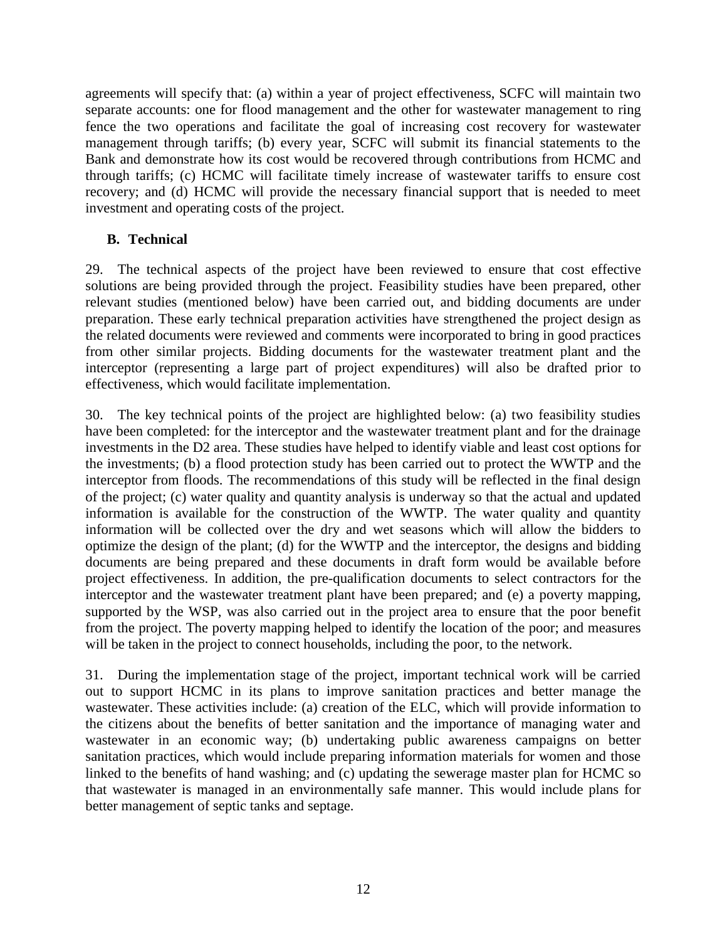agreements will specify that: (a) within a year of project effectiveness, SCFC will maintain two separate accounts: one for flood management and the other for wastewater management to ring fence the two operations and facilitate the goal of increasing cost recovery for wastewater management through tariffs; (b) every year, SCFC will submit its financial statements to the Bank and demonstrate how its cost would be recovered through contributions from HCMC and through tariffs; (c) HCMC will facilitate timely increase of wastewater tariffs to ensure cost recovery; and (d) HCMC will provide the necessary financial support that is needed to meet investment and operating costs of the project.

## **B. Technical**

29. The technical aspects of the project have been reviewed to ensure that cost effective solutions are being provided through the project. Feasibility studies have been prepared, other relevant studies (mentioned below) have been carried out, and bidding documents are under preparation. These early technical preparation activities have strengthened the project design as the related documents were reviewed and comments were incorporated to bring in good practices from other similar projects. Bidding documents for the wastewater treatment plant and the interceptor (representing a large part of project expenditures) will also be drafted prior to effectiveness, which would facilitate implementation.

30. The key technical points of the project are highlighted below: (a) two feasibility studies have been completed: for the interceptor and the wastewater treatment plant and for the drainage investments in the D2 area. These studies have helped to identify viable and least cost options for the investments; (b) a flood protection study has been carried out to protect the WWTP and the interceptor from floods. The recommendations of this study will be reflected in the final design of the project; (c) water quality and quantity analysis is underway so that the actual and updated information is available for the construction of the WWTP. The water quality and quantity information will be collected over the dry and wet seasons which will allow the bidders to optimize the design of the plant; (d) for the WWTP and the interceptor, the designs and bidding documents are being prepared and these documents in draft form would be available before project effectiveness. In addition, the pre-qualification documents to select contractors for the interceptor and the wastewater treatment plant have been prepared; and (e) a poverty mapping, supported by the WSP, was also carried out in the project area to ensure that the poor benefit from the project. The poverty mapping helped to identify the location of the poor; and measures will be taken in the project to connect households, including the poor, to the network.

31. During the implementation stage of the project, important technical work will be carried out to support HCMC in its plans to improve sanitation practices and better manage the wastewater. These activities include: (a) creation of the ELC, which will provide information to the citizens about the benefits of better sanitation and the importance of managing water and wastewater in an economic way; (b) undertaking public awareness campaigns on better sanitation practices, which would include preparing information materials for women and those linked to the benefits of hand washing; and (c) updating the sewerage master plan for HCMC so that wastewater is managed in an environmentally safe manner. This would include plans for better management of septic tanks and septage.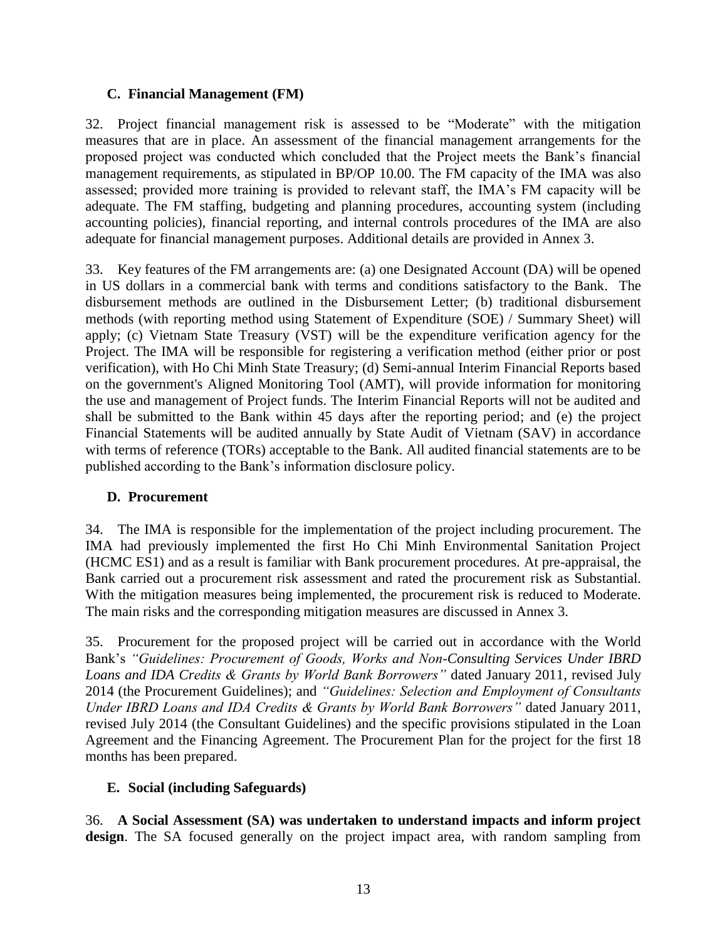### **C. Financial Management (FM)**

32. Project financial management risk is assessed to be "Moderate" with the mitigation measures that are in place. An assessment of the financial management arrangements for the proposed project was conducted which concluded that the Project meets the Bank's financial management requirements, as stipulated in BP/OP 10.00. The FM capacity of the IMA was also assessed; provided more training is provided to relevant staff, the IMA's FM capacity will be adequate. The FM staffing, budgeting and planning procedures, accounting system (including accounting policies), financial reporting, and internal controls procedures of the IMA are also adequate for financial management purposes. Additional details are provided in Annex 3.

33. Key features of the FM arrangements are: (a) one Designated Account (DA) will be opened in US dollars in a commercial bank with terms and conditions satisfactory to the Bank. The disbursement methods are outlined in the Disbursement Letter; (b) traditional disbursement methods (with reporting method using Statement of Expenditure (SOE) / Summary Sheet) will apply; (c) Vietnam State Treasury (VST) will be the expenditure verification agency for the Project. The IMA will be responsible for registering a verification method (either prior or post verification), with Ho Chi Minh State Treasury; (d) Semi-annual Interim Financial Reports based on the government's Aligned Monitoring Tool (AMT), will provide information for monitoring the use and management of Project funds. The Interim Financial Reports will not be audited and shall be submitted to the Bank within 45 days after the reporting period; and (e) the project Financial Statements will be audited annually by State Audit of Vietnam (SAV) in accordance with terms of reference (TORs) acceptable to the Bank. All audited financial statements are to be published according to the Bank's information disclosure policy.

#### **D. Procurement**

34. The IMA is responsible for the implementation of the project including procurement. The IMA had previously implemented the first Ho Chi Minh Environmental Sanitation Project (HCMC ES1) and as a result is familiar with Bank procurement procedures. At pre-appraisal, the Bank carried out a procurement risk assessment and rated the procurement risk as Substantial. With the mitigation measures being implemented, the procurement risk is reduced to Moderate. The main risks and the corresponding mitigation measures are discussed in Annex 3.

35. Procurement for the proposed project will be carried out in accordance with the World Bank's *"Guidelines: Procurement of Goods, Works and Non-Consulting Services Under IBRD Loans and IDA Credits & Grants by World Bank Borrowers"* dated January 2011, revised July 2014 (the Procurement Guidelines); and *"Guidelines: Selection and Employment of Consultants Under IBRD Loans and IDA Credits & Grants by World Bank Borrowers"* dated January 2011, revised July 2014 (the Consultant Guidelines) and the specific provisions stipulated in the Loan Agreement and the Financing Agreement. The Procurement Plan for the project for the first 18 months has been prepared.

## **E. Social (including Safeguards)**

36. **A Social Assessment (SA) was undertaken to understand impacts and inform project design**. The SA focused generally on the project impact area, with random sampling from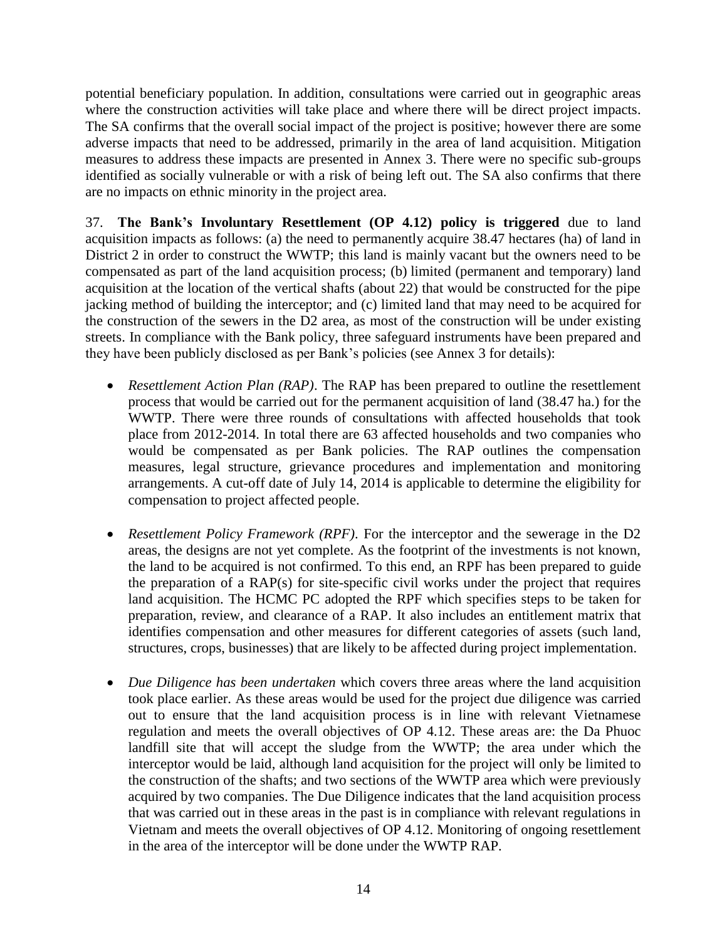potential beneficiary population. In addition, consultations were carried out in geographic areas where the construction activities will take place and where there will be direct project impacts. The SA confirms that the overall social impact of the project is positive; however there are some adverse impacts that need to be addressed, primarily in the area of land acquisition. Mitigation measures to address these impacts are presented in Annex 3. There were no specific sub-groups identified as socially vulnerable or with a risk of being left out. The SA also confirms that there are no impacts on ethnic minority in the project area.

37. **The Bank's Involuntary Resettlement (OP 4.12) policy is triggered** due to land acquisition impacts as follows: (a) the need to permanently acquire 38.47 hectares (ha) of land in District 2 in order to construct the WWTP; this land is mainly vacant but the owners need to be compensated as part of the land acquisition process; (b) limited (permanent and temporary) land acquisition at the location of the vertical shafts (about 22) that would be constructed for the pipe jacking method of building the interceptor; and (c) limited land that may need to be acquired for the construction of the sewers in the D2 area, as most of the construction will be under existing streets. In compliance with the Bank policy, three safeguard instruments have been prepared and they have been publicly disclosed as per Bank's policies (see Annex 3 for details):

- *Resettlement Action Plan (RAP)*. The RAP has been prepared to outline the resettlement process that would be carried out for the permanent acquisition of land (38.47 ha.) for the WWTP. There were three rounds of consultations with affected households that took place from 2012-2014. In total there are 63 affected households and two companies who would be compensated as per Bank policies. The RAP outlines the compensation measures, legal structure, grievance procedures and implementation and monitoring arrangements. A cut-off date of July 14, 2014 is applicable to determine the eligibility for compensation to project affected people.
- *Resettlement Policy Framework (RPF)*. For the interceptor and the sewerage in the D2 areas, the designs are not yet complete. As the footprint of the investments is not known, the land to be acquired is not confirmed. To this end, an RPF has been prepared to guide the preparation of a RAP(s) for site-specific civil works under the project that requires land acquisition. The HCMC PC adopted the RPF which specifies steps to be taken for preparation, review, and clearance of a RAP. It also includes an entitlement matrix that identifies compensation and other measures for different categories of assets (such land, structures, crops, businesses) that are likely to be affected during project implementation.
- *Due Diligence has been undertaken* which covers three areas where the land acquisition took place earlier. As these areas would be used for the project due diligence was carried out to ensure that the land acquisition process is in line with relevant Vietnamese regulation and meets the overall objectives of OP 4.12. These areas are: the Da Phuoc landfill site that will accept the sludge from the WWTP; the area under which the interceptor would be laid, although land acquisition for the project will only be limited to the construction of the shafts; and two sections of the WWTP area which were previously acquired by two companies. The Due Diligence indicates that the land acquisition process that was carried out in these areas in the past is in compliance with relevant regulations in Vietnam and meets the overall objectives of OP 4.12. Monitoring of ongoing resettlement in the area of the interceptor will be done under the WWTP RAP.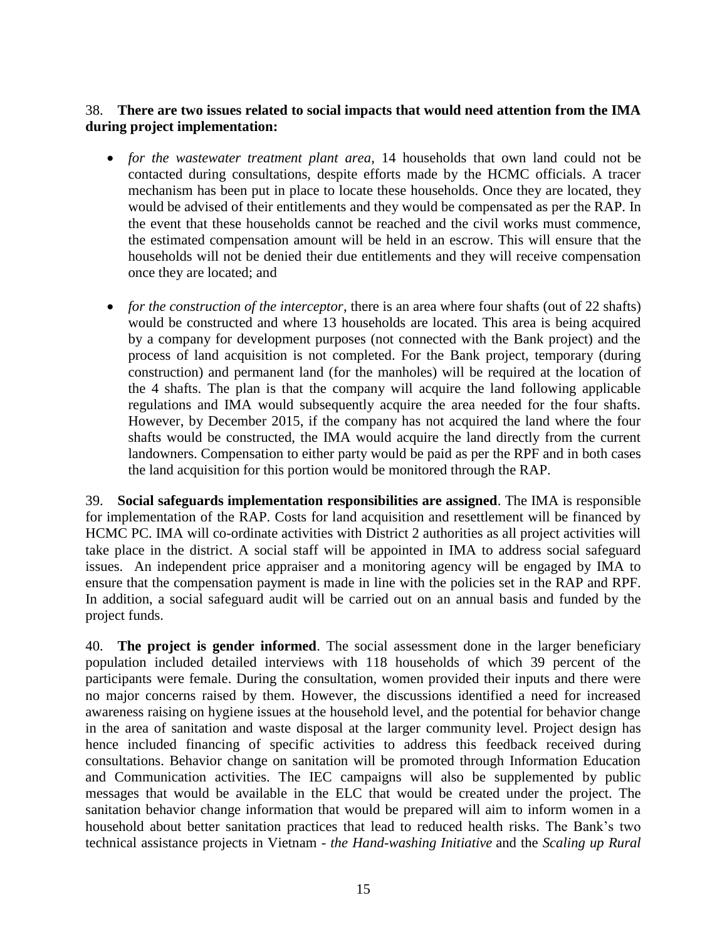## 38. **There are two issues related to social impacts that would need attention from the IMA during project implementation:**

- *for the wastewater treatment plant area*, 14 households that own land could not be contacted during consultations, despite efforts made by the HCMC officials. A tracer mechanism has been put in place to locate these households. Once they are located, they would be advised of their entitlements and they would be compensated as per the RAP. In the event that these households cannot be reached and the civil works must commence, the estimated compensation amount will be held in an escrow. This will ensure that the households will not be denied their due entitlements and they will receive compensation once they are located; and
- *for the construction of the interceptor*, there is an area where four shafts (out of 22 shafts) would be constructed and where 13 households are located. This area is being acquired by a company for development purposes (not connected with the Bank project) and the process of land acquisition is not completed. For the Bank project, temporary (during construction) and permanent land (for the manholes) will be required at the location of the 4 shafts. The plan is that the company will acquire the land following applicable regulations and IMA would subsequently acquire the area needed for the four shafts. However, by December 2015, if the company has not acquired the land where the four shafts would be constructed, the IMA would acquire the land directly from the current landowners. Compensation to either party would be paid as per the RPF and in both cases the land acquisition for this portion would be monitored through the RAP.

39. **Social safeguards implementation responsibilities are assigned**. The IMA is responsible for implementation of the RAP. Costs for land acquisition and resettlement will be financed by HCMC PC. IMA will co-ordinate activities with District 2 authorities as all project activities will take place in the district. A social staff will be appointed in IMA to address social safeguard issues. An independent price appraiser and a monitoring agency will be engaged by IMA to ensure that the compensation payment is made in line with the policies set in the RAP and RPF. In addition, a social safeguard audit will be carried out on an annual basis and funded by the project funds.

40. **The project is gender informed**. The social assessment done in the larger beneficiary population included detailed interviews with 118 households of which 39 percent of the participants were female. During the consultation, women provided their inputs and there were no major concerns raised by them. However, the discussions identified a need for increased awareness raising on hygiene issues at the household level, and the potential for behavior change in the area of sanitation and waste disposal at the larger community level. Project design has hence included financing of specific activities to address this feedback received during consultations. Behavior change on sanitation will be promoted through Information Education and Communication activities. The IEC campaigns will also be supplemented by public messages that would be available in the ELC that would be created under the project. The sanitation behavior change information that would be prepared will aim to inform women in a household about better sanitation practices that lead to reduced health risks. The Bank's two technical assistance projects in Vietnam - *the Hand-washing Initiative* and the *Scaling up Rural*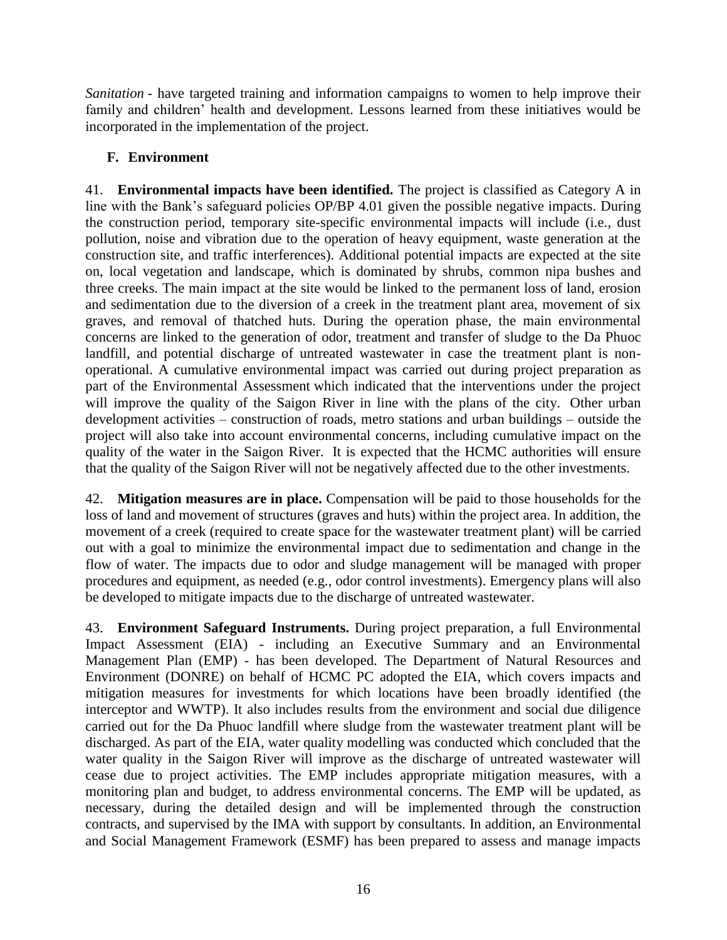*Sanitation* - have targeted training and information campaigns to women to help improve their family and children' health and development. Lessons learned from these initiatives would be incorporated in the implementation of the project.

## **F. Environment**

41. **Environmental impacts have been identified.** The project is classified as Category A in line with the Bank's safeguard policies OP/BP 4.01 given the possible negative impacts. During the construction period, temporary site-specific environmental impacts will include (i.e., dust pollution, noise and vibration due to the operation of heavy equipment, waste generation at the construction site, and traffic interferences). Additional potential impacts are expected at the site on, local vegetation and landscape, which is dominated by shrubs, common nipa bushes and three creeks. The main impact at the site would be linked to the permanent loss of land, erosion and sedimentation due to the diversion of a creek in the treatment plant area, movement of six graves, and removal of thatched huts. During the operation phase, the main environmental concerns are linked to the generation of odor, treatment and transfer of sludge to the Da Phuoc landfill, and potential discharge of untreated wastewater in case the treatment plant is nonoperational. A cumulative environmental impact was carried out during project preparation as part of the Environmental Assessment which indicated that the interventions under the project will improve the quality of the Saigon River in line with the plans of the city. Other urban development activities – construction of roads, metro stations and urban buildings – outside the project will also take into account environmental concerns, including cumulative impact on the quality of the water in the Saigon River. It is expected that the HCMC authorities will ensure that the quality of the Saigon River will not be negatively affected due to the other investments.

42. **Mitigation measures are in place.** Compensation will be paid to those households for the loss of land and movement of structures (graves and huts) within the project area. In addition, the movement of a creek (required to create space for the wastewater treatment plant) will be carried out with a goal to minimize the environmental impact due to sedimentation and change in the flow of water. The impacts due to odor and sludge management will be managed with proper procedures and equipment, as needed (e.g., odor control investments). Emergency plans will also be developed to mitigate impacts due to the discharge of untreated wastewater.

43. **Environment Safeguard Instruments.** During project preparation, a full Environmental Impact Assessment (EIA) - including an Executive Summary and an Environmental Management Plan (EMP) - has been developed. The Department of Natural Resources and Environment (DONRE) on behalf of HCMC PC adopted the EIA, which covers impacts and mitigation measures for investments for which locations have been broadly identified (the interceptor and WWTP). It also includes results from the environment and social due diligence carried out for the Da Phuoc landfill where sludge from the wastewater treatment plant will be discharged. As part of the EIA, water quality modelling was conducted which concluded that the water quality in the Saigon River will improve as the discharge of untreated wastewater will cease due to project activities. The EMP includes appropriate mitigation measures, with a monitoring plan and budget, to address environmental concerns. The EMP will be updated, as necessary, during the detailed design and will be implemented through the construction contracts, and supervised by the IMA with support by consultants. In addition, an Environmental and Social Management Framework (ESMF) has been prepared to assess and manage impacts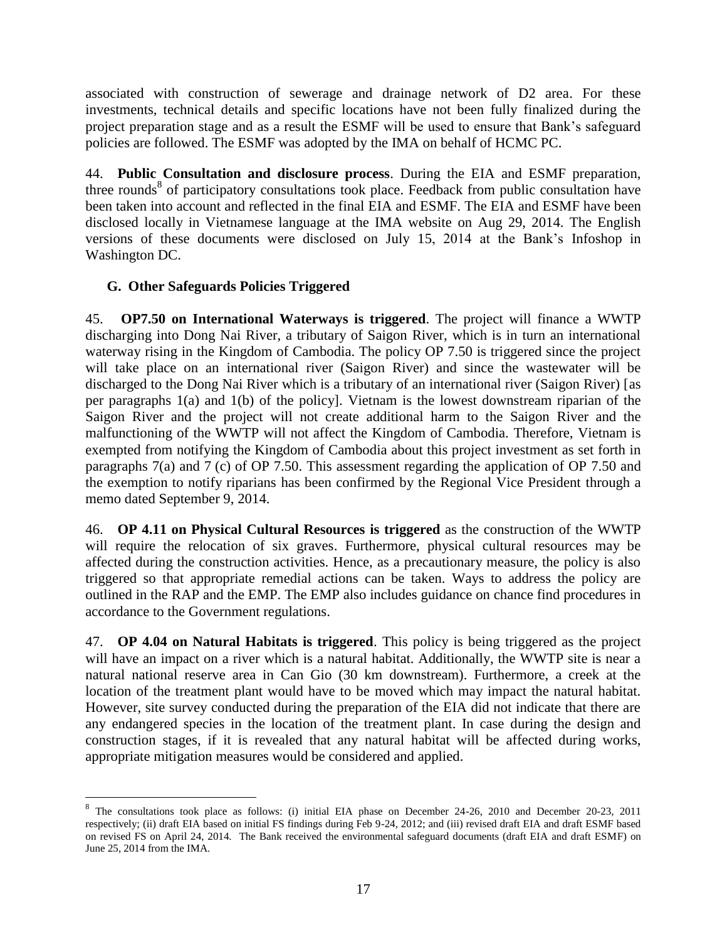associated with construction of sewerage and drainage network of D2 area. For these investments, technical details and specific locations have not been fully finalized during the project preparation stage and as a result the ESMF will be used to ensure that Bank's safeguard policies are followed. The ESMF was adopted by the IMA on behalf of HCMC PC.

44. **Public Consultation and disclosure process**. During the EIA and ESMF preparation, three rounds<sup>8</sup> of participatory consultations took place. Feedback from public consultation have been taken into account and reflected in the final EIA and ESMF. The EIA and ESMF have been disclosed locally in Vietnamese language at the IMA website on Aug 29, 2014. The English versions of these documents were disclosed on July 15, 2014 at the Bank's Infoshop in Washington DC.

## **G. Other Safeguards Policies Triggered**

 $\overline{a}$ 

45. **OP7.50 on International Waterways is triggered**. The project will finance a WWTP discharging into Dong Nai River, a tributary of Saigon River, which is in turn an international waterway rising in the Kingdom of Cambodia. The policy OP 7.50 is triggered since the project will take place on an international river (Saigon River) and since the wastewater will be discharged to the Dong Nai River which is a tributary of an international river (Saigon River) [as per paragraphs 1(a) and 1(b) of the policy]. Vietnam is the lowest downstream riparian of the Saigon River and the project will not create additional harm to the Saigon River and the malfunctioning of the WWTP will not affect the Kingdom of Cambodia. Therefore, Vietnam is exempted from notifying the Kingdom of Cambodia about this project investment as set forth in paragraphs 7(a) and 7 (c) of OP 7.50. This assessment regarding the application of OP 7.50 and the exemption to notify riparians has been confirmed by the Regional Vice President through a memo dated September 9, 2014.

46. **OP [4.11 on Physical Cultural Resources](http://web.worldbank.org/WBSITE/EXTERNAL/PROJECTS/EXTPOLICIES/EXTOPMANUAL/0,,contentMDK:20970737~menuPK:4564185~pagePK:64709096~piPK:64709108~theSitePK:502184~isCURL:Y,00.html) is triggered** as the construction of the WWTP will require the relocation of six graves. Furthermore, physical cultural resources may be affected during the construction activities. Hence, as a precautionary measure, the policy is also triggered so that appropriate remedial actions can be taken. Ways to address the policy are outlined in the RAP and the EMP. The EMP also includes guidance on chance find procedures in accordance to the Government regulations.

47. **OP 4.04 on Natural Habitats is triggered**. This policy is being triggered as the project will have an impact on a river which is a natural habitat. Additionally, the WWTP site is near a natural national reserve area in Can Gio (30 km downstream). Furthermore, a creek at the location of the treatment plant would have to be moved which may impact the natural habitat. However, site survey conducted during the preparation of the EIA did not indicate that there are any endangered species in the location of the treatment plant. In case during the design and construction stages, if it is revealed that any natural habitat will be affected during works, appropriate mitigation measures would be considered and applied.

<sup>&</sup>lt;sup>8</sup> The consultations took place as follows: (i) initial EIA phase on December 24-26, 2010 and December 20-23, 2011 respectively; (ii) draft EIA based on initial FS findings during Feb 9-24, 2012; and (iii) revised draft EIA and draft ESMF based on revised FS on April 24, 2014. The Bank received the environmental safeguard documents (draft EIA and draft ESMF) on June 25, 2014 from the IMA.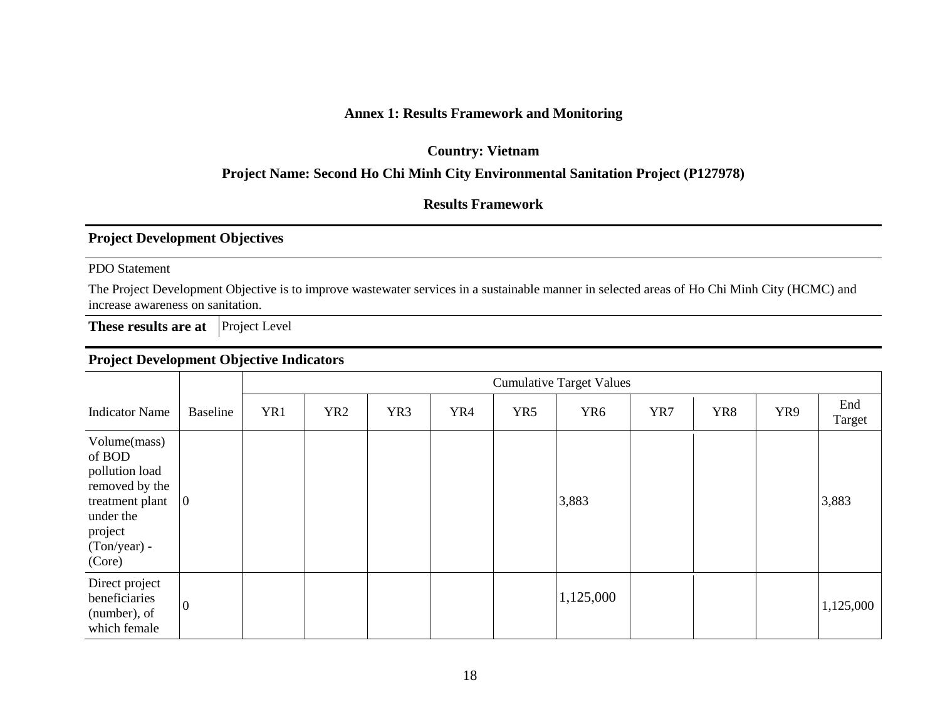### **Annex 1: Results Framework and Monitoring**

**Country: Vietnam**

#### **Project Name: Second Ho Chi Minh City Environmental Sanitation Project (P127978)**

#### **Results Framework**

### **Project Development Objectives**

PDO Statement

The Project Development Objective is to improve wastewater services in a sustainable manner in selected areas of Ho Chi Minh City (HCMC) and increase awareness on sanitation.

**These results are at Project Level** 

## **Project Development Objective Indicators**

|                                                                                                                                 |                 |     | <b>Cumulative Target Values</b> |                 |     |     |                 |     |     |     |               |
|---------------------------------------------------------------------------------------------------------------------------------|-----------------|-----|---------------------------------|-----------------|-----|-----|-----------------|-----|-----|-----|---------------|
| <b>Indicator Name</b>                                                                                                           | <b>Baseline</b> | YR1 | YR <sub>2</sub>                 | YR <sub>3</sub> | YR4 | YR5 | YR <sub>6</sub> | YR7 | YR8 | YR9 | End<br>Target |
| Volume(mass)<br>of BOD<br>pollution load<br>removed by the<br>treatment plant<br>under the<br>project<br>(Ton/year) -<br>(Core) | $\overline{0}$  |     |                                 |                 |     |     | 3,883           |     |     |     | 3,883         |
| Direct project<br>beneficiaries<br>(number), of<br>which female                                                                 | $\overline{0}$  |     |                                 |                 |     |     | 1,125,000       |     |     |     | 1,125,000     |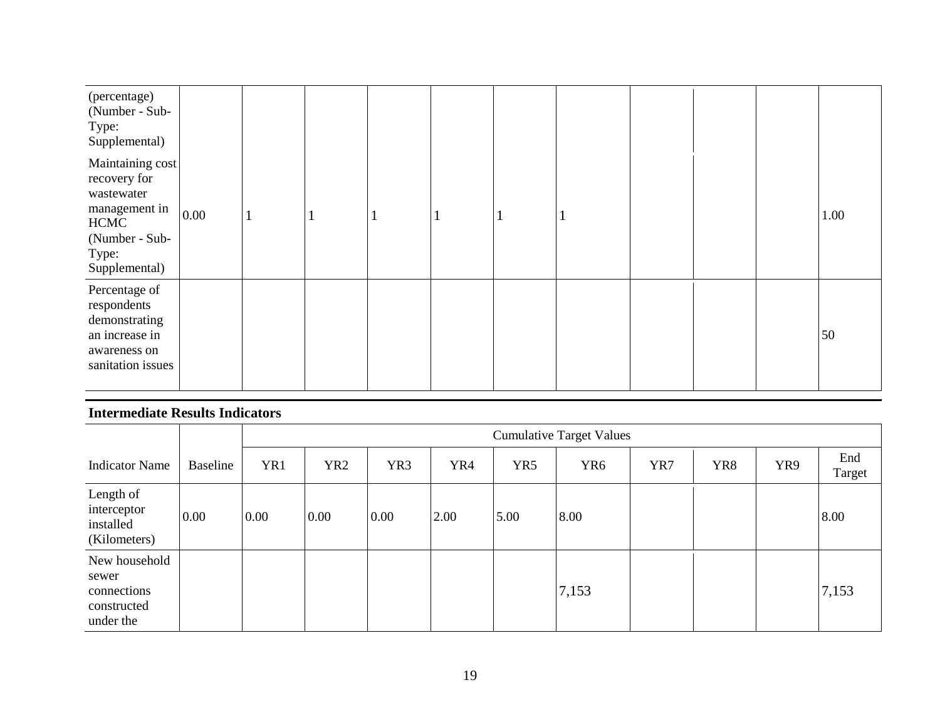| (percentage)<br>(Number - Sub-<br>Type:<br>Supplemental)                                                                   |      |   |  |  |  |  |      |
|----------------------------------------------------------------------------------------------------------------------------|------|---|--|--|--|--|------|
| Maintaining cost<br>recovery for<br>wastewater<br>management in<br><b>HCMC</b><br>(Number - Sub-<br>Type:<br>Supplemental) | 0.00 | п |  |  |  |  | 1.00 |
| Percentage of<br>respondents<br>demonstrating<br>an increase in<br>awareness on<br>sanitation issues                       |      |   |  |  |  |  | 50   |

## **Intermediate Results Indicators**

|                                                                   |          |      | <b>Cumulative Target Values</b> |                 |      |      |                 |     |     |     |               |
|-------------------------------------------------------------------|----------|------|---------------------------------|-----------------|------|------|-----------------|-----|-----|-----|---------------|
| <b>Indicator Name</b>                                             | Baseline | YR1  | YR <sub>2</sub>                 | YR <sub>3</sub> | YR4  | YR5  | YR <sub>6</sub> | YR7 | YR8 | YR9 | End<br>Target |
| Length of<br>interceptor<br>installed<br>(Kilometers)             | 0.00     | 0.00 | 0.00                            | 0.00            | 2.00 | 5.00 | 8.00            |     |     |     | 8.00          |
| New household<br>sewer<br>connections<br>constructed<br>under the |          |      |                                 |                 |      |      | 7,153           |     |     |     | 7,153         |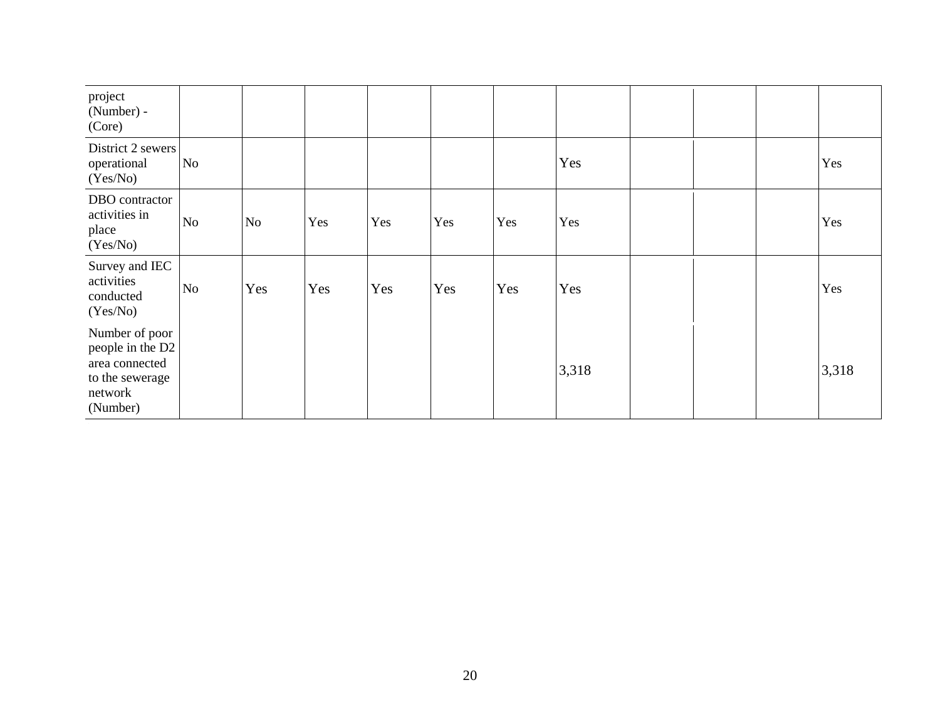| project<br>(Number) -<br>(Core)                                                                |    |     |     |     |     |     |       |  |       |
|------------------------------------------------------------------------------------------------|----|-----|-----|-----|-----|-----|-------|--|-------|
| District 2 sewers<br>operational<br>(Yes/No)                                                   | No |     |     |     |     |     | Yes   |  | Yes   |
| DBO contractor<br>activities in<br>place<br>(Yes/No)                                           | No | No  | Yes | Yes | Yes | Yes | Yes   |  | Yes   |
| Survey and IEC<br>activities<br>conducted<br>(Yes/No)                                          | No | Yes | Yes | Yes | Yes | Yes | Yes   |  | Yes   |
| Number of poor<br>people in the D2<br>area connected<br>to the sewerage<br>network<br>(Number) |    |     |     |     |     |     | 3,318 |  | 3,318 |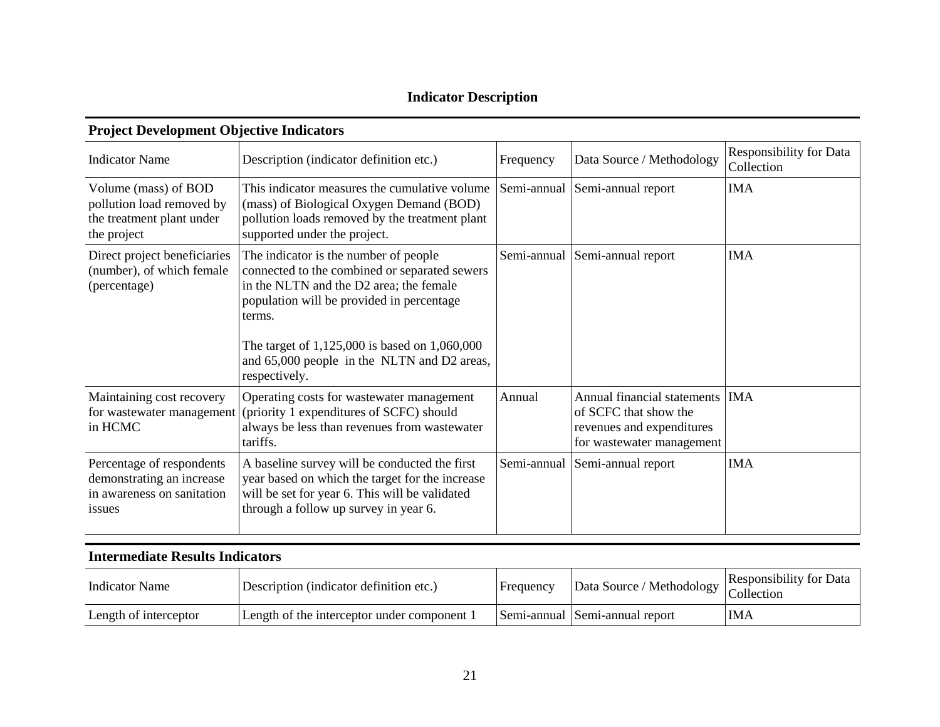# **Indicator Description**

| <b>Indicator Name</b>                                                                          | Description (indicator definition etc.)                                                                                                                                                                                                                                                                   | Frequency   | Data Source / Methodology                                                                                            | <b>Responsibility for Data</b><br>Collection |
|------------------------------------------------------------------------------------------------|-----------------------------------------------------------------------------------------------------------------------------------------------------------------------------------------------------------------------------------------------------------------------------------------------------------|-------------|----------------------------------------------------------------------------------------------------------------------|----------------------------------------------|
| Volume (mass) of BOD<br>pollution load removed by<br>the treatment plant under<br>the project  | This indicator measures the cumulative volume<br>(mass) of Biological Oxygen Demand (BOD)<br>pollution loads removed by the treatment plant<br>supported under the project.                                                                                                                               |             | Semi-annual Semi-annual report                                                                                       | <b>IMA</b>                                   |
| Direct project beneficiaries<br>(number), of which female<br>(percentage)                      | The indicator is the number of people<br>connected to the combined or separated sewers<br>in the NLTN and the D2 area; the female<br>population will be provided in percentage<br>terms.<br>The target of 1,125,000 is based on 1,060,000<br>and 65,000 people in the NLTN and D2 areas,<br>respectively. |             | Semi-annual Semi-annual report                                                                                       | <b>IMA</b>                                   |
| Maintaining cost recovery<br>for wastewater management<br>in HCMC                              | Operating costs for wastewater management<br>(priority 1 expenditures of SCFC) should<br>always be less than revenues from wastewater<br>tariffs.                                                                                                                                                         | Annual      | Annual financial statements   IMA<br>of SCFC that show the<br>revenues and expenditures<br>for wastewater management |                                              |
| Percentage of respondents<br>demonstrating an increase<br>in awareness on sanitation<br>issues | A baseline survey will be conducted the first<br>year based on which the target for the increase<br>will be set for year 6. This will be validated<br>through a follow up survey in year 6.                                                                                                               | Semi-annual | Semi-annual report                                                                                                   | <b>IMA</b>                                   |

#### **Project Development Objective Indicators**

## **Intermediate Results Indicators**

| <b>Indicator Name</b> | Description (indicator definition etc.)     | <b>Frequency</b> | $\text{Log}$   Data Source / Methodology Responsibility for Date |            |
|-----------------------|---------------------------------------------|------------------|------------------------------------------------------------------|------------|
| Length of interceptor | Length of the interceptor under component 1 |                  | Semi-annual Semi-annual report                                   | <b>IMA</b> |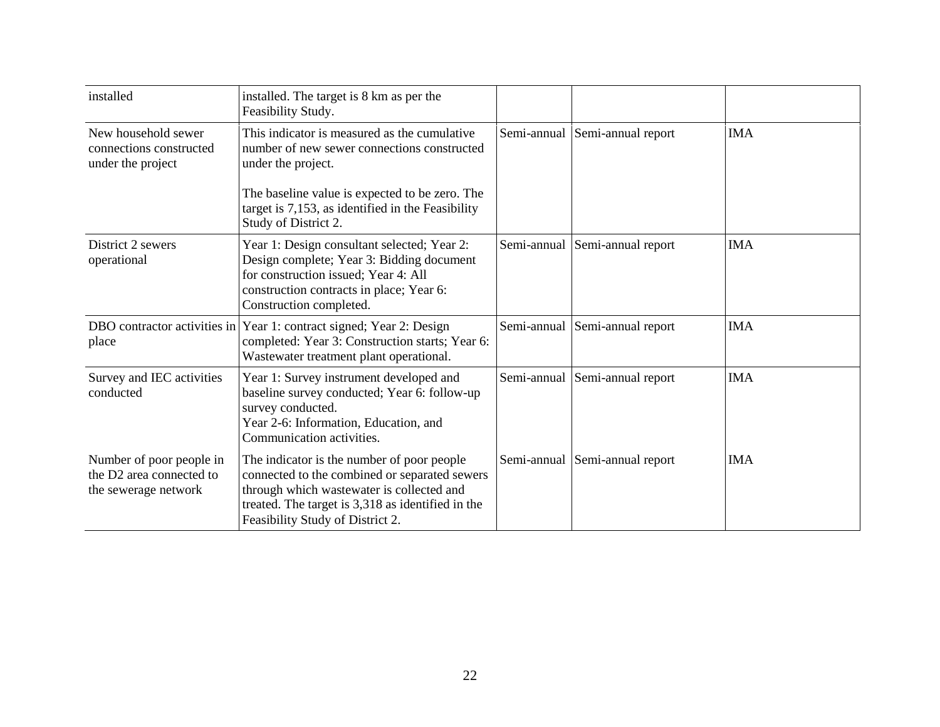| installed                                                                                | installed. The target is 8 km as per the<br>Feasibility Study.                                                                                                                                                                    |             |                                |            |
|------------------------------------------------------------------------------------------|-----------------------------------------------------------------------------------------------------------------------------------------------------------------------------------------------------------------------------------|-------------|--------------------------------|------------|
| New household sewer<br>connections constructed<br>under the project                      | This indicator is measured as the cumulative<br>number of new sewer connections constructed<br>under the project.                                                                                                                 | Semi-annual | Semi-annual report             | <b>IMA</b> |
|                                                                                          | The baseline value is expected to be zero. The<br>target is 7,153, as identified in the Feasibility<br>Study of District 2.                                                                                                       |             |                                |            |
| District 2 sewers<br>operational                                                         | Year 1: Design consultant selected; Year 2:<br>Design complete; Year 3: Bidding document<br>for construction issued; Year 4: All<br>construction contracts in place; Year 6:<br>Construction completed.                           |             | Semi-annual Semi-annual report | <b>IMA</b> |
| place                                                                                    | DBO contractor activities in Year 1: contract signed; Year 2: Design<br>completed: Year 3: Construction starts; Year 6:<br>Wastewater treatment plant operational.                                                                |             | Semi-annual Semi-annual report | <b>IMA</b> |
| Survey and IEC activities<br>conducted                                                   | Year 1: Survey instrument developed and<br>baseline survey conducted; Year 6: follow-up<br>survey conducted.<br>Year 2-6: Information, Education, and<br>Communication activities.                                                |             | Semi-annual Semi-annual report | <b>IMA</b> |
| Number of poor people in<br>the D <sub>2</sub> area connected to<br>the sewerage network | The indicator is the number of poor people<br>connected to the combined or separated sewers<br>through which wastewater is collected and<br>treated. The target is 3,318 as identified in the<br>Feasibility Study of District 2. |             | Semi-annual Semi-annual report | <b>IMA</b> |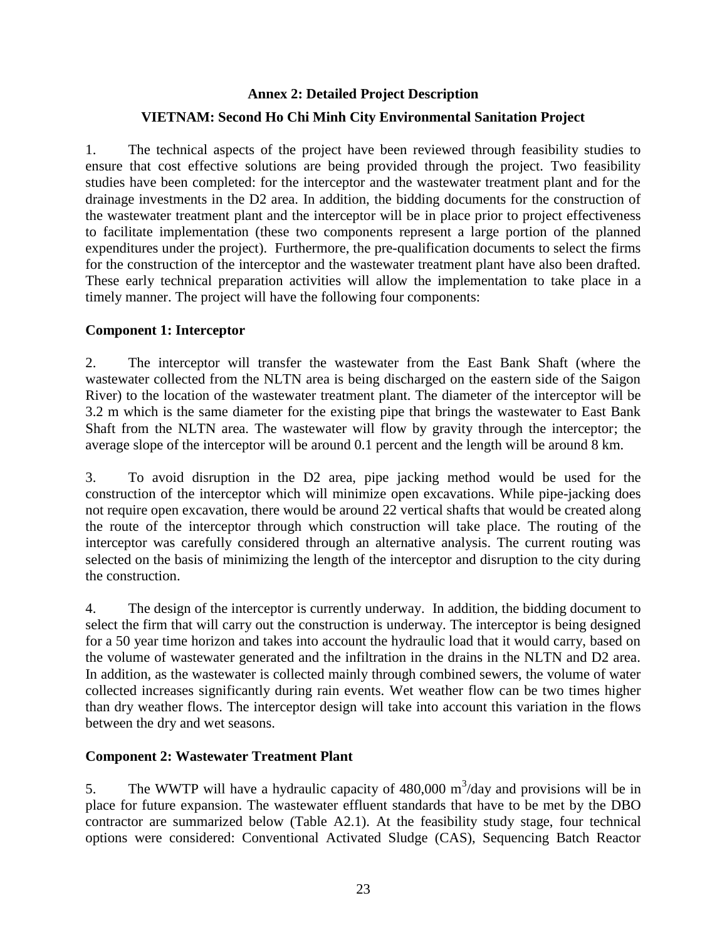# **Annex 2: Detailed Project Description VIETNAM: Second Ho Chi Minh City Environmental Sanitation Project**

1. The technical aspects of the project have been reviewed through feasibility studies to ensure that cost effective solutions are being provided through the project. Two feasibility studies have been completed: for the interceptor and the wastewater treatment plant and for the drainage investments in the D2 area. In addition, the bidding documents for the construction of the wastewater treatment plant and the interceptor will be in place prior to project effectiveness to facilitate implementation (these two components represent a large portion of the planned expenditures under the project). Furthermore, the pre-qualification documents to select the firms for the construction of the interceptor and the wastewater treatment plant have also been drafted. These early technical preparation activities will allow the implementation to take place in a timely manner. The project will have the following four components:

## **Component 1: Interceptor**

2. The interceptor will transfer the wastewater from the East Bank Shaft (where the wastewater collected from the NLTN area is being discharged on the eastern side of the Saigon River) to the location of the wastewater treatment plant. The diameter of the interceptor will be 3.2 m which is the same diameter for the existing pipe that brings the wastewater to East Bank Shaft from the NLTN area. The wastewater will flow by gravity through the interceptor; the average slope of the interceptor will be around 0.1 percent and the length will be around 8 km.

3. To avoid disruption in the D2 area, pipe jacking method would be used for the construction of the interceptor which will minimize open excavations. While pipe-jacking does not require open excavation, there would be around 22 vertical shafts that would be created along the route of the interceptor through which construction will take place. The routing of the interceptor was carefully considered through an alternative analysis. The current routing was selected on the basis of minimizing the length of the interceptor and disruption to the city during the construction.

4. The design of the interceptor is currently underway. In addition, the bidding document to select the firm that will carry out the construction is underway. The interceptor is being designed for a 50 year time horizon and takes into account the hydraulic load that it would carry, based on the volume of wastewater generated and the infiltration in the drains in the NLTN and D2 area. In addition, as the wastewater is collected mainly through combined sewers, the volume of water collected increases significantly during rain events. Wet weather flow can be two times higher than dry weather flows. The interceptor design will take into account this variation in the flows between the dry and wet seasons.

## **Component 2: Wastewater Treatment Plant**

5. The WWTP will have a hydraulic capacity of  $480,000 \text{ m}^3/\text{day}$  and provisions will be in place for future expansion. The wastewater effluent standards that have to be met by the DBO contractor are summarized below (Table A2.1). At the feasibility study stage, four technical options were considered: Conventional Activated Sludge (CAS), Sequencing Batch Reactor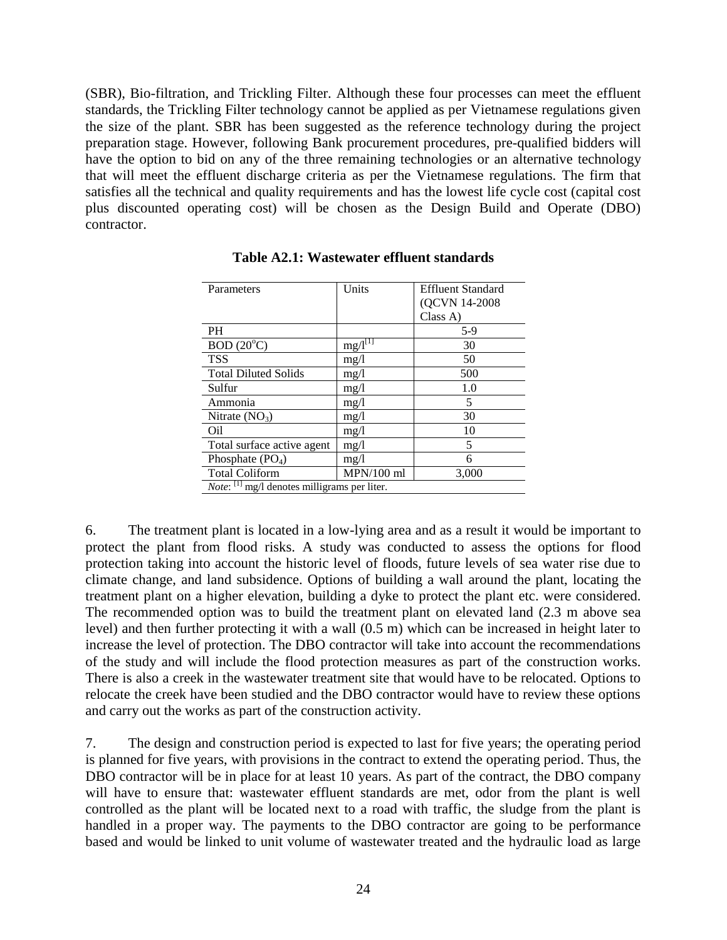(SBR), Bio-filtration, and Trickling Filter. Although these four processes can meet the effluent standards, the Trickling Filter technology cannot be applied as per Vietnamese regulations given the size of the plant. SBR has been suggested as the reference technology during the project preparation stage. However, following Bank procurement procedures, pre-qualified bidders will have the option to bid on any of the three remaining technologies or an alternative technology that will meet the effluent discharge criteria as per the Vietnamese regulations. The firm that satisfies all the technical and quality requirements and has the lowest life cycle cost (capital cost plus discounted operating cost) will be chosen as the Design Build and Operate (DBO) contractor.

| Parameters                                                | Units        | <b>Effluent Standard</b> |  |  |  |  |  |
|-----------------------------------------------------------|--------------|--------------------------|--|--|--|--|--|
|                                                           |              | (QCVN 14-2008)           |  |  |  |  |  |
|                                                           |              | Class A)                 |  |  |  |  |  |
| <b>PH</b>                                                 |              | $5-9$                    |  |  |  |  |  |
| $BOD(20^{\circ}C)$                                        | $mg/l^{[T]}$ | 30                       |  |  |  |  |  |
| <b>TSS</b>                                                | mg/1         | 50                       |  |  |  |  |  |
| <b>Total Diluted Solids</b>                               | mg/1         | 500                      |  |  |  |  |  |
| Sulfur                                                    | mg/l         | 1.0                      |  |  |  |  |  |
| Ammonia                                                   | mg/l         | 5                        |  |  |  |  |  |
| Nitrate $(NO_3)$                                          | mg/l         | 30                       |  |  |  |  |  |
| Oil                                                       | mg/l         | 10                       |  |  |  |  |  |
| Total surface active agent                                | mg/l         | 5                        |  |  |  |  |  |
| Phosphate $(PO4)$                                         | mg/1         | 6                        |  |  |  |  |  |
| <b>Total Coliform</b>                                     | $MPN/100$ ml | 3,000                    |  |  |  |  |  |
| <i>Note</i> : $^{[1]}$ mg/l denotes milligrams per liter. |              |                          |  |  |  |  |  |

**Table A2.1: Wastewater effluent standards**

6. The treatment plant is located in a low-lying area and as a result it would be important to protect the plant from flood risks. A study was conducted to assess the options for flood protection taking into account the historic level of floods, future levels of sea water rise due to climate change, and land subsidence. Options of building a wall around the plant, locating the treatment plant on a higher elevation, building a dyke to protect the plant etc. were considered. The recommended option was to build the treatment plant on elevated land (2.3 m above sea level) and then further protecting it with a wall (0.5 m) which can be increased in height later to increase the level of protection. The DBO contractor will take into account the recommendations of the study and will include the flood protection measures as part of the construction works. There is also a creek in the wastewater treatment site that would have to be relocated. Options to relocate the creek have been studied and the DBO contractor would have to review these options and carry out the works as part of the construction activity.

7. The design and construction period is expected to last for five years; the operating period is planned for five years, with provisions in the contract to extend the operating period. Thus, the DBO contractor will be in place for at least 10 years. As part of the contract, the DBO company will have to ensure that: wastewater effluent standards are met, odor from the plant is well controlled as the plant will be located next to a road with traffic, the sludge from the plant is handled in a proper way. The payments to the DBO contractor are going to be performance based and would be linked to unit volume of wastewater treated and the hydraulic load as large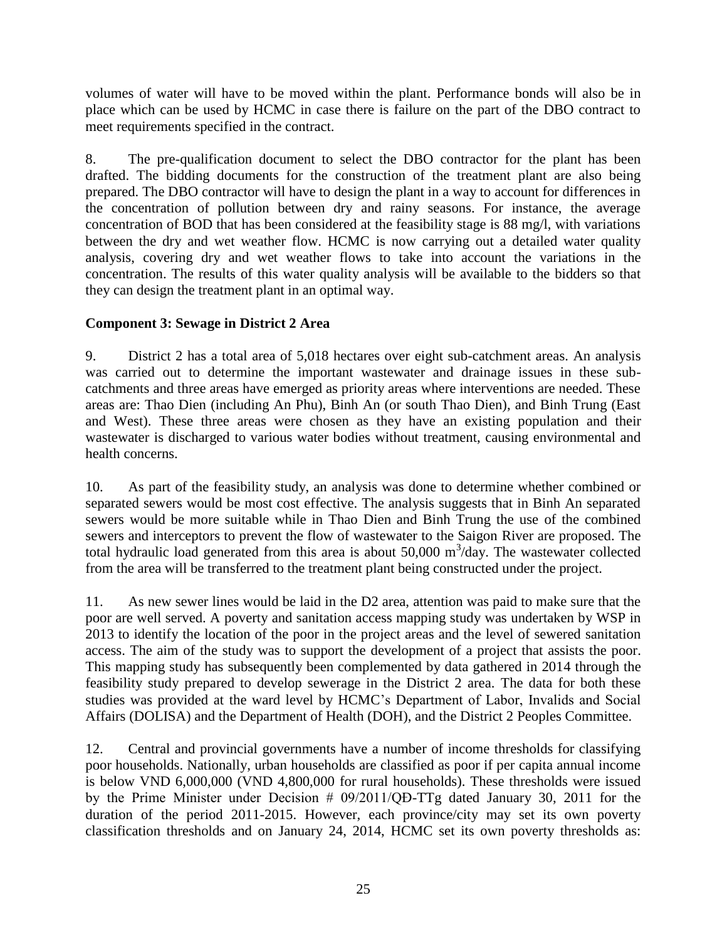volumes of water will have to be moved within the plant. Performance bonds will also be in place which can be used by HCMC in case there is failure on the part of the DBO contract to meet requirements specified in the contract.

8. The pre-qualification document to select the DBO contractor for the plant has been drafted. The bidding documents for the construction of the treatment plant are also being prepared. The DBO contractor will have to design the plant in a way to account for differences in the concentration of pollution between dry and rainy seasons. For instance, the average concentration of BOD that has been considered at the feasibility stage is 88 mg/l, with variations between the dry and wet weather flow. HCMC is now carrying out a detailed water quality analysis, covering dry and wet weather flows to take into account the variations in the concentration. The results of this water quality analysis will be available to the bidders so that they can design the treatment plant in an optimal way.

## **Component 3: Sewage in District 2 Area**

9. District 2 has a total area of 5,018 hectares over eight sub-catchment areas. An analysis was carried out to determine the important wastewater and drainage issues in these subcatchments and three areas have emerged as priority areas where interventions are needed. These areas are: Thao Dien (including An Phu), Binh An (or south Thao Dien), and Binh Trung (East and West). These three areas were chosen as they have an existing population and their wastewater is discharged to various water bodies without treatment, causing environmental and health concerns.

10. As part of the feasibility study, an analysis was done to determine whether combined or separated sewers would be most cost effective. The analysis suggests that in Binh An separated sewers would be more suitable while in Thao Dien and Binh Trung the use of the combined sewers and interceptors to prevent the flow of wastewater to the Saigon River are proposed. The total hydraulic load generated from this area is about 50,000  $\text{m}^3/\text{day}$ . The wastewater collected from the area will be transferred to the treatment plant being constructed under the project.

11. As new sewer lines would be laid in the D2 area, attention was paid to make sure that the poor are well served. A poverty and sanitation access mapping study was undertaken by WSP in 2013 to identify the location of the poor in the project areas and the level of sewered sanitation access. The aim of the study was to support the development of a project that assists the poor. This mapping study has subsequently been complemented by data gathered in 2014 through the feasibility study prepared to develop sewerage in the District 2 area. The data for both these studies was provided at the ward level by HCMC's Department of Labor, Invalids and Social Affairs (DOLISA) and the Department of Health (DOH), and the District 2 Peoples Committee.

12. Central and provincial governments have a number of income thresholds for classifying poor households. Nationally, urban households are classified as poor if per capita annual income is below VND 6,000,000 (VND 4,800,000 for rural households). These thresholds were issued by the Prime Minister under Decision # 09/2011/QĐ-TTg dated January 30, 2011 for the duration of the period 2011-2015. However, each province/city may set its own poverty classification thresholds and on January 24, 2014, HCMC set its own poverty thresholds as: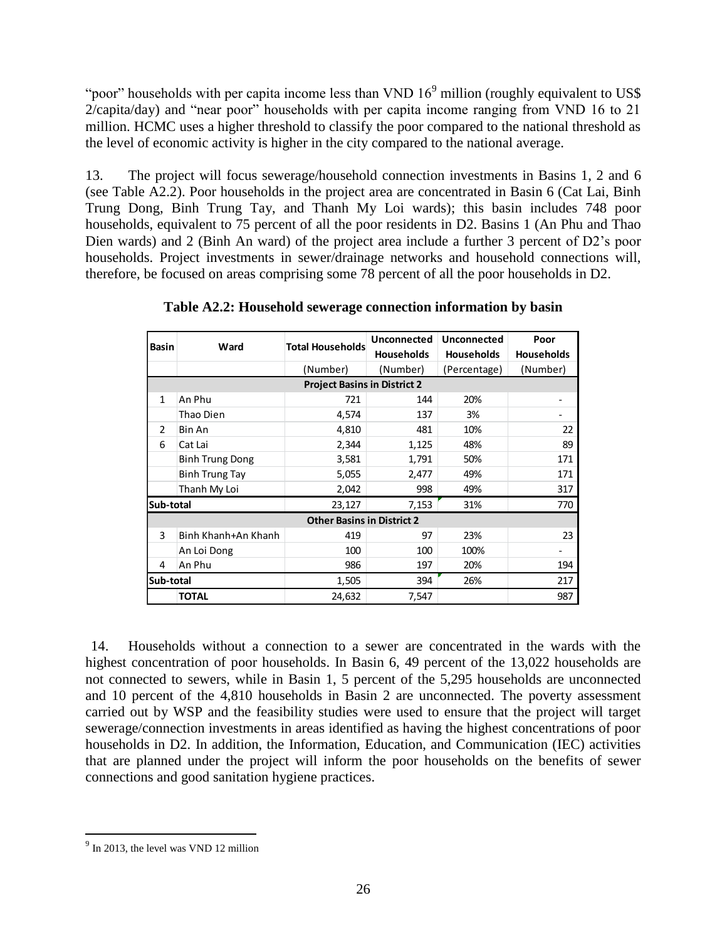"poor" households with per capita income less than VND  $16<sup>9</sup>$  million (roughly equivalent to US\$ 2/capita/day) and "near poor" households with per capita income ranging from VND 16 to 21 million. HCMC uses a higher threshold to classify the poor compared to the national threshold as the level of economic activity is higher in the city compared to the national average.

13. The project will focus sewerage/household connection investments in Basins 1, 2 and 6 (see Table A2.2). Poor households in the project area are concentrated in Basin 6 (Cat Lai, Binh Trung Dong, Binh Trung Tay, and Thanh My Loi wards); this basin includes 748 poor households, equivalent to 75 percent of all the poor residents in D2. Basins 1 (An Phu and Thao Dien wards) and 2 (Binh An ward) of the project area include a further 3 percent of D2's poor households. Project investments in sewer/drainage networks and household connections will, therefore, be focused on areas comprising some 78 percent of all the poor households in D2.

| <b>Basin</b> | Ward                | <b>Total Households</b>             | Unconnected       | Unconnected       | Poor              |  |
|--------------|---------------------|-------------------------------------|-------------------|-------------------|-------------------|--|
|              |                     |                                     | <b>Households</b> | <b>Households</b> | <b>Households</b> |  |
|              |                     | (Number)                            | (Number)          | (Percentage)      | (Number)          |  |
|              |                     | <b>Project Basins in District 2</b> |                   |                   |                   |  |
| 1            | An Phu              | 721                                 | 144               | 20%               |                   |  |
|              | Thao Dien           | 4,574                               | 137               | 3%                |                   |  |
| 2            | Bin An              | 4,810                               | 481               | 10%               | 22                |  |
| 6            | Cat Lai             | 2,344                               | 1,125             | 48%               | 89                |  |
|              | Binh Trung Dong     | 3,581                               | 1,791             | 50%               | 171               |  |
|              | Binh Trung Tay      | 5,055                               | 2,477             | 49%               | 171               |  |
|              | Thanh My Loi        | 2,042                               | 998               | 49%               | 317               |  |
| Sub-total    |                     | 23,127                              | 7,153             | 31%               | 770               |  |
|              |                     | <b>Other Basins in District 2</b>   |                   |                   |                   |  |
| 3            | Binh Khanh+An Khanh | 419                                 | 97                | 23%               | 23                |  |
|              | An Loi Dong         | 100                                 | 100               | 100%              |                   |  |
| 4            | An Phu              | 986                                 | 197               | 20%               | 194               |  |
| Sub-total    |                     | 1,505                               | 394               | 26%               | 217               |  |
|              | <b>TOTAL</b>        | 24,632                              | 7,547             |                   | 987               |  |

**Table A2.2: Household sewerage connection information by basin**

14. Households without a connection to a sewer are concentrated in the wards with the highest concentration of poor households. In Basin 6, 49 percent of the 13,022 households are not connected to sewers, while in Basin 1, 5 percent of the 5,295 households are unconnected and 10 percent of the 4,810 households in Basin 2 are unconnected. The poverty assessment carried out by WSP and the feasibility studies were used to ensure that the project will target sewerage/connection investments in areas identified as having the highest concentrations of poor households in D2. In addition, the Information, Education, and Communication (IEC) activities that are planned under the project will inform the poor households on the benefits of sewer connections and good sanitation hygiene practices.

 $\overline{a}$ 

<sup>&</sup>lt;sup>9</sup> In 2013, the level was VND 12 million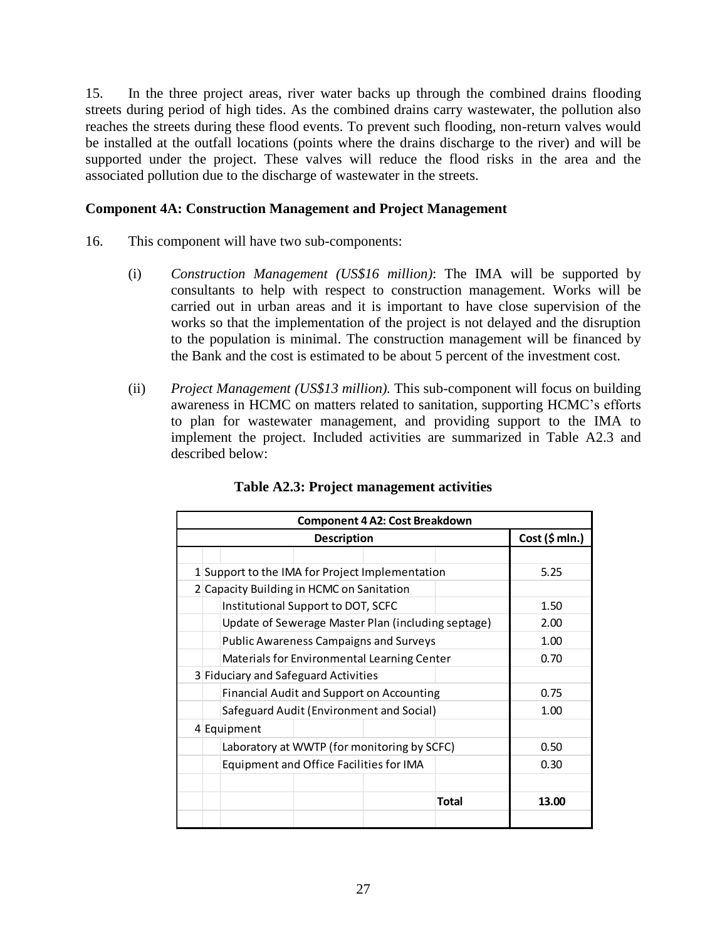15. In the three project areas, river water backs up through the combined drains flooding streets during period of high tides. As the combined drains carry wastewater, the pollution also reaches the streets during these flood events. To prevent such flooding, non-return valves would be installed at the outfall locations (points where the drains discharge to the river) and will be supported under the project. These valves will reduce the flood risks in the area and the associated pollution due to the discharge of wastewater in the streets.

#### **Component 4A: Construction Management and Project Management**

- 16. This component will have two sub-components:
	- (i) *Construction Management (US\$16 million)*: The IMA will be supported by consultants to help with respect to construction management. Works will be carried out in urban areas and it is important to have close supervision of the works so that the implementation of the project is not delayed and the disruption to the population is minimal. The construction management will be financed by the Bank and the cost is estimated to be about 5 percent of the investment cost.
	- (ii) *Project Management (US\$13 million).* This sub-component will focus on building awareness in HCMC on matters related to sanitation, supporting HCMC's efforts to plan for wastewater management, and providing support to the IMA to implement the project. Included activities are summarized in Table A2.3 and described below:

| <b>Component 4 A2: Cost Breakdown</b>     |                                                    |      |                                                  |       |       |  |  |  |  |
|-------------------------------------------|----------------------------------------------------|------|--------------------------------------------------|-------|-------|--|--|--|--|
|                                           | Cost (\$ mln.)                                     |      |                                                  |       |       |  |  |  |  |
|                                           |                                                    |      |                                                  |       |       |  |  |  |  |
|                                           | 1 Support to the IMA for Project Implementation    |      |                                                  |       | 5.25  |  |  |  |  |
| 2 Capacity Building in HCMC on Sanitation |                                                    |      |                                                  |       |       |  |  |  |  |
|                                           |                                                    | 1.50 |                                                  |       |       |  |  |  |  |
|                                           | Update of Sewerage Master Plan (including septage) | 2.00 |                                                  |       |       |  |  |  |  |
|                                           | 1.00                                               |      |                                                  |       |       |  |  |  |  |
|                                           | 0.70                                               |      |                                                  |       |       |  |  |  |  |
| 3 Fiduciary and Safeguard Activities      |                                                    |      |                                                  |       |       |  |  |  |  |
|                                           |                                                    |      | <b>Financial Audit and Support on Accounting</b> |       | 0.75  |  |  |  |  |
|                                           |                                                    |      | Safeguard Audit (Environment and Social)         |       | 1.00  |  |  |  |  |
|                                           | 4 Equipment                                        |      |                                                  |       |       |  |  |  |  |
|                                           |                                                    |      | Laboratory at WWTP (for monitoring by SCFC)      |       | 0.50  |  |  |  |  |
|                                           | Equipment and Office Facilities for IMA            |      |                                                  |       | 0.30  |  |  |  |  |
|                                           |                                                    |      |                                                  |       |       |  |  |  |  |
|                                           |                                                    |      |                                                  | Total | 13.00 |  |  |  |  |
|                                           |                                                    |      |                                                  |       |       |  |  |  |  |

## **Table A2.3: Project management activities**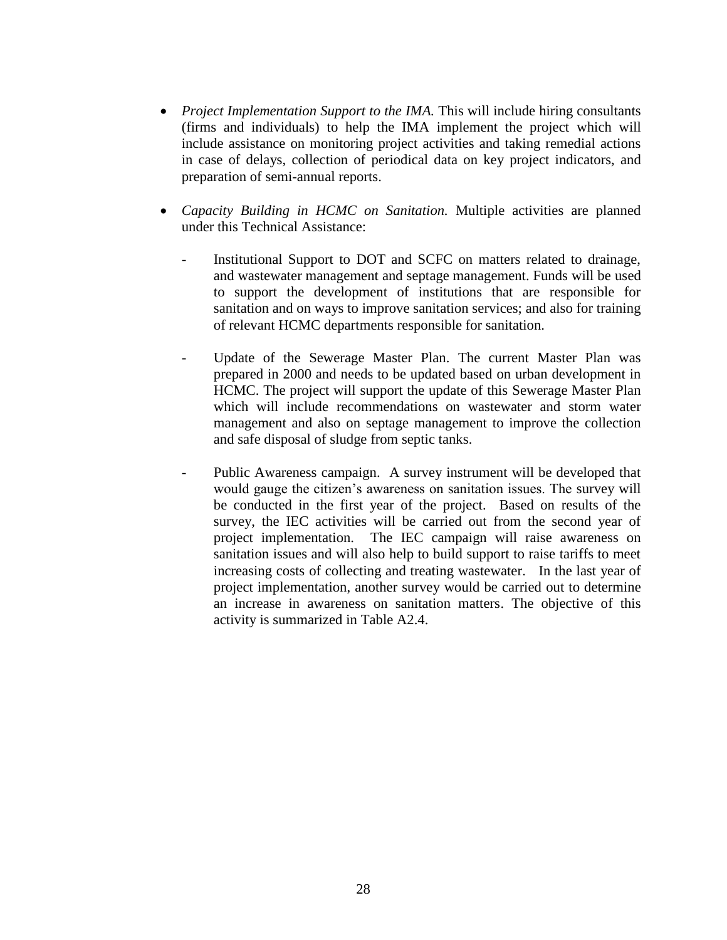- *Project Implementation Support to the IMA*. This will include hiring consultants (firms and individuals) to help the IMA implement the project which will include assistance on monitoring project activities and taking remedial actions in case of delays, collection of periodical data on key project indicators, and preparation of semi-annual reports.
- *Capacity Building in HCMC on Sanitation.* Multiple activities are planned under this Technical Assistance:
	- Institutional Support to DOT and SCFC on matters related to drainage, and wastewater management and septage management. Funds will be used to support the development of institutions that are responsible for sanitation and on ways to improve sanitation services; and also for training of relevant HCMC departments responsible for sanitation.
	- Update of the Sewerage Master Plan. The current Master Plan was prepared in 2000 and needs to be updated based on urban development in HCMC. The project will support the update of this Sewerage Master Plan which will include recommendations on wastewater and storm water management and also on septage management to improve the collection and safe disposal of sludge from septic tanks.
	- Public Awareness campaign. A survey instrument will be developed that would gauge the citizen's awareness on sanitation issues. The survey will be conducted in the first year of the project. Based on results of the survey, the IEC activities will be carried out from the second year of project implementation. The IEC campaign will raise awareness on sanitation issues and will also help to build support to raise tariffs to meet increasing costs of collecting and treating wastewater. In the last year of project implementation, another survey would be carried out to determine an increase in awareness on sanitation matters. The objective of this activity is summarized in Table A2.4.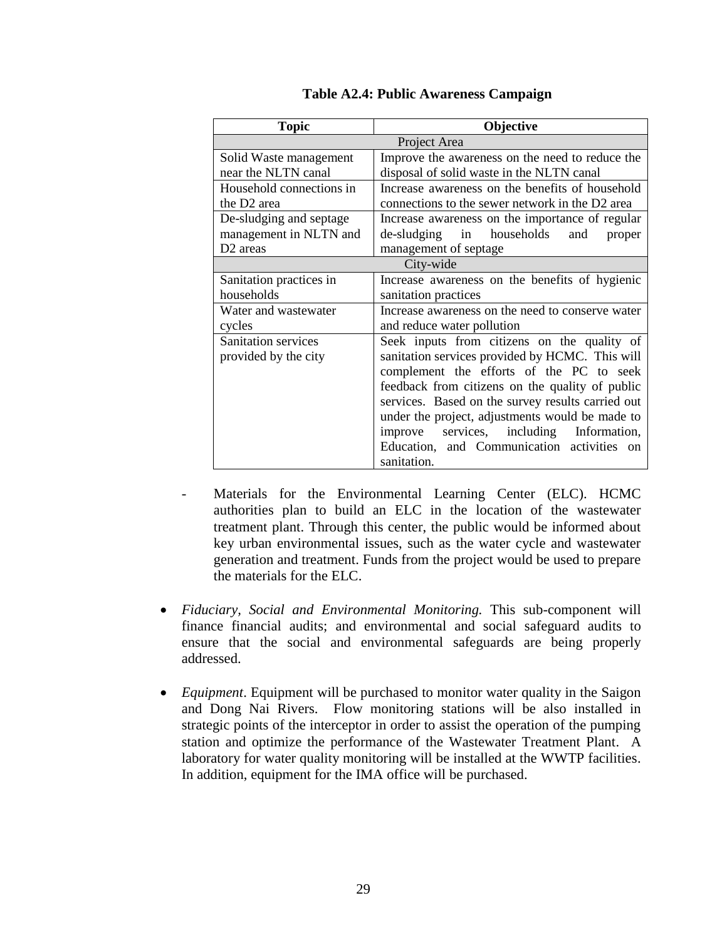| <b>Topic</b>                                  | Objective                                                             |  |  |  |  |  |
|-----------------------------------------------|-----------------------------------------------------------------------|--|--|--|--|--|
|                                               | Project Area                                                          |  |  |  |  |  |
| Solid Waste management                        | Improve the awareness on the need to reduce the                       |  |  |  |  |  |
| near the NLTN canal                           | disposal of solid waste in the NLTN canal                             |  |  |  |  |  |
| Household connections in                      | Increase awareness on the benefits of household                       |  |  |  |  |  |
| the D <sub>2</sub> area                       | connections to the sewer network in the D2 area                       |  |  |  |  |  |
| De-sludging and septage                       | Increase awareness on the importance of regular                       |  |  |  |  |  |
| management in NLTN and                        | de-sludging in households<br>and<br>proper                            |  |  |  |  |  |
| D <sub>2</sub> areas<br>management of septage |                                                                       |  |  |  |  |  |
|                                               | City-wide                                                             |  |  |  |  |  |
| Sanitation practices in                       | Increase awareness on the benefits of hygienic                        |  |  |  |  |  |
| households                                    | sanitation practices                                                  |  |  |  |  |  |
| Water and wastewater                          | Increase awareness on the need to conserve water                      |  |  |  |  |  |
| cycles                                        | and reduce water pollution                                            |  |  |  |  |  |
| Sanitation services                           | Seek inputs from citizens on the quality of                           |  |  |  |  |  |
| provided by the city                          | sanitation services provided by HCMC. This will                       |  |  |  |  |  |
|                                               | complement the efforts of the PC to seek                              |  |  |  |  |  |
|                                               | feedback from citizens on the quality of public                       |  |  |  |  |  |
|                                               | services. Based on the survey results carried out                     |  |  |  |  |  |
|                                               | under the project, adjustments would be made to                       |  |  |  |  |  |
|                                               | services, including Information,<br>improve                           |  |  |  |  |  |
|                                               | Education, and Communication activities<br>$_{\rm on}$<br>sanitation. |  |  |  |  |  |

**Table A2.4: Public Awareness Campaign**

- Materials for the Environmental Learning Center (ELC). HCMC authorities plan to build an ELC in the location of the wastewater treatment plant. Through this center, the public would be informed about key urban environmental issues, such as the water cycle and wastewater generation and treatment. Funds from the project would be used to prepare the materials for the ELC.
- *Fiduciary, Social and Environmental Monitoring.* This sub-component will finance financial audits; and environmental and social safeguard audits to ensure that the social and environmental safeguards are being properly addressed.
- *Equipment*. Equipment will be purchased to monitor water quality in the Saigon and Dong Nai Rivers. Flow monitoring stations will be also installed in strategic points of the interceptor in order to assist the operation of the pumping station and optimize the performance of the Wastewater Treatment Plant. A laboratory for water quality monitoring will be installed at the WWTP facilities. In addition, equipment for the IMA office will be purchased.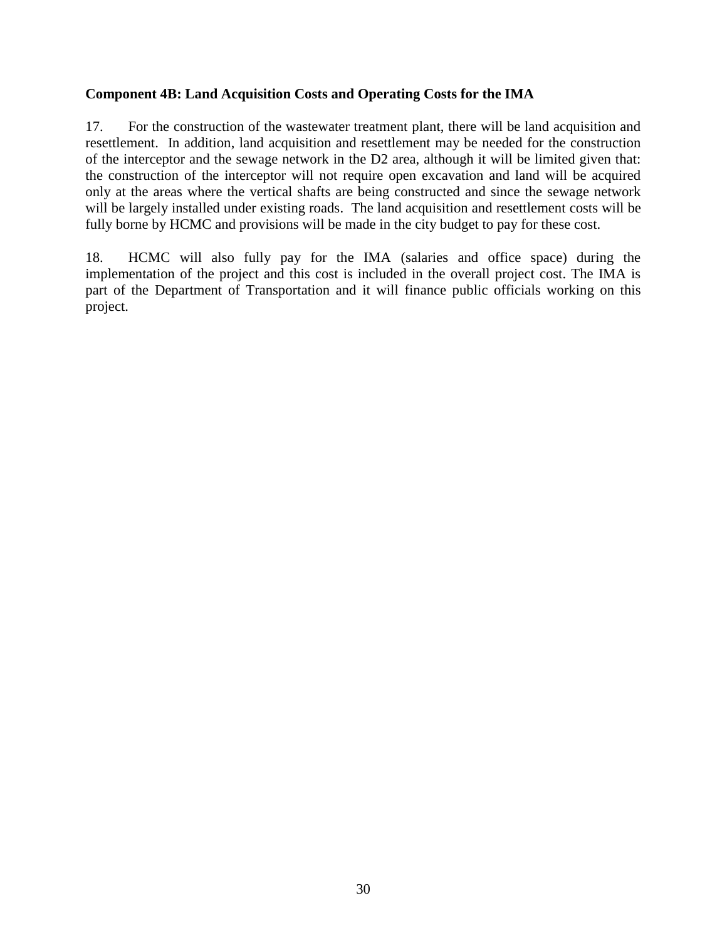### **Component 4B: Land Acquisition Costs and Operating Costs for the IMA**

17. For the construction of the wastewater treatment plant, there will be land acquisition and resettlement. In addition, land acquisition and resettlement may be needed for the construction of the interceptor and the sewage network in the D2 area, although it will be limited given that: the construction of the interceptor will not require open excavation and land will be acquired only at the areas where the vertical shafts are being constructed and since the sewage network will be largely installed under existing roads. The land acquisition and resettlement costs will be fully borne by HCMC and provisions will be made in the city budget to pay for these cost.

18. HCMC will also fully pay for the IMA (salaries and office space) during the implementation of the project and this cost is included in the overall project cost. The IMA is part of the Department of Transportation and it will finance public officials working on this project.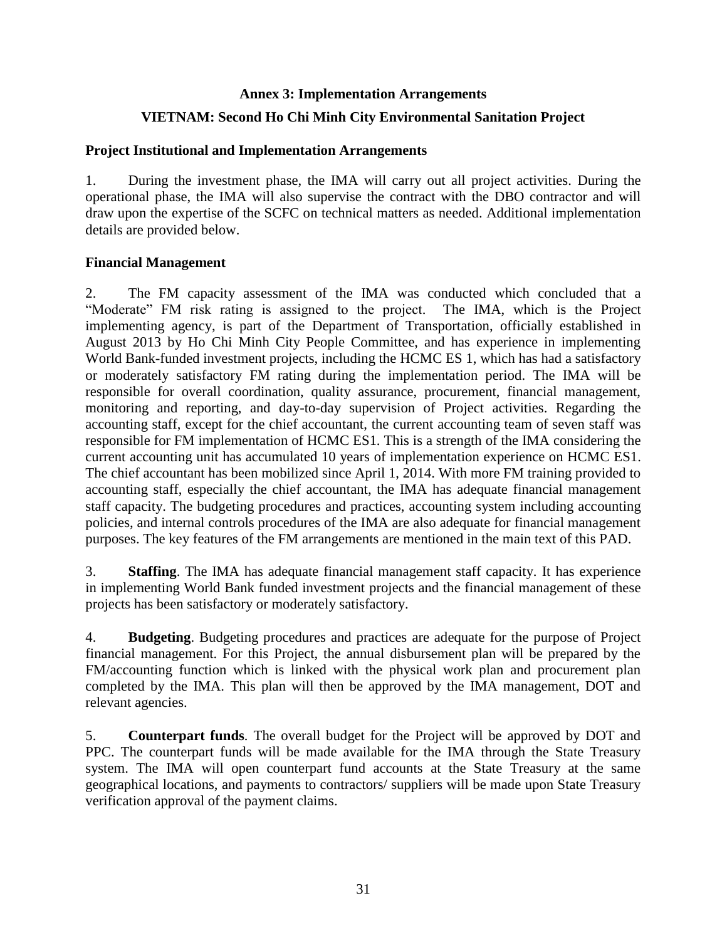#### **Annex 3: Implementation Arrangements**

### **VIETNAM: Second Ho Chi Minh City Environmental Sanitation Project**

#### **Project Institutional and Implementation Arrangements**

1. During the investment phase, the IMA will carry out all project activities. During the operational phase, the IMA will also supervise the contract with the DBO contractor and will draw upon the expertise of the SCFC on technical matters as needed. Additional implementation details are provided below.

#### **Financial Management**

2. The FM capacity assessment of the IMA was conducted which concluded that a "Moderate" FM risk rating is assigned to the project. The IMA, which is the Project implementing agency, is part of the Department of Transportation, officially established in August 2013 by Ho Chi Minh City People Committee, and has experience in implementing World Bank-funded investment projects, including the HCMC ES 1, which has had a satisfactory or moderately satisfactory FM rating during the implementation period. The IMA will be responsible for overall coordination, quality assurance, procurement, financial management, monitoring and reporting, and day-to-day supervision of Project activities. Regarding the accounting staff, except for the chief accountant, the current accounting team of seven staff was responsible for FM implementation of HCMC ES1. This is a strength of the IMA considering the current accounting unit has accumulated 10 years of implementation experience on HCMC ES1. The chief accountant has been mobilized since April 1, 2014. With more FM training provided to accounting staff, especially the chief accountant, the IMA has adequate financial management staff capacity. The budgeting procedures and practices, accounting system including accounting policies, and internal controls procedures of the IMA are also adequate for financial management purposes. The key features of the FM arrangements are mentioned in the main text of this PAD.

3. **Staffing**. The IMA has adequate financial management staff capacity. It has experience in implementing World Bank funded investment projects and the financial management of these projects has been satisfactory or moderately satisfactory.

4. **Budgeting**. Budgeting procedures and practices are adequate for the purpose of Project financial management. For this Project, the annual disbursement plan will be prepared by the FM/accounting function which is linked with the physical work plan and procurement plan completed by the IMA. This plan will then be approved by the IMA management, DOT and relevant agencies.

5. **Counterpart funds***.* The overall budget for the Project will be approved by DOT and PPC. The counterpart funds will be made available for the IMA through the State Treasury system. The IMA will open counterpart fund accounts at the State Treasury at the same geographical locations, and payments to contractors/ suppliers will be made upon State Treasury verification approval of the payment claims.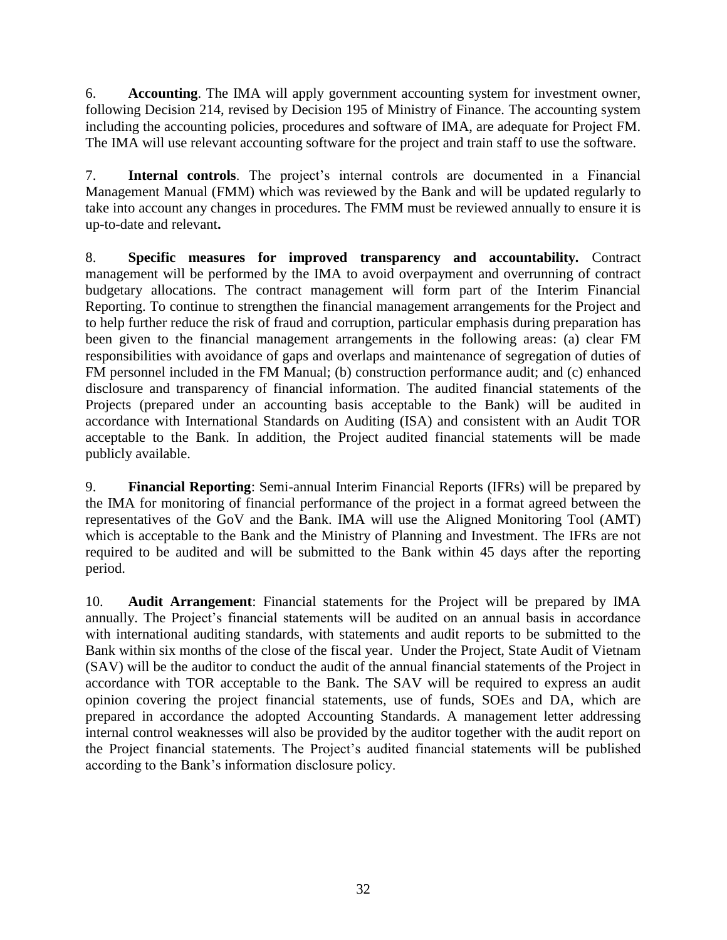6. **Accounting**. The IMA will apply government accounting system for investment owner, following Decision 214, revised by Decision 195 of Ministry of Finance. The accounting system including the accounting policies, procedures and software of IMA, are adequate for Project FM. The IMA will use relevant accounting software for the project and train staff to use the software.

7. **Internal controls**. The project's internal controls are documented in a Financial Management Manual (FMM) which was reviewed by the Bank and will be updated regularly to take into account any changes in procedures. The FMM must be reviewed annually to ensure it is up-to-date and relevant**.** 

8. **Specific measures for improved transparency and accountability***.* Contract management will be performed by the IMA to avoid overpayment and overrunning of contract budgetary allocations. The contract management will form part of the Interim Financial Reporting. To continue to strengthen the financial management arrangements for the Project and to help further reduce the risk of fraud and corruption, particular emphasis during preparation has been given to the financial management arrangements in the following areas: (a) clear FM responsibilities with avoidance of gaps and overlaps and maintenance of segregation of duties of FM personnel included in the FM Manual; (b) construction performance audit; and (c) enhanced disclosure and transparency of financial information. The audited financial statements of the Projects (prepared under an accounting basis acceptable to the Bank) will be audited in accordance with International Standards on Auditing (ISA) and consistent with an Audit TOR acceptable to the Bank. In addition, the Project audited financial statements will be made publicly available.

9. **Financial Reporting**: Semi-annual Interim Financial Reports (IFRs) will be prepared by the IMA for monitoring of financial performance of the project in a format agreed between the representatives of the GoV and the Bank. IMA will use the Aligned Monitoring Tool (AMT) which is acceptable to the Bank and the Ministry of Planning and Investment. The IFRs are not required to be audited and will be submitted to the Bank within 45 days after the reporting period.

10. **Audit Arrangement**: Financial statements for the Project will be prepared by IMA annually. The Project's financial statements will be audited on an annual basis in accordance with international auditing standards, with statements and audit reports to be submitted to the Bank within six months of the close of the fiscal year. Under the Project, State Audit of Vietnam (SAV) will be the auditor to conduct the audit of the annual financial statements of the Project in accordance with TOR acceptable to the Bank. The SAV will be required to express an audit opinion covering the project financial statements, use of funds, SOEs and DA, which are prepared in accordance the adopted Accounting Standards. A management letter addressing internal control weaknesses will also be provided by the auditor together with the audit report on the Project financial statements. The Project's audited financial statements will be published according to the Bank's information disclosure policy.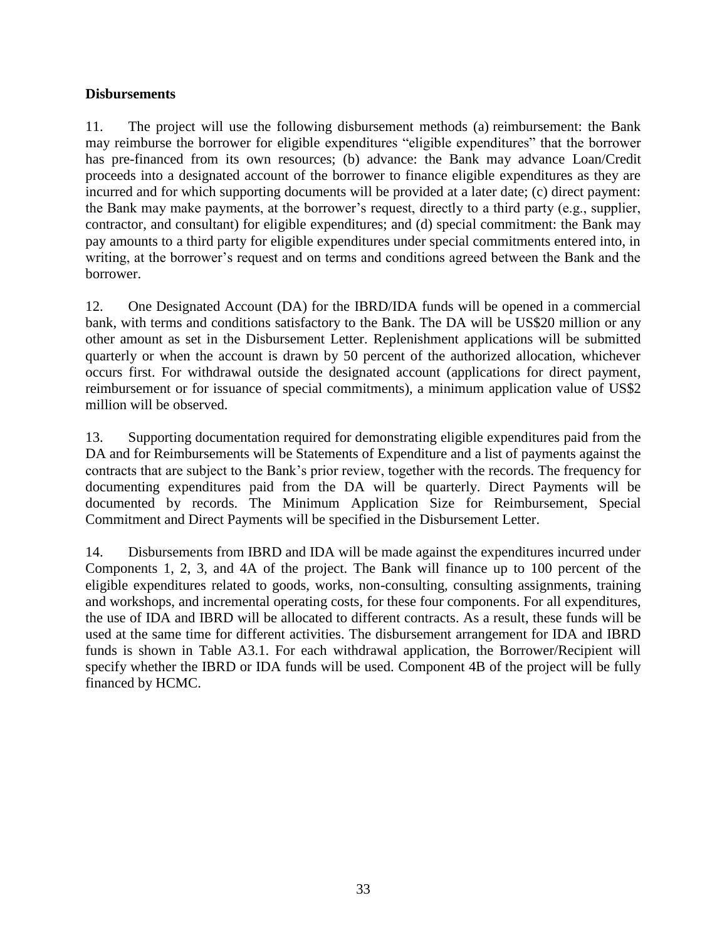## **Disbursements**

11. The project will use the following disbursement methods (a) reimbursement: the Bank may reimburse the borrower for eligible expenditures "eligible expenditures" that the borrower has pre-financed from its own resources; (b) advance: the Bank may advance Loan/Credit proceeds into a designated account of the borrower to finance eligible expenditures as they are incurred and for which supporting documents will be provided at a later date; (c) direct payment: the Bank may make payments, at the borrower's request, directly to a third party (e.g., supplier, contractor, and consultant) for eligible expenditures; and (d) special commitment: the Bank may pay amounts to a third party for eligible expenditures under special commitments entered into, in writing, at the borrower's request and on terms and conditions agreed between the Bank and the borrower.

12. One Designated Account (DA) for the IBRD/IDA funds will be opened in a commercial bank, with terms and conditions satisfactory to the Bank. The DA will be US\$20 million or any other amount as set in the Disbursement Letter. Replenishment applications will be submitted quarterly or when the account is drawn by 50 percent of the authorized allocation, whichever occurs first. For withdrawal outside the designated account (applications for direct payment, reimbursement or for issuance of special commitments), a minimum application value of US\$2 million will be observed.

13. Supporting documentation required for demonstrating eligible expenditures paid from the DA and for Reimbursements will be Statements of Expenditure and a list of payments against the contracts that are subject to the Bank's prior review, together with the records. The frequency for documenting expenditures paid from the DA will be quarterly. Direct Payments will be documented by records. The Minimum Application Size for Reimbursement, Special Commitment and Direct Payments will be specified in the Disbursement Letter.

14. Disbursements from IBRD and IDA will be made against the expenditures incurred under Components 1, 2, 3, and 4A of the project. The Bank will finance up to 100 percent of the eligible expenditures related to goods, works, non-consulting, consulting assignments, training and workshops, and incremental operating costs, for these four components. For all expenditures, the use of IDA and IBRD will be allocated to different contracts. As a result, these funds will be used at the same time for different activities. The disbursement arrangement for IDA and IBRD funds is shown in Table A3.1. For each withdrawal application, the Borrower/Recipient will specify whether the IBRD or IDA funds will be used. Component 4B of the project will be fully financed by HCMC.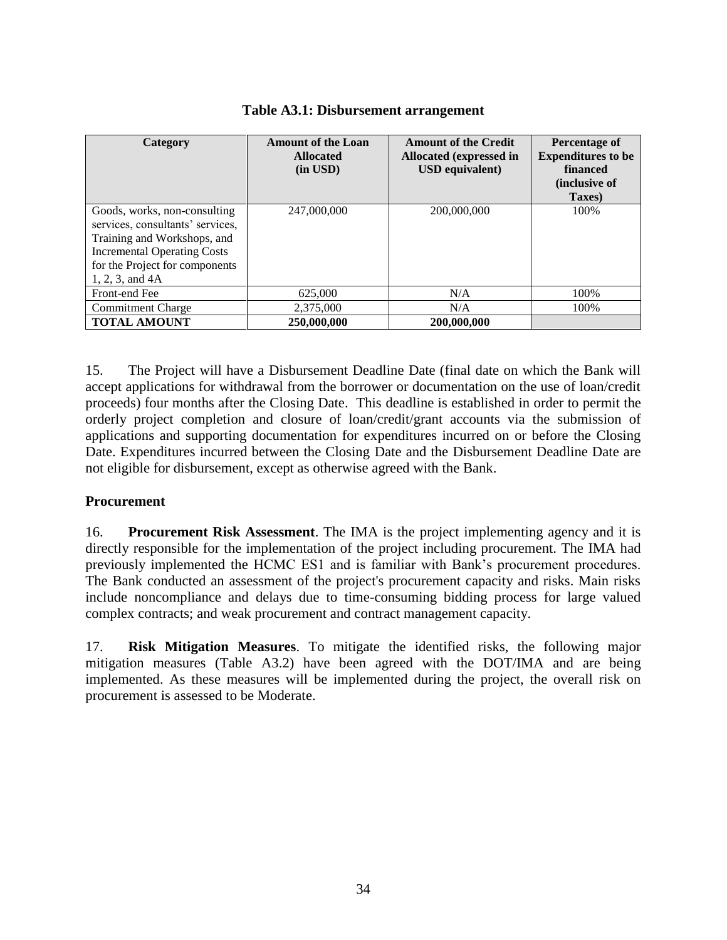| Category                                                                                                                                                                                   | <b>Amount of the Loan</b><br><b>Allocated</b><br>$(in$ USD $)$ | <b>Amount of the Credit</b><br>Allocated (expressed in<br><b>USD</b> equivalent) | Percentage of<br><b>Expenditures to be</b><br>financed<br><i>(inclusive of)</i><br>Taxes) |
|--------------------------------------------------------------------------------------------------------------------------------------------------------------------------------------------|----------------------------------------------------------------|----------------------------------------------------------------------------------|-------------------------------------------------------------------------------------------|
| Goods, works, non-consulting<br>services, consultants' services,<br>Training and Workshops, and<br><b>Incremental Operating Costs</b><br>for the Project for components<br>1, 2, 3, and 4A | 247,000,000                                                    | 200,000,000                                                                      | 100%                                                                                      |
| Front-end Fee                                                                                                                                                                              | 625,000                                                        | N/A                                                                              | 100%                                                                                      |
| <b>Commitment Charge</b>                                                                                                                                                                   | 2,375,000                                                      | N/A                                                                              | 100%                                                                                      |
| <b>TOTAL AMOUNT</b>                                                                                                                                                                        | 250,000,000                                                    | 200,000,000                                                                      |                                                                                           |

|  | Table A3.1: Disbursement arrangement |  |
|--|--------------------------------------|--|
|--|--------------------------------------|--|

15. The Project will have a Disbursement Deadline Date (final date on which the Bank will accept applications for withdrawal from the borrower or documentation on the use of loan/credit proceeds) four months after the Closing Date. This deadline is established in order to permit the orderly project completion and closure of loan/credit/grant accounts via the submission of applications and supporting documentation for expenditures incurred on or before the Closing Date. Expenditures incurred between the Closing Date and the Disbursement Deadline Date are not eligible for disbursement, except as otherwise agreed with the Bank.

## **Procurement**

16. **Procurement Risk Assessment**. The IMA is the project implementing agency and it is directly responsible for the implementation of the project including procurement. The IMA had previously implemented the HCMC ES1 and is familiar with Bank's procurement procedures. The Bank conducted an assessment of the project's procurement capacity and risks. Main risks include noncompliance and delays due to time-consuming bidding process for large valued complex contracts; and weak procurement and contract management capacity.

17. **Risk Mitigation Measures**. To mitigate the identified risks, the following major mitigation measures (Table A3.2) have been agreed with the DOT/IMA and are being implemented. As these measures will be implemented during the project, the overall risk on procurement is assessed to be Moderate.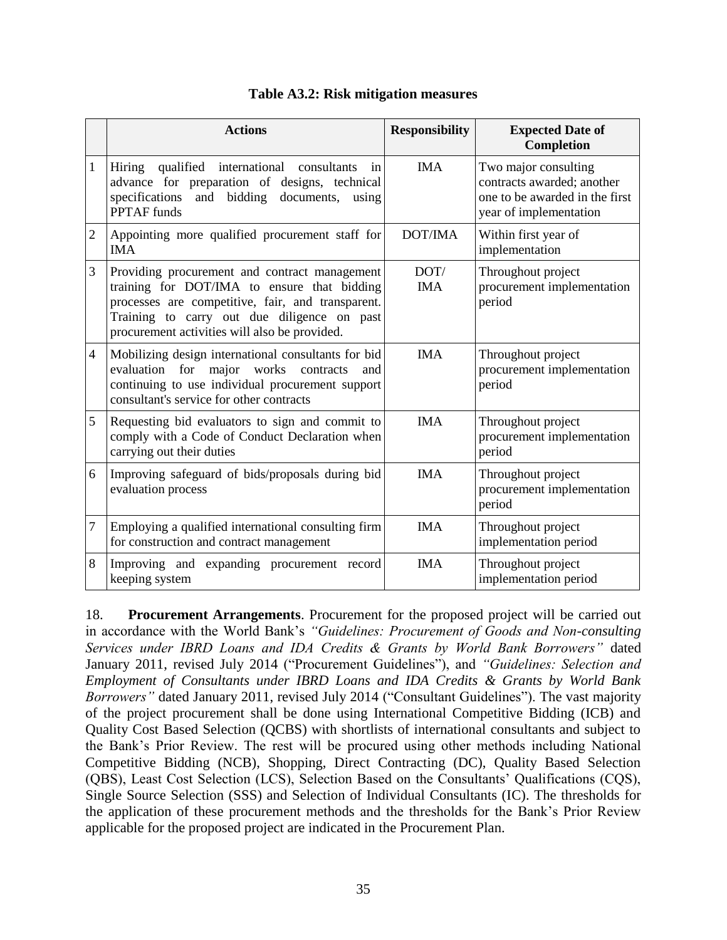|                  | <b>Actions</b>                                                                                                                                                                                                                                    | <b>Responsibility</b> | <b>Expected Date of</b><br><b>Completion</b>                                                                   |
|------------------|---------------------------------------------------------------------------------------------------------------------------------------------------------------------------------------------------------------------------------------------------|-----------------------|----------------------------------------------------------------------------------------------------------------|
| $\mathbf{1}$     | Hiring qualified international consultants<br>in<br>advance for preparation of designs, technical<br>and bidding<br>specifications<br>documents, using<br><b>PPTAF</b> funds                                                                      | <b>IMA</b>            | Two major consulting<br>contracts awarded; another<br>one to be awarded in the first<br>year of implementation |
| $\overline{2}$   | Appointing more qualified procurement staff for<br><b>IMA</b>                                                                                                                                                                                     | DOT/IMA               | Within first year of<br>implementation                                                                         |
| 3                | Providing procurement and contract management<br>training for DOT/IMA to ensure that bidding<br>processes are competitive, fair, and transparent.<br>Training to carry out due diligence on past<br>procurement activities will also be provided. | DOT/<br><b>IMA</b>    | Throughout project<br>procurement implementation<br>period                                                     |
| $\overline{4}$   | Mobilizing design international consultants for bid<br>evaluation<br>major<br>works<br>for<br>contracts<br>and<br>continuing to use individual procurement support<br>consultant's service for other contracts                                    | <b>IMA</b>            | Throughout project<br>procurement implementation<br>period                                                     |
| 5                | Requesting bid evaluators to sign and commit to<br>comply with a Code of Conduct Declaration when<br>carrying out their duties                                                                                                                    | <b>IMA</b>            | Throughout project<br>procurement implementation<br>period                                                     |
| 6                | Improving safeguard of bids/proposals during bid<br>evaluation process                                                                                                                                                                            | <b>IMA</b>            | Throughout project<br>procurement implementation<br>period                                                     |
| $\boldsymbol{7}$ | Employing a qualified international consulting firm<br>for construction and contract management                                                                                                                                                   | <b>IMA</b>            | Throughout project<br>implementation period                                                                    |
| 8                | Improving and expanding procurement record<br>keeping system                                                                                                                                                                                      | <b>IMA</b>            | Throughout project<br>implementation period                                                                    |

## **Table A3.2: Risk mitigation measures**

18. **Procurement Arrangements**. Procurement for the proposed project will be carried out in accordance with the World Bank's *"Guidelines: Procurement of Goods and Non-consulting Services under IBRD Loans and IDA Credits & Grants by World Bank Borrowers"* dated January 2011, revised July 2014 ("Procurement Guidelines"), and *"Guidelines: Selection and Employment of Consultants under IBRD Loans and IDA Credits & Grants by World Bank Borrowers"* dated January 2011, revised July 2014 ("Consultant Guidelines"). The vast majority of the project procurement shall be done using International Competitive Bidding (ICB) and Quality Cost Based Selection (QCBS) with shortlists of international consultants and subject to the Bank's Prior Review. The rest will be procured using other methods including National Competitive Bidding (NCB), Shopping, Direct Contracting (DC), Quality Based Selection (QBS), Least Cost Selection (LCS), Selection Based on the Consultants' Qualifications (CQS), Single Source Selection (SSS) and Selection of Individual Consultants (IC). The thresholds for the application of these procurement methods and the thresholds for the Bank's Prior Review applicable for the proposed project are indicated in the Procurement Plan.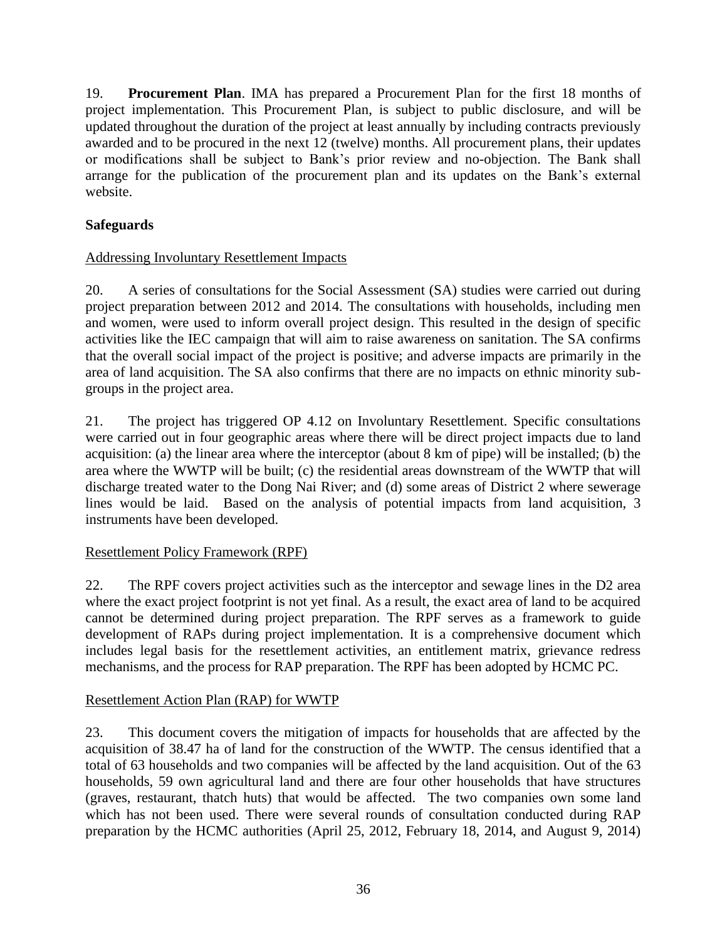19. **Procurement Plan**. IMA has prepared a Procurement Plan for the first 18 months of project implementation. This Procurement Plan, is subject to public disclosure, and will be updated throughout the duration of the project at least annually by including contracts previously awarded and to be procured in the next 12 (twelve) months. All procurement plans, their updates or modifications shall be subject to Bank's prior review and no-objection. The Bank shall arrange for the publication of the procurement plan and its updates on the Bank's external website.

## **Safeguards**

## Addressing Involuntary Resettlement Impacts

20. A series of consultations for the Social Assessment (SA) studies were carried out during project preparation between 2012 and 2014. The consultations with households, including men and women, were used to inform overall project design. This resulted in the design of specific activities like the IEC campaign that will aim to raise awareness on sanitation. The SA confirms that the overall social impact of the project is positive; and adverse impacts are primarily in the area of land acquisition. The SA also confirms that there are no impacts on ethnic minority subgroups in the project area.

21. The project has triggered OP 4.12 on Involuntary Resettlement. Specific consultations were carried out in four geographic areas where there will be direct project impacts due to land acquisition: (a) the linear area where the interceptor (about 8 km of pipe) will be installed; (b) the area where the WWTP will be built; (c) the residential areas downstream of the WWTP that will discharge treated water to the Dong Nai River; and (d) some areas of District 2 where sewerage lines would be laid. Based on the analysis of potential impacts from land acquisition, 3 instruments have been developed.

## Resettlement Policy Framework (RPF)

22. The RPF covers project activities such as the interceptor and sewage lines in the D2 area where the exact project footprint is not yet final. As a result, the exact area of land to be acquired cannot be determined during project preparation. The RPF serves as a framework to guide development of RAPs during project implementation. It is a comprehensive document which includes legal basis for the resettlement activities, an entitlement matrix, grievance redress mechanisms, and the process for RAP preparation. The RPF has been adopted by HCMC PC.

## Resettlement Action Plan (RAP) for WWTP

23. This document covers the mitigation of impacts for households that are affected by the acquisition of 38.47 ha of land for the construction of the WWTP. The census identified that a total of 63 households and two companies will be affected by the land acquisition. Out of the 63 households, 59 own agricultural land and there are four other households that have structures (graves, restaurant, thatch huts) that would be affected. The two companies own some land which has not been used. There were several rounds of consultation conducted during RAP preparation by the HCMC authorities (April 25, 2012, February 18, 2014, and August 9, 2014)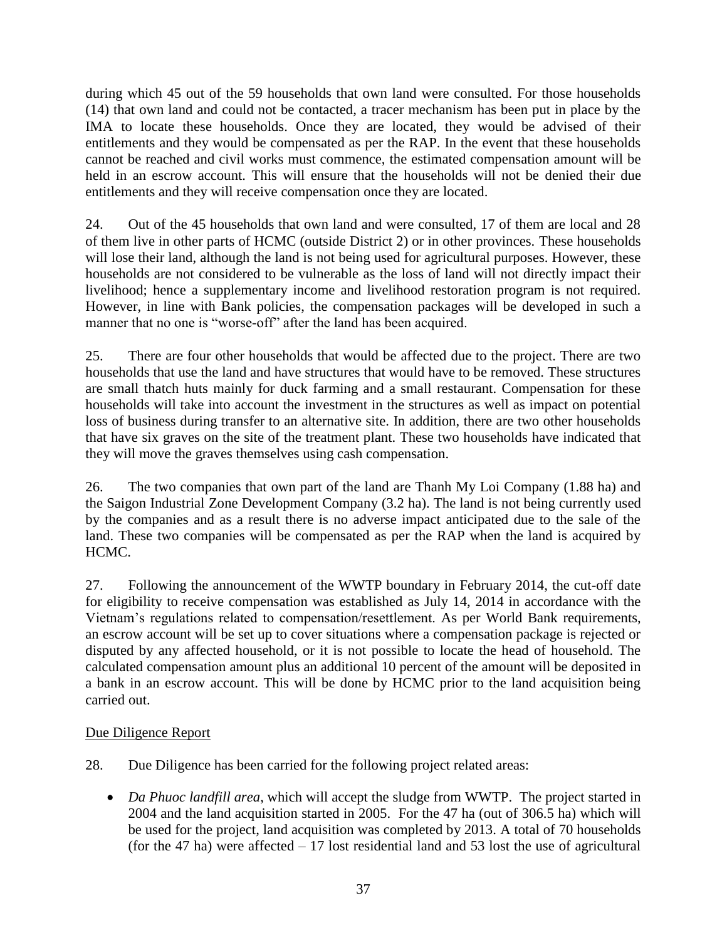during which 45 out of the 59 households that own land were consulted. For those households (14) that own land and could not be contacted, a tracer mechanism has been put in place by the IMA to locate these households. Once they are located, they would be advised of their entitlements and they would be compensated as per the RAP. In the event that these households cannot be reached and civil works must commence, the estimated compensation amount will be held in an escrow account. This will ensure that the households will not be denied their due entitlements and they will receive compensation once they are located.

24. Out of the 45 households that own land and were consulted, 17 of them are local and 28 of them live in other parts of HCMC (outside District 2) or in other provinces. These households will lose their land, although the land is not being used for agricultural purposes. However, these households are not considered to be vulnerable as the loss of land will not directly impact their livelihood; hence a supplementary income and livelihood restoration program is not required. However, in line with Bank policies, the compensation packages will be developed in such a manner that no one is "worse-off" after the land has been acquired.

25. There are four other households that would be affected due to the project. There are two households that use the land and have structures that would have to be removed. These structures are small thatch huts mainly for duck farming and a small restaurant. Compensation for these households will take into account the investment in the structures as well as impact on potential loss of business during transfer to an alternative site. In addition, there are two other households that have six graves on the site of the treatment plant. These two households have indicated that they will move the graves themselves using cash compensation.

26. The two companies that own part of the land are Thanh My Loi Company (1.88 ha) and the Saigon Industrial Zone Development Company (3.2 ha). The land is not being currently used by the companies and as a result there is no adverse impact anticipated due to the sale of the land. These two companies will be compensated as per the RAP when the land is acquired by HCMC.

27. Following the announcement of the WWTP boundary in February 2014, the cut-off date for eligibility to receive compensation was established as July 14, 2014 in accordance with the Vietnam's regulations related to compensation/resettlement. As per World Bank requirements, an escrow account will be set up to cover situations where a compensation package is rejected or disputed by any affected household, or it is not possible to locate the head of household. The calculated compensation amount plus an additional 10 percent of the amount will be deposited in a bank in an escrow account. This will be done by HCMC prior to the land acquisition being carried out.

## Due Diligence Report

- 28. Due Diligence has been carried for the following project related areas:
	- *Da Phuoc landfill area*, which will accept the sludge from WWTP. The project started in 2004 and the land acquisition started in 2005. For the 47 ha (out of 306.5 ha) which will be used for the project, land acquisition was completed by 2013. A total of 70 households (for the 47 ha) were affected  $-17$  lost residential land and 53 lost the use of agricultural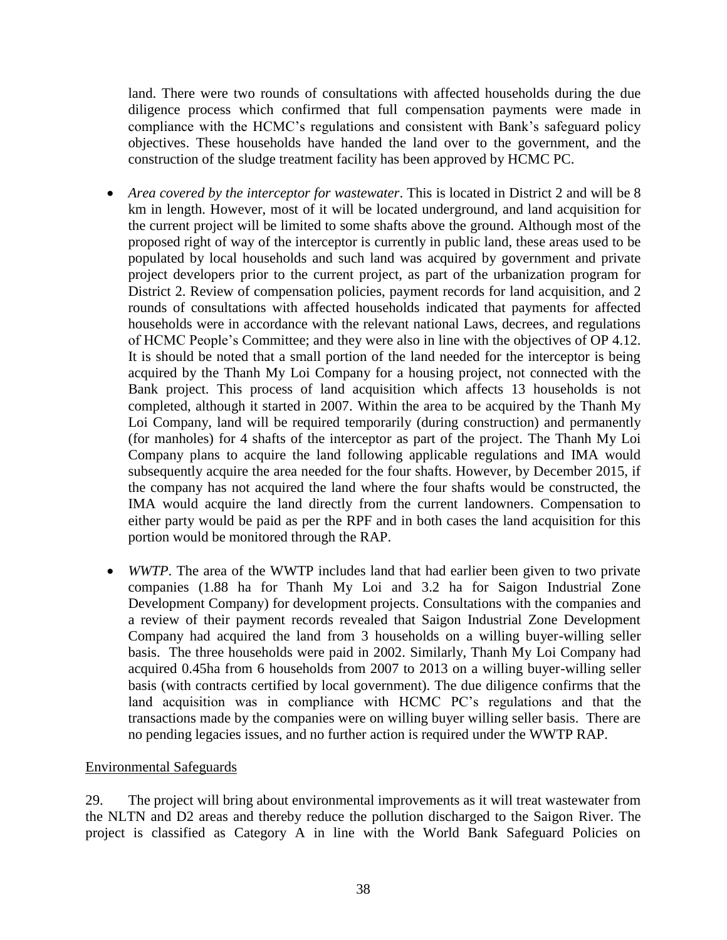land. There were two rounds of consultations with affected households during the due diligence process which confirmed that full compensation payments were made in compliance with the HCMC's regulations and consistent with Bank's safeguard policy objectives. These households have handed the land over to the government, and the construction of the sludge treatment facility has been approved by HCMC PC.

- *Area covered by the interceptor for wastewater*. This is located in District 2 and will be 8 km in length. However, most of it will be located underground, and land acquisition for the current project will be limited to some shafts above the ground. Although most of the proposed right of way of the interceptor is currently in public land, these areas used to be populated by local households and such land was acquired by government and private project developers prior to the current project, as part of the urbanization program for District 2. Review of compensation policies, payment records for land acquisition, and 2 rounds of consultations with affected households indicated that payments for affected households were in accordance with the relevant national Laws, decrees, and regulations of HCMC People's Committee; and they were also in line with the objectives of OP 4.12. It is should be noted that a small portion of the land needed for the interceptor is being acquired by the Thanh My Loi Company for a housing project, not connected with the Bank project. This process of land acquisition which affects 13 households is not completed, although it started in 2007. Within the area to be acquired by the Thanh My Loi Company, land will be required temporarily (during construction) and permanently (for manholes) for 4 shafts of the interceptor as part of the project. The Thanh My Loi Company plans to acquire the land following applicable regulations and IMA would subsequently acquire the area needed for the four shafts. However, by December 2015, if the company has not acquired the land where the four shafts would be constructed, the IMA would acquire the land directly from the current landowners. Compensation to either party would be paid as per the RPF and in both cases the land acquisition for this portion would be monitored through the RAP.
- *WWTP*. The area of the WWTP includes land that had earlier been given to two private companies (1.88 ha for Thanh My Loi and 3.2 ha for Saigon Industrial Zone Development Company) for development projects. Consultations with the companies and a review of their payment records revealed that Saigon Industrial Zone Development Company had acquired the land from 3 households on a willing buyer-willing seller basis. The three households were paid in 2002. Similarly, Thanh My Loi Company had acquired 0.45ha from 6 households from 2007 to 2013 on a willing buyer-willing seller basis (with contracts certified by local government). The due diligence confirms that the land acquisition was in compliance with HCMC PC's regulations and that the transactions made by the companies were on willing buyer willing seller basis. There are no pending legacies issues, and no further action is required under the WWTP RAP.

## Environmental Safeguards

29. The project will bring about environmental improvements as it will treat wastewater from the NLTN and D2 areas and thereby reduce the pollution discharged to the Saigon River. The project is classified as Category A in line with the World Bank Safeguard Policies on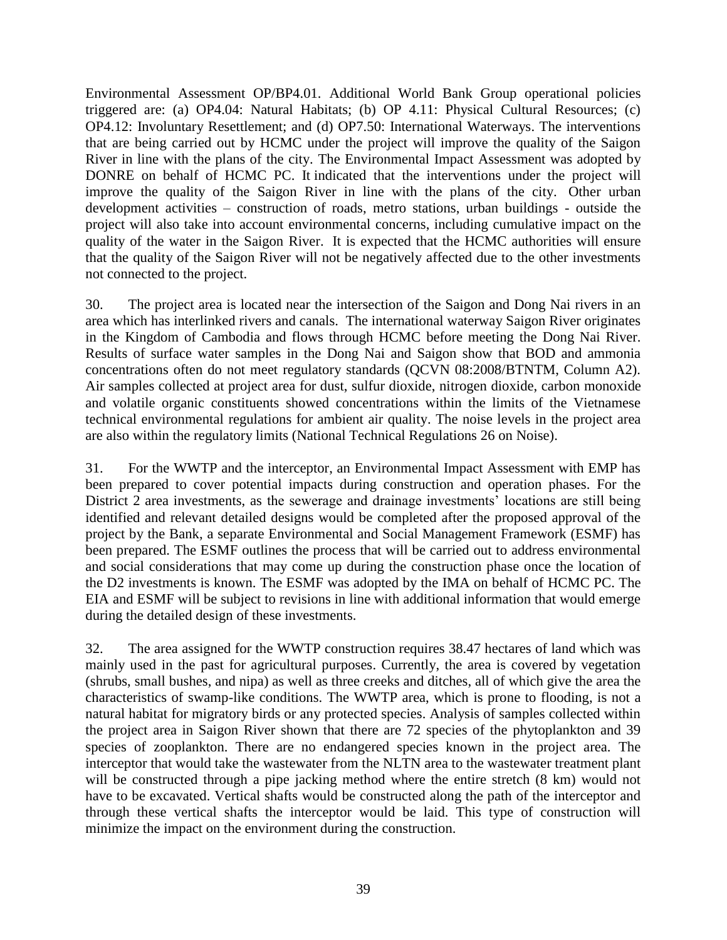Environmental Assessment OP/BP4.01. Additional World Bank Group operational policies triggered are: (a) OP4.04: Natural Habitats; (b) OP 4.11: Physical Cultural Resources; (c) OP4.12: Involuntary Resettlement; and (d) OP7.50: International Waterways. The interventions that are being carried out by HCMC under the project will improve the quality of the Saigon River in line with the plans of the city. The Environmental Impact Assessment was adopted by DONRE on behalf of HCMC PC. It indicated that the interventions under the project will improve the quality of the Saigon River in line with the plans of the city. Other urban development activities – construction of roads, metro stations, urban buildings - outside the project will also take into account environmental concerns, including cumulative impact on the quality of the water in the Saigon River. It is expected that the HCMC authorities will ensure that the quality of the Saigon River will not be negatively affected due to the other investments not connected to the project.

30. The project area is located near the intersection of the Saigon and Dong Nai rivers in an area which has interlinked rivers and canals. The international waterway Saigon River originates in the Kingdom of Cambodia and flows through HCMC before meeting the Dong Nai River. Results of surface water samples in the Dong Nai and Saigon show that BOD and ammonia concentrations often do not meet regulatory standards (QCVN 08:2008/BTNTM, Column A2). Air samples collected at project area for dust, sulfur dioxide, nitrogen dioxide, carbon monoxide and volatile organic constituents showed concentrations within the limits of the Vietnamese technical environmental regulations for ambient air quality. The noise levels in the project area are also within the regulatory limits (National Technical Regulations 26 on Noise).

31. For the WWTP and the interceptor, an Environmental Impact Assessment with EMP has been prepared to cover potential impacts during construction and operation phases. For the District 2 area investments, as the sewerage and drainage investments' locations are still being identified and relevant detailed designs would be completed after the proposed approval of the project by the Bank, a separate Environmental and Social Management Framework (ESMF) has been prepared. The ESMF outlines the process that will be carried out to address environmental and social considerations that may come up during the construction phase once the location of the D2 investments is known. The ESMF was adopted by the IMA on behalf of HCMC PC. The EIA and ESMF will be subject to revisions in line with additional information that would emerge during the detailed design of these investments.

32. The area assigned for the WWTP construction requires 38.47 hectares of land which was mainly used in the past for agricultural purposes. Currently, the area is covered by vegetation (shrubs, small bushes, and nipa) as well as three creeks and ditches, all of which give the area the characteristics of swamp-like conditions. The WWTP area, which is prone to flooding, is not a natural habitat for migratory birds or any protected species. Analysis of samples collected within the project area in Saigon River shown that there are 72 species of the phytoplankton and 39 species of zooplankton. There are no endangered species known in the project area. The interceptor that would take the wastewater from the NLTN area to the wastewater treatment plant will be constructed through a pipe jacking method where the entire stretch  $(8 \text{ km})$  would not have to be excavated. Vertical shafts would be constructed along the path of the interceptor and through these vertical shafts the interceptor would be laid. This type of construction will minimize the impact on the environment during the construction.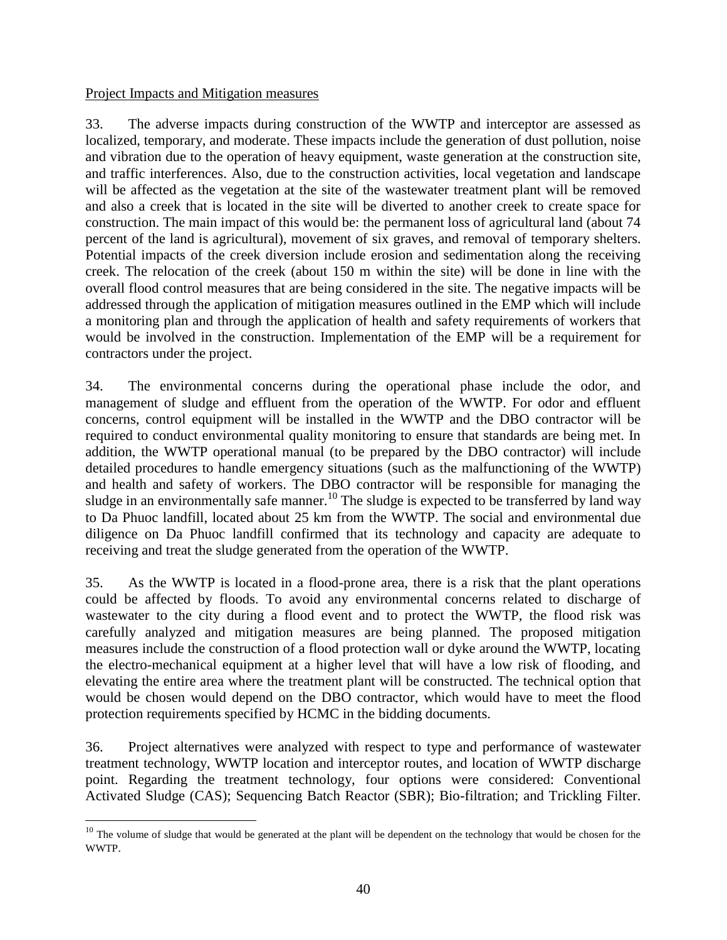#### Project Impacts and Mitigation measures

 $\overline{a}$ 

33. The adverse impacts during construction of the WWTP and interceptor are assessed as localized, temporary, and moderate. These impacts include the generation of dust pollution, noise and vibration due to the operation of heavy equipment, waste generation at the construction site, and traffic interferences. Also, due to the construction activities, local vegetation and landscape will be affected as the vegetation at the site of the wastewater treatment plant will be removed and also a creek that is located in the site will be diverted to another creek to create space for construction. The main impact of this would be: the permanent loss of agricultural land (about 74 percent of the land is agricultural), movement of six graves, and removal of temporary shelters. Potential impacts of the creek diversion include erosion and sedimentation along the receiving creek. The relocation of the creek (about 150 m within the site) will be done in line with the overall flood control measures that are being considered in the site. The negative impacts will be addressed through the application of mitigation measures outlined in the EMP which will include a monitoring plan and through the application of health and safety requirements of workers that would be involved in the construction. Implementation of the EMP will be a requirement for contractors under the project.

34. The environmental concerns during the operational phase include the odor, and management of sludge and effluent from the operation of the WWTP. For odor and effluent concerns, control equipment will be installed in the WWTP and the DBO contractor will be required to conduct environmental quality monitoring to ensure that standards are being met. In addition, the WWTP operational manual (to be prepared by the DBO contractor) will include detailed procedures to handle emergency situations (such as the malfunctioning of the WWTP) and health and safety of workers. The DBO contractor will be responsible for managing the sludge in an environmentally safe manner.<sup>10</sup> The sludge is expected to be transferred by land way to Da Phuoc landfill, located about 25 km from the WWTP. The social and environmental due diligence on Da Phuoc landfill confirmed that its technology and capacity are adequate to receiving and treat the sludge generated from the operation of the WWTP.

35. As the WWTP is located in a flood-prone area, there is a risk that the plant operations could be affected by floods. To avoid any environmental concerns related to discharge of wastewater to the city during a flood event and to protect the WWTP, the flood risk was carefully analyzed and mitigation measures are being planned. The proposed mitigation measures include the construction of a flood protection wall or dyke around the WWTP, locating the electro-mechanical equipment at a higher level that will have a low risk of flooding, and elevating the entire area where the treatment plant will be constructed. The technical option that would be chosen would depend on the DBO contractor, which would have to meet the flood protection requirements specified by HCMC in the bidding documents.

36. Project alternatives were analyzed with respect to type and performance of wastewater treatment technology, WWTP location and interceptor routes, and location of WWTP discharge point. Regarding the treatment technology, four options were considered: Conventional Activated Sludge (CAS); Sequencing Batch Reactor (SBR); Bio-filtration; and Trickling Filter.

 $10$  The volume of sludge that would be generated at the plant will be dependent on the technology that would be chosen for the WWTP.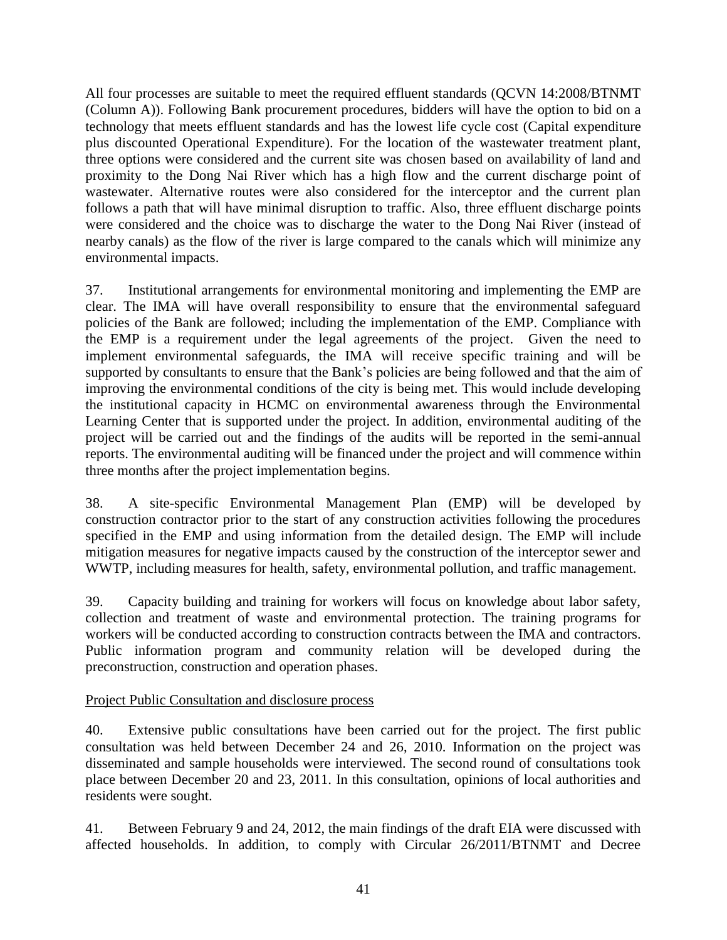All four processes are suitable to meet the required effluent standards (QCVN 14:2008/BTNMT (Column A)). Following Bank procurement procedures, bidders will have the option to bid on a technology that meets effluent standards and has the lowest life cycle cost (Capital expenditure plus discounted Operational Expenditure). For the location of the wastewater treatment plant, three options were considered and the current site was chosen based on availability of land and proximity to the Dong Nai River which has a high flow and the current discharge point of wastewater. Alternative routes were also considered for the interceptor and the current plan follows a path that will have minimal disruption to traffic. Also, three effluent discharge points were considered and the choice was to discharge the water to the Dong Nai River (instead of nearby canals) as the flow of the river is large compared to the canals which will minimize any environmental impacts.

37. Institutional arrangements for environmental monitoring and implementing the EMP are clear. The IMA will have overall responsibility to ensure that the environmental safeguard policies of the Bank are followed; including the implementation of the EMP. Compliance with the EMP is a requirement under the legal agreements of the project. Given the need to implement environmental safeguards, the IMA will receive specific training and will be supported by consultants to ensure that the Bank's policies are being followed and that the aim of improving the environmental conditions of the city is being met. This would include developing the institutional capacity in HCMC on environmental awareness through the Environmental Learning Center that is supported under the project. In addition, environmental auditing of the project will be carried out and the findings of the audits will be reported in the semi-annual reports. The environmental auditing will be financed under the project and will commence within three months after the project implementation begins.

38. A site-specific Environmental Management Plan (EMP) will be developed by construction contractor prior to the start of any construction activities following the procedures specified in the EMP and using information from the detailed design. The EMP will include mitigation measures for negative impacts caused by the construction of the interceptor sewer and WWTP, including measures for health, safety, environmental pollution, and traffic management.

39. Capacity building and training for workers will focus on knowledge about labor safety, collection and treatment of waste and environmental protection. The training programs for workers will be conducted according to construction contracts between the IMA and contractors. Public information program and community relation will be developed during the preconstruction, construction and operation phases.

## Project Public Consultation and disclosure process

40. Extensive public consultations have been carried out for the project. The first public consultation was held between December 24 and 26, 2010. Information on the project was disseminated and sample households were interviewed. The second round of consultations took place between December 20 and 23, 2011. In this consultation, opinions of local authorities and residents were sought.

41. Between February 9 and 24, 2012, the main findings of the draft EIA were discussed with affected households. In addition, to comply with Circular 26/2011/BTNMT and Decree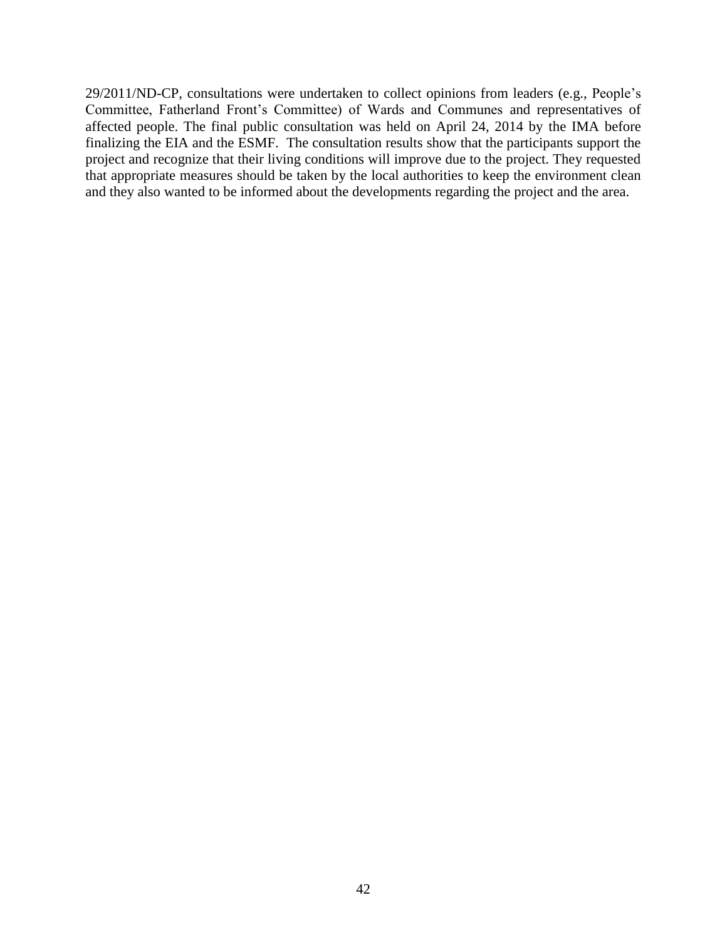29/2011/ND-CP, consultations were undertaken to collect opinions from leaders (e.g., People's Committee, Fatherland Front's Committee) of Wards and Communes and representatives of affected people. The final public consultation was held on April 24, 2014 by the IMA before finalizing the EIA and the ESMF. The consultation results show that the participants support the project and recognize that their living conditions will improve due to the project. They requested that appropriate measures should be taken by the local authorities to keep the environment clean and they also wanted to be informed about the developments regarding the project and the area.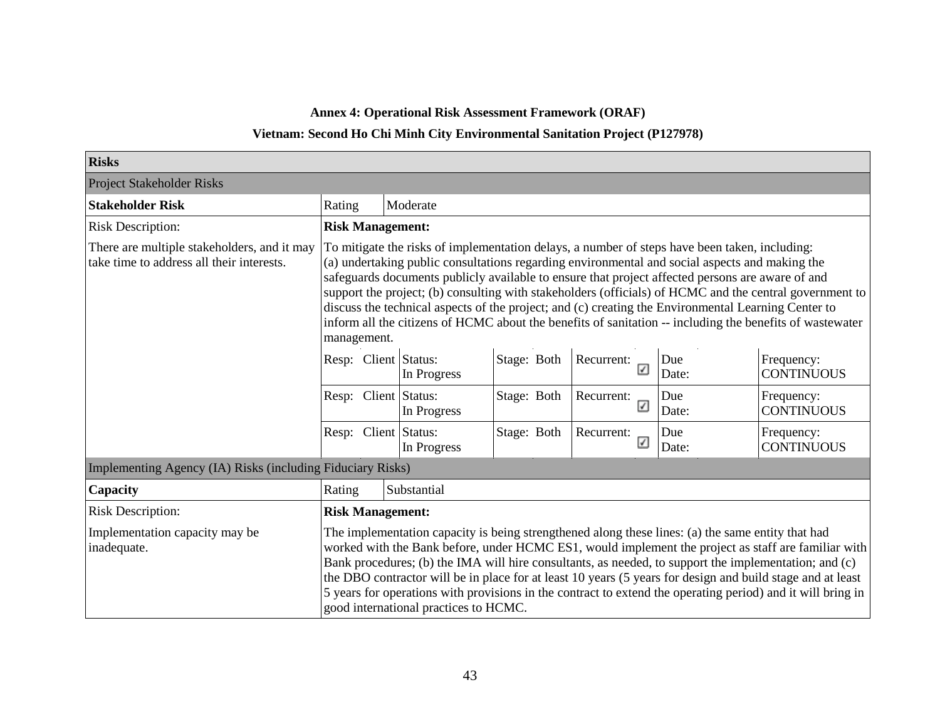**Annex 4: Operational Risk Assessment Framework (ORAF)**

### **Vietnam: Second Ho Chi Minh City Environmental Sanitation Project (P127978)**

| <b>Risks</b>                                                                             |                                                                                                                                                                                                                                                                                                                                                                                                                                                                                                                                                                                                                                                  |                         |             |             |                 |              |                                 |  |  |  |  |  |
|------------------------------------------------------------------------------------------|--------------------------------------------------------------------------------------------------------------------------------------------------------------------------------------------------------------------------------------------------------------------------------------------------------------------------------------------------------------------------------------------------------------------------------------------------------------------------------------------------------------------------------------------------------------------------------------------------------------------------------------------------|-------------------------|-------------|-------------|-----------------|--------------|---------------------------------|--|--|--|--|--|
| <b>Project Stakeholder Risks</b>                                                         |                                                                                                                                                                                                                                                                                                                                                                                                                                                                                                                                                                                                                                                  |                         |             |             |                 |              |                                 |  |  |  |  |  |
| <b>Stakeholder Risk</b>                                                                  | Rating                                                                                                                                                                                                                                                                                                                                                                                                                                                                                                                                                                                                                                           |                         | Moderate    |             |                 |              |                                 |  |  |  |  |  |
| <b>Risk Description:</b>                                                                 |                                                                                                                                                                                                                                                                                                                                                                                                                                                                                                                                                                                                                                                  | <b>Risk Management:</b> |             |             |                 |              |                                 |  |  |  |  |  |
| There are multiple stakeholders, and it may<br>take time to address all their interests. | To mitigate the risks of implementation delays, a number of steps have been taken, including:<br>(a) undertaking public consultations regarding environmental and social aspects and making the<br>safeguards documents publicly available to ensure that project affected persons are aware of and<br>support the project; (b) consulting with stakeholders (officials) of HCMC and the central government to<br>discuss the technical aspects of the project; and (c) creating the Environmental Learning Center to<br>inform all the citizens of HCMC about the benefits of sanitation -- including the benefits of wastewater<br>management. |                         |             |             |                 |              |                                 |  |  |  |  |  |
|                                                                                          | Resp: Client Status:                                                                                                                                                                                                                                                                                                                                                                                                                                                                                                                                                                                                                             |                         | In Progress | Stage: Both | Recurrent:<br>☑ | Due<br>Date: | Frequency:<br><b>CONTINUOUS</b> |  |  |  |  |  |
|                                                                                          | Resp: Client Status:                                                                                                                                                                                                                                                                                                                                                                                                                                                                                                                                                                                                                             |                         | In Progress | Stage: Both | Recurrent:<br>☑ | Due<br>Date: | Frequency:<br><b>CONTINUOUS</b> |  |  |  |  |  |
|                                                                                          | Resp: Client Status:                                                                                                                                                                                                                                                                                                                                                                                                                                                                                                                                                                                                                             |                         | In Progress | Stage: Both | Recurrent:<br>☑ | Due<br>Date: | Frequency:<br><b>CONTINUOUS</b> |  |  |  |  |  |
| Implementing Agency (IA) Risks (including Fiduciary Risks)                               |                                                                                                                                                                                                                                                                                                                                                                                                                                                                                                                                                                                                                                                  |                         |             |             |                 |              |                                 |  |  |  |  |  |
| Capacity                                                                                 | Rating                                                                                                                                                                                                                                                                                                                                                                                                                                                                                                                                                                                                                                           |                         | Substantial |             |                 |              |                                 |  |  |  |  |  |
| <b>Risk Description:</b>                                                                 | <b>Risk Management:</b>                                                                                                                                                                                                                                                                                                                                                                                                                                                                                                                                                                                                                          |                         |             |             |                 |              |                                 |  |  |  |  |  |
| Implementation capacity may be<br>inadequate.                                            | The implementation capacity is being strengthened along these lines: (a) the same entity that had<br>worked with the Bank before, under HCMC ES1, would implement the project as staff are familiar with<br>Bank procedures; (b) the IMA will hire consultants, as needed, to support the implementation; and (c)<br>the DBO contractor will be in place for at least 10 years (5 years for design and build stage and at least<br>5 years for operations with provisions in the contract to extend the operating period) and it will bring in<br>good international practices to HCMC.                                                          |                         |             |             |                 |              |                                 |  |  |  |  |  |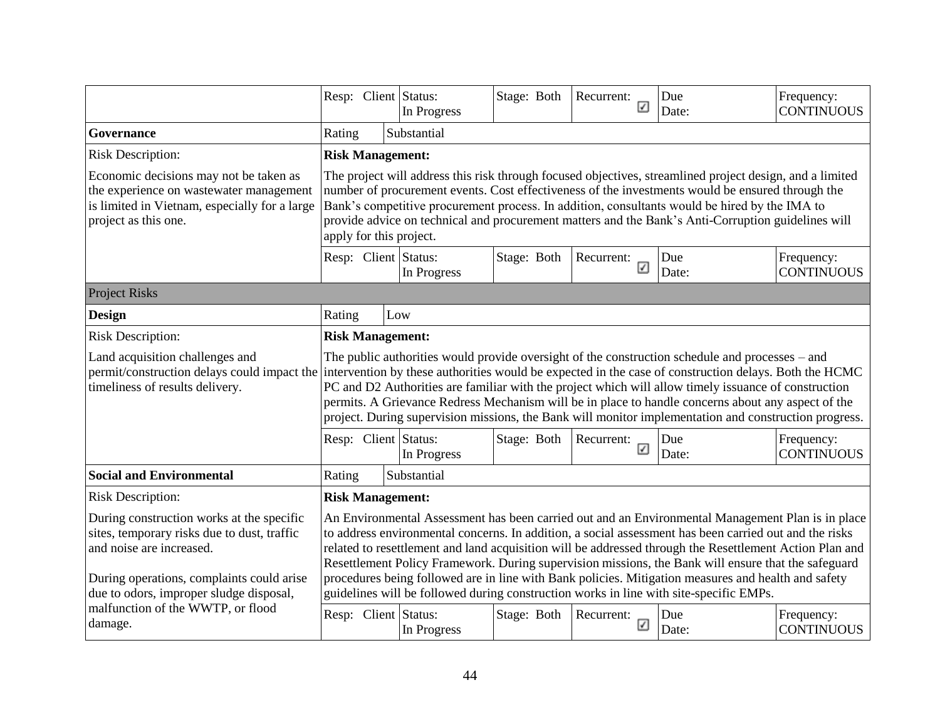|                                                                                                                                                                                                              |                                                                                                                                                                                                                                                                                                                                                                                                                                                                                                                                                                                                                                |                         | Resp: Client Status:<br>In Progress | Stage: Both | Recurrent:<br>☑ | Due<br>Date: | Frequency:<br><b>CONTINUOUS</b> |  |  |  |  |
|--------------------------------------------------------------------------------------------------------------------------------------------------------------------------------------------------------------|--------------------------------------------------------------------------------------------------------------------------------------------------------------------------------------------------------------------------------------------------------------------------------------------------------------------------------------------------------------------------------------------------------------------------------------------------------------------------------------------------------------------------------------------------------------------------------------------------------------------------------|-------------------------|-------------------------------------|-------------|-----------------|--------------|---------------------------------|--|--|--|--|
| Governance                                                                                                                                                                                                   | Rating                                                                                                                                                                                                                                                                                                                                                                                                                                                                                                                                                                                                                         |                         | Substantial                         |             |                 |              |                                 |  |  |  |  |
| <b>Risk Description:</b>                                                                                                                                                                                     |                                                                                                                                                                                                                                                                                                                                                                                                                                                                                                                                                                                                                                | <b>Risk Management:</b> |                                     |             |                 |              |                                 |  |  |  |  |
| Economic decisions may not be taken as<br>the experience on wastewater management<br>is limited in Vietnam, especially for a large<br>project as this one.                                                   | The project will address this risk through focused objectives, streamlined project design, and a limited<br>number of procurement events. Cost effectiveness of the investments would be ensured through the<br>Bank's competitive procurement process. In addition, consultants would be hired by the IMA to<br>provide advice on technical and procurement matters and the Bank's Anti-Corruption guidelines will<br>apply for this project.                                                                                                                                                                                 |                         |                                     |             |                 |              |                                 |  |  |  |  |
|                                                                                                                                                                                                              |                                                                                                                                                                                                                                                                                                                                                                                                                                                                                                                                                                                                                                |                         | Resp: Client Status:<br>In Progress | Stage: Both | Recurrent:<br>☑ | Due<br>Date: | Frequency:<br><b>CONTINUOUS</b> |  |  |  |  |
| <b>Project Risks</b>                                                                                                                                                                                         |                                                                                                                                                                                                                                                                                                                                                                                                                                                                                                                                                                                                                                |                         |                                     |             |                 |              |                                 |  |  |  |  |
| <b>Design</b>                                                                                                                                                                                                |                                                                                                                                                                                                                                                                                                                                                                                                                                                                                                                                                                                                                                | Rating<br>Low           |                                     |             |                 |              |                                 |  |  |  |  |
| <b>Risk Description:</b>                                                                                                                                                                                     |                                                                                                                                                                                                                                                                                                                                                                                                                                                                                                                                                                                                                                | <b>Risk Management:</b> |                                     |             |                 |              |                                 |  |  |  |  |
| Land acquisition challenges and<br>timeliness of results delivery.                                                                                                                                           | The public authorities would provide oversight of the construction schedule and processes – and<br>permit/construction delays could impact the intervention by these authorities would be expected in the case of construction delays. Both the HCMC<br>PC and D2 Authorities are familiar with the project which will allow timely issuance of construction<br>permits. A Grievance Redress Mechanism will be in place to handle concerns about any aspect of the<br>project. During supervision missions, the Bank will monitor implementation and construction progress.                                                    |                         |                                     |             |                 |              |                                 |  |  |  |  |
|                                                                                                                                                                                                              |                                                                                                                                                                                                                                                                                                                                                                                                                                                                                                                                                                                                                                |                         | Resp: Client Status:<br>In Progress | Stage: Both | Recurrent:<br>☑ | Due<br>Date: | Frequency:<br><b>CONTINUOUS</b> |  |  |  |  |
| <b>Social and Environmental</b>                                                                                                                                                                              | Rating                                                                                                                                                                                                                                                                                                                                                                                                                                                                                                                                                                                                                         |                         | Substantial                         |             |                 |              |                                 |  |  |  |  |
| <b>Risk Description:</b>                                                                                                                                                                                     |                                                                                                                                                                                                                                                                                                                                                                                                                                                                                                                                                                                                                                | <b>Risk Management:</b> |                                     |             |                 |              |                                 |  |  |  |  |
| During construction works at the specific<br>sites, temporary risks due to dust, traffic<br>and noise are increased.<br>During operations, complaints could arise<br>due to odors, improper sludge disposal, | An Environmental Assessment has been carried out and an Environmental Management Plan is in place<br>to address environmental concerns. In addition, a social assessment has been carried out and the risks<br>related to resettlement and land acquisition will be addressed through the Resettlement Action Plan and<br>Resettlement Policy Framework. During supervision missions, the Bank will ensure that the safeguard<br>procedures being followed are in line with Bank policies. Mitigation measures and health and safety<br>guidelines will be followed during construction works in line with site-specific EMPs. |                         |                                     |             |                 |              |                                 |  |  |  |  |
| malfunction of the WWTP, or flood<br>damage.                                                                                                                                                                 |                                                                                                                                                                                                                                                                                                                                                                                                                                                                                                                                                                                                                                |                         | Resp: Client Status:<br>In Progress | Stage: Both | Recurrent:<br>☑ | Due<br>Date: | Frequency:<br><b>CONTINUOUS</b> |  |  |  |  |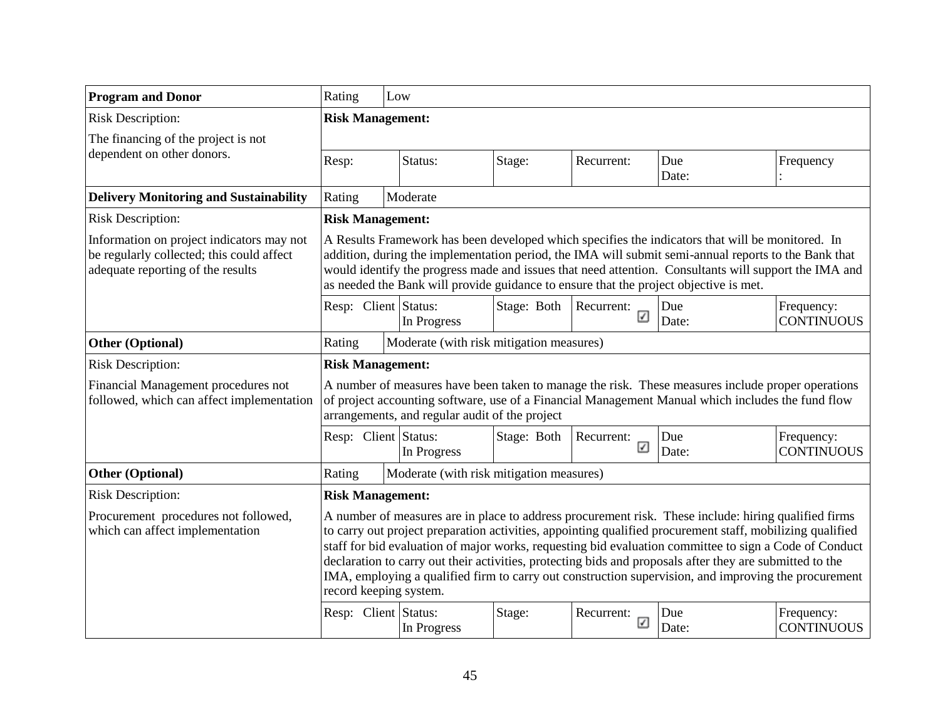| <b>Program and Donor</b>                                                                                                    | Rating                                                                                                                                                                                                                                                                                                                                                                                                     | Low                                                                                                                                                                                                                                                                                                                                                                                                                                                                                                                                                                       |             |                 |                                                                                                                                                                                                        |                                 |  |  |  |  |  |
|-----------------------------------------------------------------------------------------------------------------------------|------------------------------------------------------------------------------------------------------------------------------------------------------------------------------------------------------------------------------------------------------------------------------------------------------------------------------------------------------------------------------------------------------------|---------------------------------------------------------------------------------------------------------------------------------------------------------------------------------------------------------------------------------------------------------------------------------------------------------------------------------------------------------------------------------------------------------------------------------------------------------------------------------------------------------------------------------------------------------------------------|-------------|-----------------|--------------------------------------------------------------------------------------------------------------------------------------------------------------------------------------------------------|---------------------------------|--|--|--|--|--|
| <b>Risk Description:</b>                                                                                                    | <b>Risk Management:</b>                                                                                                                                                                                                                                                                                                                                                                                    |                                                                                                                                                                                                                                                                                                                                                                                                                                                                                                                                                                           |             |                 |                                                                                                                                                                                                        |                                 |  |  |  |  |  |
| The financing of the project is not                                                                                         |                                                                                                                                                                                                                                                                                                                                                                                                            |                                                                                                                                                                                                                                                                                                                                                                                                                                                                                                                                                                           |             |                 |                                                                                                                                                                                                        |                                 |  |  |  |  |  |
| dependent on other donors.                                                                                                  | Resp:                                                                                                                                                                                                                                                                                                                                                                                                      | Status:<br>Stage:                                                                                                                                                                                                                                                                                                                                                                                                                                                                                                                                                         |             | Recurrent:      | Due<br>Date:                                                                                                                                                                                           | Frequency                       |  |  |  |  |  |
| <b>Delivery Monitoring and Sustainability</b>                                                                               | Rating                                                                                                                                                                                                                                                                                                                                                                                                     | Moderate                                                                                                                                                                                                                                                                                                                                                                                                                                                                                                                                                                  |             |                 |                                                                                                                                                                                                        |                                 |  |  |  |  |  |
| <b>Risk Description:</b>                                                                                                    | <b>Risk Management:</b>                                                                                                                                                                                                                                                                                                                                                                                    |                                                                                                                                                                                                                                                                                                                                                                                                                                                                                                                                                                           |             |                 |                                                                                                                                                                                                        |                                 |  |  |  |  |  |
| Information on project indicators may not<br>be regularly collected; this could affect<br>adequate reporting of the results | A Results Framework has been developed which specifies the indicators that will be monitored. In<br>addition, during the implementation period, the IMA will submit semi-annual reports to the Bank that<br>would identify the progress made and issues that need attention. Consultants will support the IMA and<br>as needed the Bank will provide guidance to ensure that the project objective is met. |                                                                                                                                                                                                                                                                                                                                                                                                                                                                                                                                                                           |             |                 |                                                                                                                                                                                                        |                                 |  |  |  |  |  |
|                                                                                                                             | Resp: Client Status:                                                                                                                                                                                                                                                                                                                                                                                       | In Progress                                                                                                                                                                                                                                                                                                                                                                                                                                                                                                                                                               | Stage: Both | Recurrent:<br>☑ | Due<br>Date:                                                                                                                                                                                           | Frequency:<br><b>CONTINUOUS</b> |  |  |  |  |  |
| <b>Other (Optional)</b>                                                                                                     | Rating                                                                                                                                                                                                                                                                                                                                                                                                     | Moderate (with risk mitigation measures)                                                                                                                                                                                                                                                                                                                                                                                                                                                                                                                                  |             |                 |                                                                                                                                                                                                        |                                 |  |  |  |  |  |
| <b>Risk Description:</b>                                                                                                    | <b>Risk Management:</b>                                                                                                                                                                                                                                                                                                                                                                                    |                                                                                                                                                                                                                                                                                                                                                                                                                                                                                                                                                                           |             |                 |                                                                                                                                                                                                        |                                 |  |  |  |  |  |
| Financial Management procedures not<br>followed, which can affect implementation                                            |                                                                                                                                                                                                                                                                                                                                                                                                            | arrangements, and regular audit of the project                                                                                                                                                                                                                                                                                                                                                                                                                                                                                                                            |             |                 | A number of measures have been taken to manage the risk. These measures include proper operations<br>of project accounting software, use of a Financial Management Manual which includes the fund flow |                                 |  |  |  |  |  |
|                                                                                                                             | Resp: Client Status:                                                                                                                                                                                                                                                                                                                                                                                       | In Progress                                                                                                                                                                                                                                                                                                                                                                                                                                                                                                                                                               | Stage: Both | Recurrent:<br>☑ | Due<br>Date:                                                                                                                                                                                           | Frequency:<br><b>CONTINUOUS</b> |  |  |  |  |  |
| <b>Other (Optional)</b>                                                                                                     | Rating                                                                                                                                                                                                                                                                                                                                                                                                     | Moderate (with risk mitigation measures)                                                                                                                                                                                                                                                                                                                                                                                                                                                                                                                                  |             |                 |                                                                                                                                                                                                        |                                 |  |  |  |  |  |
| <b>Risk Description:</b>                                                                                                    | <b>Risk Management:</b>                                                                                                                                                                                                                                                                                                                                                                                    |                                                                                                                                                                                                                                                                                                                                                                                                                                                                                                                                                                           |             |                 |                                                                                                                                                                                                        |                                 |  |  |  |  |  |
| Procurement procedures not followed,<br>which can affect implementation                                                     |                                                                                                                                                                                                                                                                                                                                                                                                            | A number of measures are in place to address procurement risk. These include: hiring qualified firms<br>to carry out project preparation activities, appointing qualified procurement staff, mobilizing qualified<br>staff for bid evaluation of major works, requesting bid evaluation committee to sign a Code of Conduct<br>declaration to carry out their activities, protecting bids and proposals after they are submitted to the<br>IMA, employing a qualified firm to carry out construction supervision, and improving the procurement<br>record keeping system. |             |                 |                                                                                                                                                                                                        |                                 |  |  |  |  |  |
|                                                                                                                             | Resp: Client Status:                                                                                                                                                                                                                                                                                                                                                                                       | In Progress                                                                                                                                                                                                                                                                                                                                                                                                                                                                                                                                                               | Stage:      | Recurrent:<br>☑ | Due<br>Date:                                                                                                                                                                                           | Frequency:<br><b>CONTINUOUS</b> |  |  |  |  |  |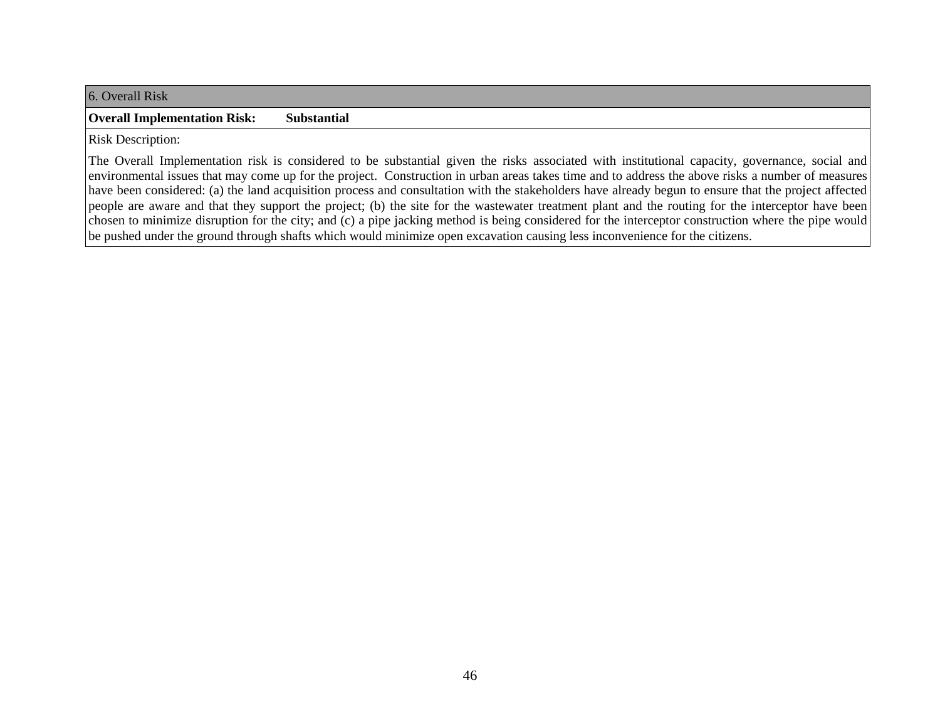6. Overall Risk

#### **Overall Implementation Risk: Substantial**

Risk Description:

The Overall Implementation risk is considered to be substantial given the risks associated with institutional capacity, governance, social and environmental issues that may come up for the project. Construction in urban areas takes time and to address the above risks a number of measures have been considered: (a) the land acquisition process and consultation with the stakeholders have already begun to ensure that the project affected people are aware and that they support the project; (b) the site for the wastewater treatment plant and the routing for the interceptor have been chosen to minimize disruption for the city; and (c) a pipe jacking method is being considered for the interceptor construction where the pipe would be pushed under the ground through shafts which would minimize open excavation causing less inconvenience for the citizens.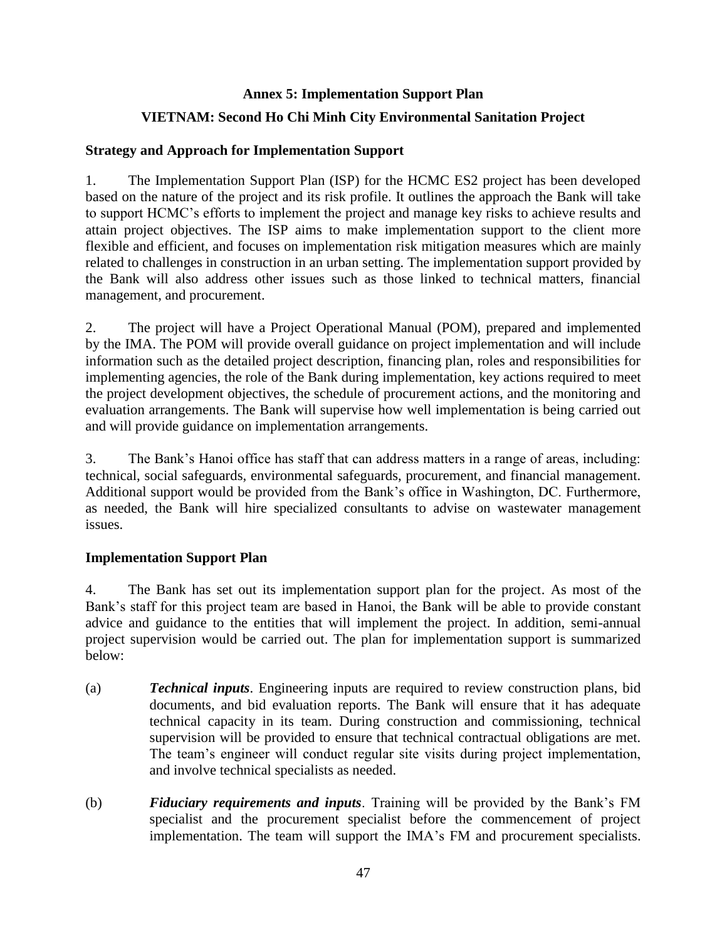### **Annex 5: Implementation Support Plan**

## **VIETNAM: Second Ho Chi Minh City Environmental Sanitation Project**

## **Strategy and Approach for Implementation Support**

1. The Implementation Support Plan (ISP) for the HCMC ES2 project has been developed based on the nature of the project and its risk profile. It outlines the approach the Bank will take to support HCMC's efforts to implement the project and manage key risks to achieve results and attain project objectives. The ISP aims to make implementation support to the client more flexible and efficient, and focuses on implementation risk mitigation measures which are mainly related to challenges in construction in an urban setting. The implementation support provided by the Bank will also address other issues such as those linked to technical matters, financial management, and procurement.

2. The project will have a Project Operational Manual (POM), prepared and implemented by the IMA. The POM will provide overall guidance on project implementation and will include information such as the detailed project description, financing plan, roles and responsibilities for implementing agencies, the role of the Bank during implementation, key actions required to meet the project development objectives, the schedule of procurement actions, and the monitoring and evaluation arrangements. The Bank will supervise how well implementation is being carried out and will provide guidance on implementation arrangements.

3. The Bank's Hanoi office has staff that can address matters in a range of areas, including: technical, social safeguards, environmental safeguards, procurement, and financial management. Additional support would be provided from the Bank's office in Washington, DC. Furthermore, as needed, the Bank will hire specialized consultants to advise on wastewater management issues.

## **Implementation Support Plan**

4. The Bank has set out its implementation support plan for the project. As most of the Bank's staff for this project team are based in Hanoi, the Bank will be able to provide constant advice and guidance to the entities that will implement the project. In addition, semi-annual project supervision would be carried out. The plan for implementation support is summarized below:

- (a) *Technical inputs*. Engineering inputs are required to review construction plans, bid documents, and bid evaluation reports. The Bank will ensure that it has adequate technical capacity in its team. During construction and commissioning, technical supervision will be provided to ensure that technical contractual obligations are met. The team's engineer will conduct regular site visits during project implementation, and involve technical specialists as needed.
- (b) *Fiduciary requirements and inputs*. Training will be provided by the Bank's FM specialist and the procurement specialist before the commencement of project implementation. The team will support the IMA's FM and procurement specialists.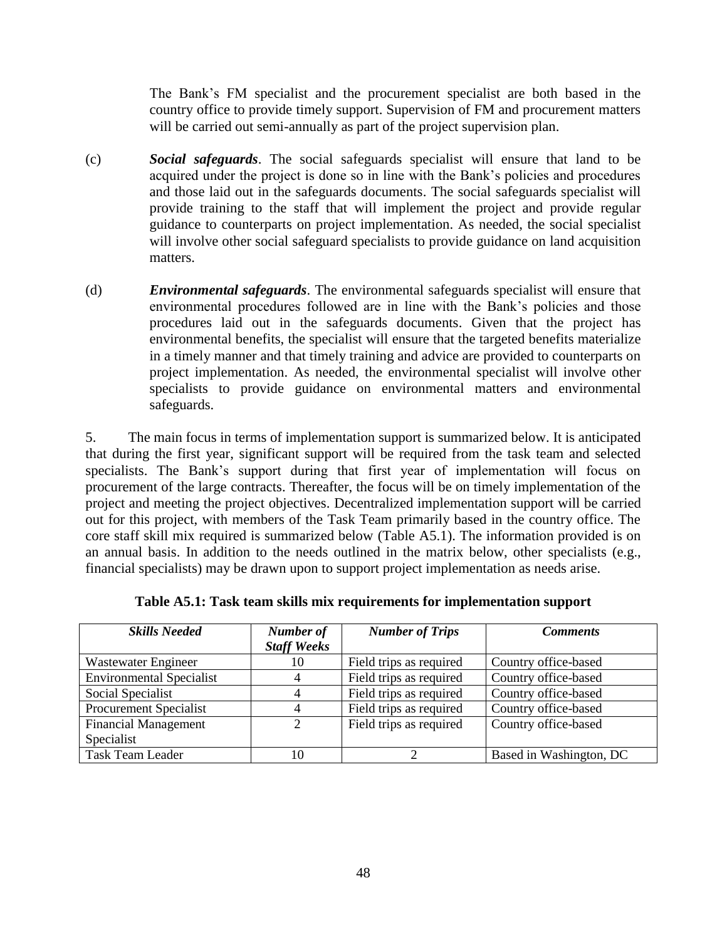The Bank's FM specialist and the procurement specialist are both based in the country office to provide timely support. Supervision of FM and procurement matters will be carried out semi-annually as part of the project supervision plan.

- (c) *Social safeguards*. The social safeguards specialist will ensure that land to be acquired under the project is done so in line with the Bank's policies and procedures and those laid out in the safeguards documents. The social safeguards specialist will provide training to the staff that will implement the project and provide regular guidance to counterparts on project implementation. As needed, the social specialist will involve other social safeguard specialists to provide guidance on land acquisition matters.
- (d) *Environmental safeguards*. The environmental safeguards specialist will ensure that environmental procedures followed are in line with the Bank's policies and those procedures laid out in the safeguards documents. Given that the project has environmental benefits, the specialist will ensure that the targeted benefits materialize in a timely manner and that timely training and advice are provided to counterparts on project implementation. As needed, the environmental specialist will involve other specialists to provide guidance on environmental matters and environmental safeguards.

5. The main focus in terms of implementation support is summarized below. It is anticipated that during the first year, significant support will be required from the task team and selected specialists. The Bank's support during that first year of implementation will focus on procurement of the large contracts. Thereafter, the focus will be on timely implementation of the project and meeting the project objectives. Decentralized implementation support will be carried out for this project, with members of the Task Team primarily based in the country office. The core staff skill mix required is summarized below (Table A5.1). The information provided is on an annual basis. In addition to the needs outlined in the matrix below, other specialists (e.g., financial specialists) may be drawn upon to support project implementation as needs arise.

| <b>Skills Needed</b>            | Number of<br><b>Staff Weeks</b> | <b>Number of Trips</b>  | <b>Comments</b>         |
|---------------------------------|---------------------------------|-------------------------|-------------------------|
| Wastewater Engineer             | 10                              | Field trips as required | Country office-based    |
| <b>Environmental Specialist</b> |                                 | Field trips as required | Country office-based    |
| Social Specialist               |                                 | Field trips as required | Country office-based    |
| <b>Procurement Specialist</b>   |                                 | Field trips as required | Country office-based    |
| <b>Financial Management</b>     | 2                               | Field trips as required | Country office-based    |
| Specialist                      |                                 |                         |                         |
| <b>Task Team Leader</b>         | 10                              |                         | Based in Washington, DC |

|  | Table A5.1: Task team skills mix requirements for implementation support |  |  |
|--|--------------------------------------------------------------------------|--|--|
|  |                                                                          |  |  |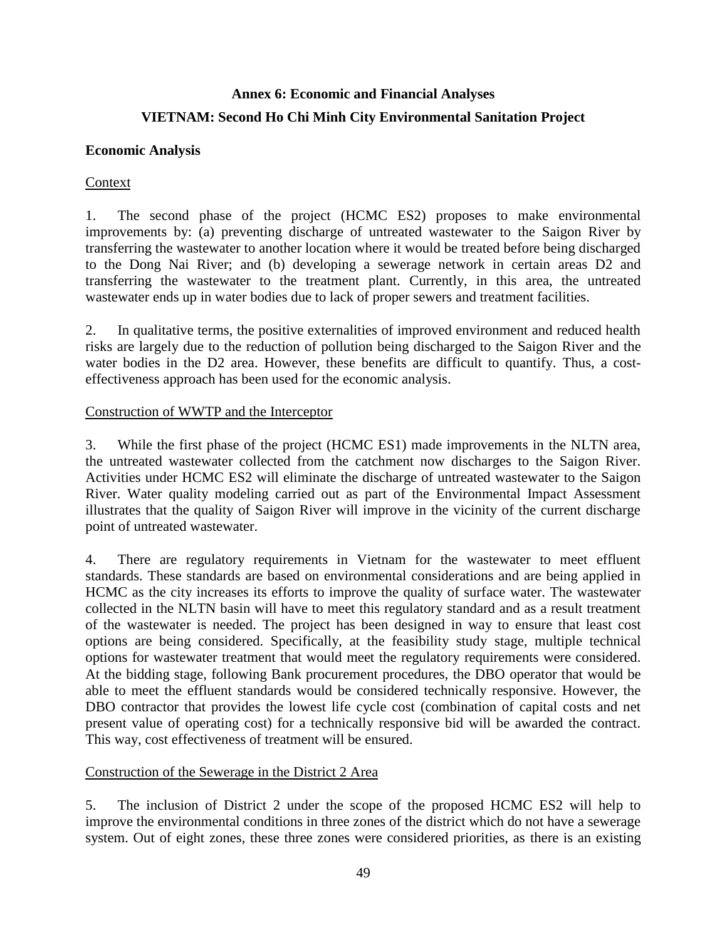# **Annex 6: Economic and Financial Analyses VIETNAM: Second Ho Chi Minh City Environmental Sanitation Project**

### **Economic Analysis**

## Context

1. The second phase of the project (HCMC ES2) proposes to make environmental improvements by: (a) preventing discharge of untreated wastewater to the Saigon River by transferring the wastewater to another location where it would be treated before being discharged to the Dong Nai River; and (b) developing a sewerage network in certain areas D2 and transferring the wastewater to the treatment plant. Currently, in this area, the untreated wastewater ends up in water bodies due to lack of proper sewers and treatment facilities.

2. In qualitative terms, the positive externalities of improved environment and reduced health risks are largely due to the reduction of pollution being discharged to the Saigon River and the water bodies in the D2 area. However, these benefits are difficult to quantify. Thus, a costeffectiveness approach has been used for the economic analysis.

#### Construction of WWTP and the Interceptor

3. While the first phase of the project (HCMC ES1) made improvements in the NLTN area, the untreated wastewater collected from the catchment now discharges to the Saigon River. Activities under HCMC ES2 will eliminate the discharge of untreated wastewater to the Saigon River. Water quality modeling carried out as part of the Environmental Impact Assessment illustrates that the quality of Saigon River will improve in the vicinity of the current discharge point of untreated wastewater.

4. There are regulatory requirements in Vietnam for the wastewater to meet effluent standards. These standards are based on environmental considerations and are being applied in HCMC as the city increases its efforts to improve the quality of surface water. The wastewater collected in the NLTN basin will have to meet this regulatory standard and as a result treatment of the wastewater is needed. The project has been designed in way to ensure that least cost options are being considered. Specifically, at the feasibility study stage, multiple technical options for wastewater treatment that would meet the regulatory requirements were considered. At the bidding stage, following Bank procurement procedures, the DBO operator that would be able to meet the effluent standards would be considered technically responsive. However, the DBO contractor that provides the lowest life cycle cost (combination of capital costs and net present value of operating cost) for a technically responsive bid will be awarded the contract. This way, cost effectiveness of treatment will be ensured.

#### Construction of the Sewerage in the District 2 Area

5. The inclusion of District 2 under the scope of the proposed HCMC ES2 will help to improve the environmental conditions in three zones of the district which do not have a sewerage system. Out of eight zones, these three zones were considered priorities, as there is an existing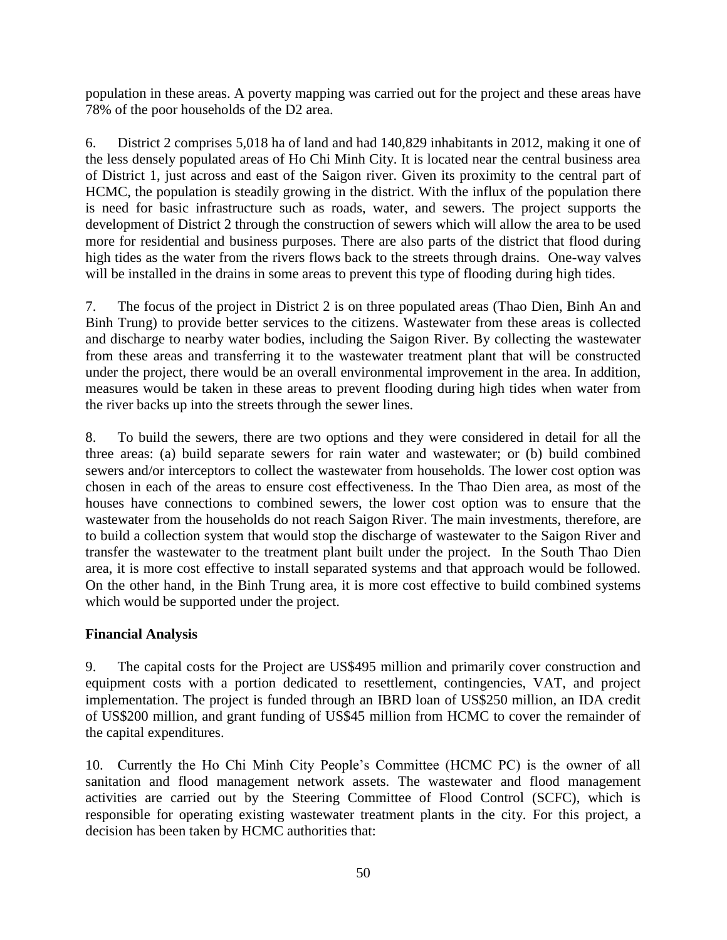population in these areas. A poverty mapping was carried out for the project and these areas have 78% of the poor households of the D2 area.

6. District 2 comprises 5,018 ha of land and had 140,829 inhabitants in 2012, making it one of the less densely populated areas of Ho Chi Minh City. It is located near the central business area of District 1, just across and east of the Saigon river. Given its proximity to the central part of HCMC, the population is steadily growing in the district. With the influx of the population there is need for basic infrastructure such as roads, water, and sewers. The project supports the development of District 2 through the construction of sewers which will allow the area to be used more for residential and business purposes. There are also parts of the district that flood during high tides as the water from the rivers flows back to the streets through drains. One-way valves will be installed in the drains in some areas to prevent this type of flooding during high tides.

7. The focus of the project in District 2 is on three populated areas (Thao Dien, Binh An and Binh Trung) to provide better services to the citizens. Wastewater from these areas is collected and discharge to nearby water bodies, including the Saigon River. By collecting the wastewater from these areas and transferring it to the wastewater treatment plant that will be constructed under the project, there would be an overall environmental improvement in the area. In addition, measures would be taken in these areas to prevent flooding during high tides when water from the river backs up into the streets through the sewer lines.

8. To build the sewers, there are two options and they were considered in detail for all the three areas: (a) build separate sewers for rain water and wastewater; or (b) build combined sewers and/or interceptors to collect the wastewater from households. The lower cost option was chosen in each of the areas to ensure cost effectiveness. In the Thao Dien area, as most of the houses have connections to combined sewers, the lower cost option was to ensure that the wastewater from the households do not reach Saigon River. The main investments, therefore, are to build a collection system that would stop the discharge of wastewater to the Saigon River and transfer the wastewater to the treatment plant built under the project. In the South Thao Dien area, it is more cost effective to install separated systems and that approach would be followed. On the other hand, in the Binh Trung area, it is more cost effective to build combined systems which would be supported under the project.

## **Financial Analysis**

9. The capital costs for the Project are US\$495 million and primarily cover construction and equipment costs with a portion dedicated to resettlement, contingencies, VAT, and project implementation. The project is funded through an IBRD loan of US\$250 million, an IDA credit of US\$200 million, and grant funding of US\$45 million from HCMC to cover the remainder of the capital expenditures.

10. Currently the Ho Chi Minh City People's Committee (HCMC PC) is the owner of all sanitation and flood management network assets. The wastewater and flood management activities are carried out by the Steering Committee of Flood Control (SCFC), which is responsible for operating existing wastewater treatment plants in the city. For this project, a decision has been taken by HCMC authorities that: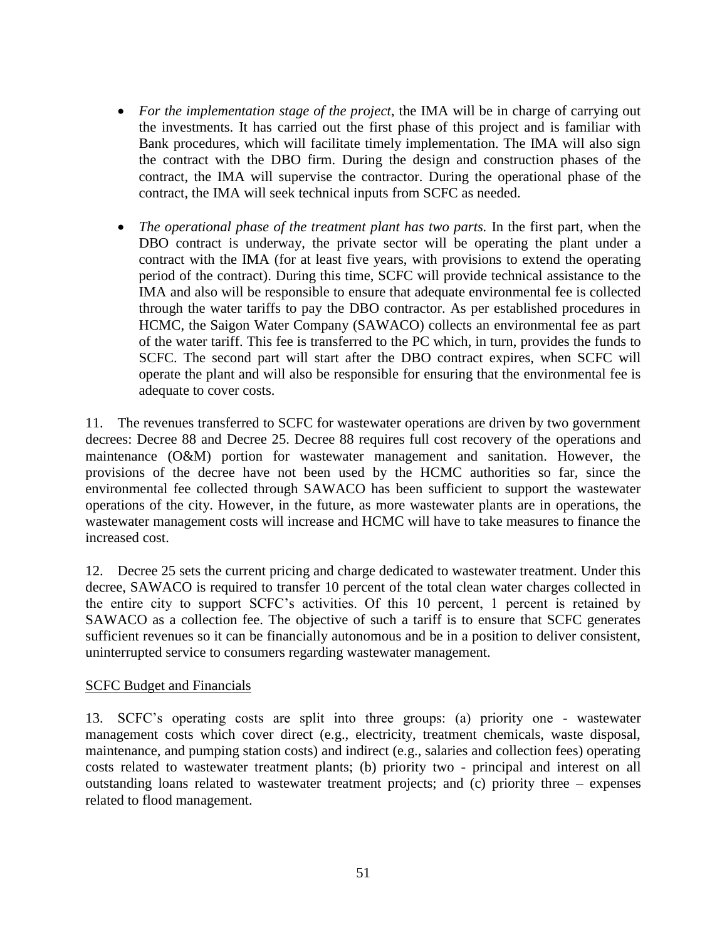- *For the implementation stage of the project*, the IMA will be in charge of carrying out the investments. It has carried out the first phase of this project and is familiar with Bank procedures, which will facilitate timely implementation. The IMA will also sign the contract with the DBO firm. During the design and construction phases of the contract, the IMA will supervise the contractor. During the operational phase of the contract, the IMA will seek technical inputs from SCFC as needed.
- *The operational phase of the treatment plant has two parts.* In the first part, when the DBO contract is underway, the private sector will be operating the plant under a contract with the IMA (for at least five years, with provisions to extend the operating period of the contract). During this time, SCFC will provide technical assistance to the IMA and also will be responsible to ensure that adequate environmental fee is collected through the water tariffs to pay the DBO contractor. As per established procedures in HCMC, the Saigon Water Company (SAWACO) collects an environmental fee as part of the water tariff. This fee is transferred to the PC which, in turn, provides the funds to SCFC. The second part will start after the DBO contract expires, when SCFC will operate the plant and will also be responsible for ensuring that the environmental fee is adequate to cover costs.

11. The revenues transferred to SCFC for wastewater operations are driven by two government decrees: Decree 88 and Decree 25. Decree 88 requires full cost recovery of the operations and maintenance (O&M) portion for wastewater management and sanitation. However, the provisions of the decree have not been used by the HCMC authorities so far, since the environmental fee collected through SAWACO has been sufficient to support the wastewater operations of the city. However, in the future, as more wastewater plants are in operations, the wastewater management costs will increase and HCMC will have to take measures to finance the increased cost.

12. Decree 25 sets the current pricing and charge dedicated to wastewater treatment. Under this decree, SAWACO is required to transfer 10 percent of the total clean water charges collected in the entire city to support SCFC's activities. Of this 10 percent, 1 percent is retained by SAWACO as a collection fee. The objective of such a tariff is to ensure that SCFC generates sufficient revenues so it can be financially autonomous and be in a position to deliver consistent, uninterrupted service to consumers regarding wastewater management.

#### SCFC Budget and Financials

13. SCFC's operating costs are split into three groups: (a) priority one - wastewater management costs which cover direct (e.g., electricity, treatment chemicals, waste disposal, maintenance, and pumping station costs) and indirect (e.g., salaries and collection fees) operating costs related to wastewater treatment plants; (b) priority two - principal and interest on all outstanding loans related to wastewater treatment projects; and (c) priority three – expenses related to flood management.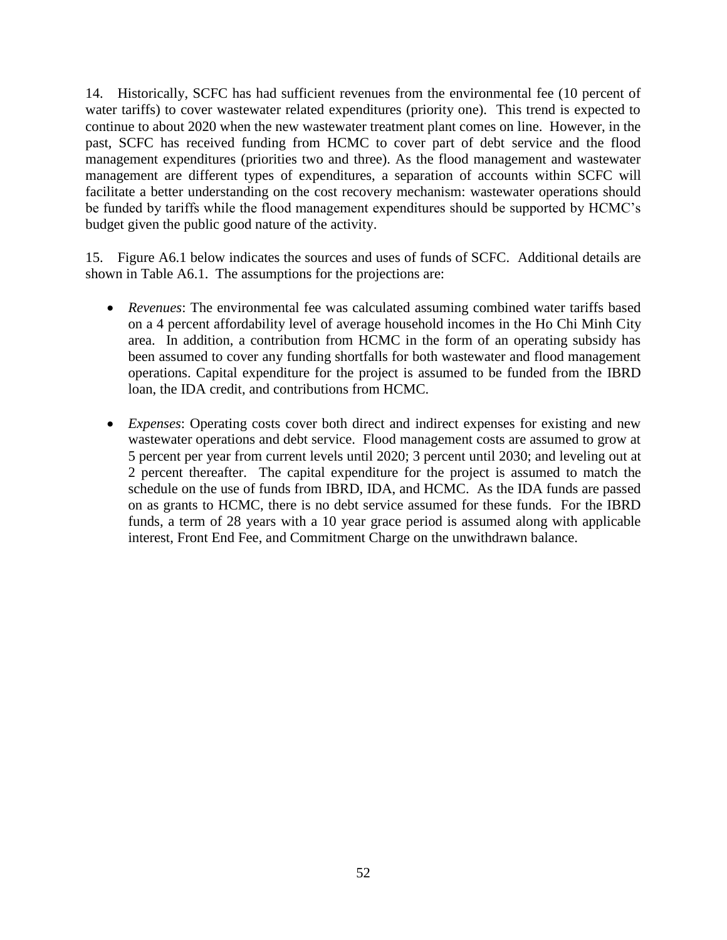14. Historically, SCFC has had sufficient revenues from the environmental fee (10 percent of water tariffs) to cover wastewater related expenditures (priority one). This trend is expected to continue to about 2020 when the new wastewater treatment plant comes on line. However, in the past, SCFC has received funding from HCMC to cover part of debt service and the flood management expenditures (priorities two and three). As the flood management and wastewater management are different types of expenditures, a separation of accounts within SCFC will facilitate a better understanding on the cost recovery mechanism: wastewater operations should be funded by tariffs while the flood management expenditures should be supported by HCMC's budget given the public good nature of the activity.

15. Figure A6.1 below indicates the sources and uses of funds of SCFC. Additional details are shown in Table A6.1. The assumptions for the projections are:

- *Revenues*: The environmental fee was calculated assuming combined water tariffs based on a 4 percent affordability level of average household incomes in the Ho Chi Minh City area. In addition, a contribution from HCMC in the form of an operating subsidy has been assumed to cover any funding shortfalls for both wastewater and flood management operations. Capital expenditure for the project is assumed to be funded from the IBRD loan, the IDA credit, and contributions from HCMC.
- *Expenses*: Operating costs cover both direct and indirect expenses for existing and new wastewater operations and debt service. Flood management costs are assumed to grow at 5 percent per year from current levels until 2020; 3 percent until 2030; and leveling out at 2 percent thereafter. The capital expenditure for the project is assumed to match the schedule on the use of funds from IBRD, IDA, and HCMC. As the IDA funds are passed on as grants to HCMC, there is no debt service assumed for these funds. For the IBRD funds, a term of 28 years with a 10 year grace period is assumed along with applicable interest, Front End Fee, and Commitment Charge on the unwithdrawn balance.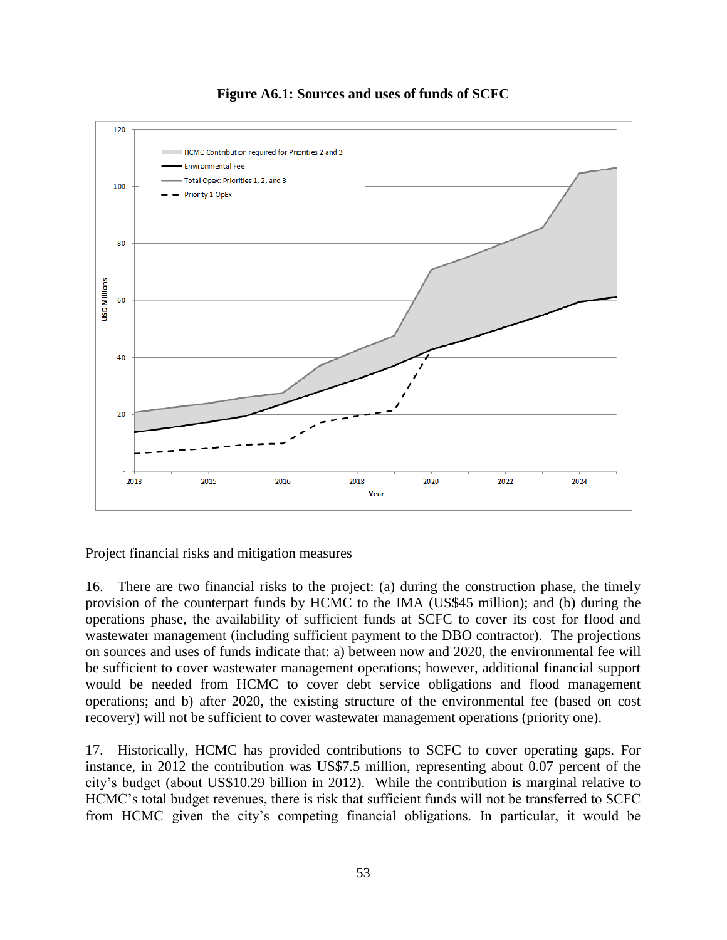



#### Project financial risks and mitigation measures

16. There are two financial risks to the project: (a) during the construction phase, the timely provision of the counterpart funds by HCMC to the IMA (US\$45 million); and (b) during the operations phase, the availability of sufficient funds at SCFC to cover its cost for flood and wastewater management (including sufficient payment to the DBO contractor). The projections on sources and uses of funds indicate that: a) between now and 2020, the environmental fee will be sufficient to cover wastewater management operations; however, additional financial support would be needed from HCMC to cover debt service obligations and flood management operations; and b) after 2020, the existing structure of the environmental fee (based on cost recovery) will not be sufficient to cover wastewater management operations (priority one).

17. Historically, HCMC has provided contributions to SCFC to cover operating gaps. For instance, in 2012 the contribution was US\$7.5 million, representing about 0.07 percent of the city's budget (about US\$10.29 billion in 2012). While the contribution is marginal relative to HCMC's total budget revenues, there is risk that sufficient funds will not be transferred to SCFC from HCMC given the city's competing financial obligations. In particular, it would be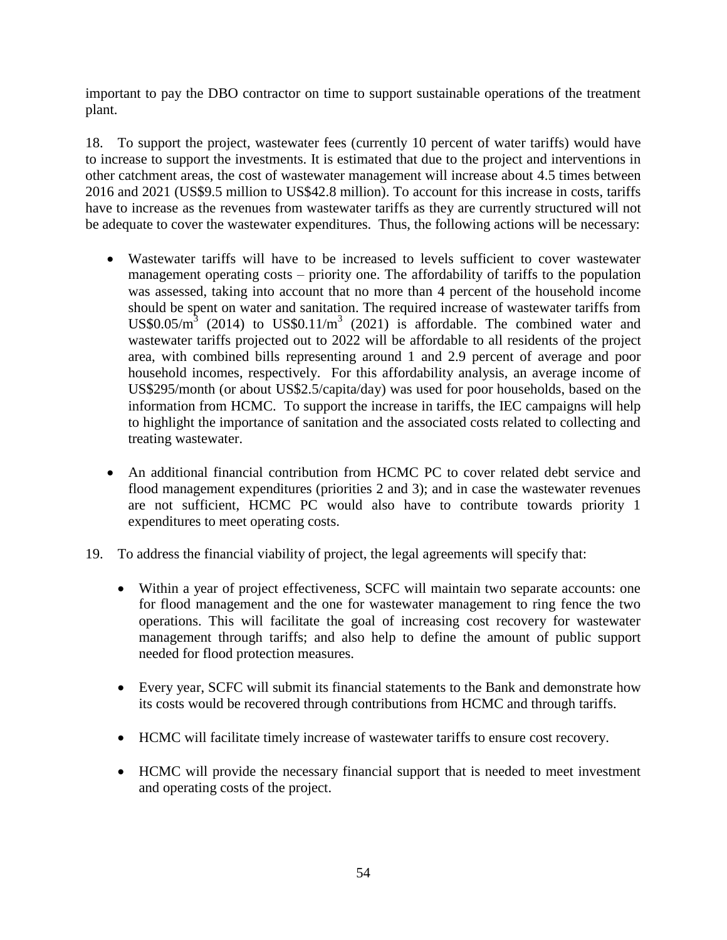important to pay the DBO contractor on time to support sustainable operations of the treatment plant.

18. To support the project, wastewater fees (currently 10 percent of water tariffs) would have to increase to support the investments. It is estimated that due to the project and interventions in other catchment areas, the cost of wastewater management will increase about 4.5 times between 2016 and 2021 (US\$9.5 million to US\$42.8 million). To account for this increase in costs, tariffs have to increase as the revenues from wastewater tariffs as they are currently structured will not be adequate to cover the wastewater expenditures. Thus, the following actions will be necessary:

- Wastewater tariffs will have to be increased to levels sufficient to cover wastewater management operating costs – priority one. The affordability of tariffs to the population was assessed, taking into account that no more than 4 percent of the household income should be spent on water and sanitation. The required increase of wastewater tariffs from US\$0.05/ $m^3$  (2014) to US\$0.11/ $m^3$  (2021) is affordable. The combined water and wastewater tariffs projected out to 2022 will be affordable to all residents of the project area, with combined bills representing around 1 and 2.9 percent of average and poor household incomes, respectively. For this affordability analysis, an average income of US\$295/month (or about US\$2.5/capita/day) was used for poor households, based on the information from HCMC. To support the increase in tariffs, the IEC campaigns will help to highlight the importance of sanitation and the associated costs related to collecting and treating wastewater.
- An additional financial contribution from HCMC PC to cover related debt service and flood management expenditures (priorities 2 and 3); and in case the wastewater revenues are not sufficient, HCMC PC would also have to contribute towards priority 1 expenditures to meet operating costs.
- 19. To address the financial viability of project, the legal agreements will specify that:
	- Within a year of project effectiveness, SCFC will maintain two separate accounts: one for flood management and the one for wastewater management to ring fence the two operations. This will facilitate the goal of increasing cost recovery for wastewater management through tariffs; and also help to define the amount of public support needed for flood protection measures.
	- Every year, SCFC will submit its financial statements to the Bank and demonstrate how its costs would be recovered through contributions from HCMC and through tariffs.
	- HCMC will facilitate timely increase of wastewater tariffs to ensure cost recovery.
	- HCMC will provide the necessary financial support that is needed to meet investment and operating costs of the project.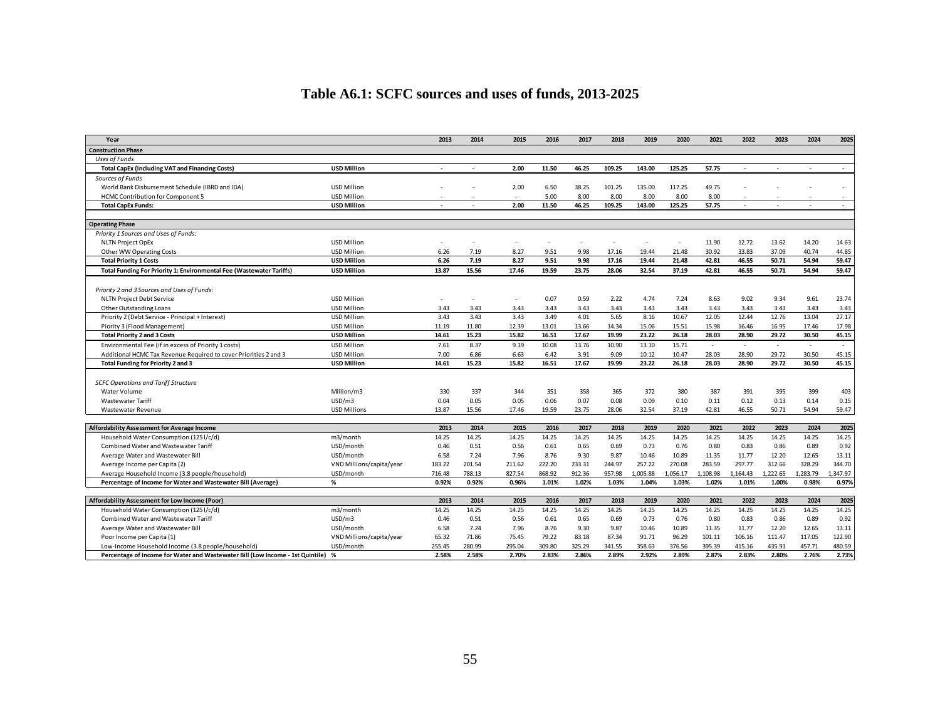# **Table A6.1: SCFC sources and uses of funds, 2013-2025**

| Year                                                                                                                                                                 |                                       | 2013                     | 2014                     | 2015                     | 2016                     | 2017                     | 2018                     | 2019                     | 2020                     | 2021                      | 2022                      | 2023                      | 2024                      | 2025                      |
|----------------------------------------------------------------------------------------------------------------------------------------------------------------------|---------------------------------------|--------------------------|--------------------------|--------------------------|--------------------------|--------------------------|--------------------------|--------------------------|--------------------------|---------------------------|---------------------------|---------------------------|---------------------------|---------------------------|
| <b>Construction Phase</b>                                                                                                                                            |                                       |                          |                          |                          |                          |                          |                          |                          |                          |                           |                           |                           |                           |                           |
| <b>Uses of Funds</b>                                                                                                                                                 |                                       |                          |                          |                          |                          |                          |                          |                          |                          |                           |                           |                           |                           |                           |
| <b>Total CapEx (including VAT and Financing Costs)</b>                                                                                                               | <b>USD Million</b>                    |                          |                          | 2.00                     | 11.50                    | 46.25                    | 109.25                   | 143.00                   | 125.25                   | 57.75                     |                           |                           | $\blacksquare$            | $\blacksquare$            |
| Sources of Funds                                                                                                                                                     |                                       |                          |                          |                          |                          |                          |                          |                          |                          |                           |                           |                           |                           |                           |
| World Bank Disbursement Schedule (IBRD and IDA)                                                                                                                      | <b>USD Million</b>                    |                          |                          | 2.00                     | 6.50                     | 38.25                    | 101.25                   | 135.00                   | 117.25                   | 49.75                     |                           |                           |                           |                           |
| <b>HCMC Contribution for Component 5</b>                                                                                                                             | <b>USD Million</b>                    |                          |                          |                          | 5.00                     | 8.00                     | 8.00                     | 8.00                     | 8.00                     | 8.00                      |                           |                           |                           |                           |
| <b>Total CapEx Funds:</b>                                                                                                                                            | <b>USD Million</b>                    |                          |                          | 2.00                     | 11.50                    | 46.25                    | 109.25                   | 143.00                   | 125.25                   | 57.75                     |                           |                           |                           |                           |
|                                                                                                                                                                      |                                       |                          |                          |                          |                          |                          |                          |                          |                          |                           |                           |                           |                           |                           |
| <b>Operating Phase</b>                                                                                                                                               |                                       |                          |                          |                          |                          |                          |                          |                          |                          |                           |                           |                           |                           |                           |
| Priority 1 Sources and Uses of Funds:                                                                                                                                |                                       |                          |                          |                          |                          |                          |                          |                          |                          |                           |                           |                           |                           |                           |
| <b>NLTN Project OpEx</b>                                                                                                                                             | <b>USD Million</b>                    | $\overline{\phantom{a}}$ |                          |                          |                          | $\overline{\phantom{a}}$ | $\overline{\phantom{a}}$ | $\overline{\phantom{a}}$ |                          | 11.90                     | 12.72                     | 13.62                     | 14.20                     | 14.63                     |
| Other WW Operating Costs                                                                                                                                             | <b>USD Million</b>                    | 6.26                     | 7.19                     | 8.27                     | 9.51                     | 9.98                     | 17.16                    | 19.44                    | 21.48                    | 30.92                     | 33.83                     | 37.09                     | 40.74                     | 44.85                     |
| <b>Total Priority 1 Costs</b>                                                                                                                                        | <b>USD Million</b>                    | 6.26                     | 7.19                     | 8.27                     | 9.51                     | 9.98                     | 17.16                    | 19.44                    | 21.48                    | 42.81                     | 46.55                     | 50.71                     | 54.94                     | 59.47                     |
| Total Funding For Priority 1: Environmental Fee (Wastewater Tariffs)                                                                                                 | <b>USD Million</b>                    | 13.87                    | 15.56                    | 17.46                    | 19.59                    | 23.75                    | 28.06                    | 32.54                    | 37.19                    | 42.81                     | 46.55                     | 50.71                     | 54.94                     | 59.47                     |
|                                                                                                                                                                      |                                       |                          |                          |                          |                          |                          |                          |                          |                          |                           |                           |                           |                           |                           |
| Priority 2 and 3 Sources and Uses of Funds:                                                                                                                          |                                       |                          |                          |                          |                          |                          |                          |                          |                          |                           |                           |                           |                           |                           |
| <b>NLTN Project Debt Service</b>                                                                                                                                     | <b>USD Million</b>                    | $\overline{\phantom{a}}$ |                          |                          | 0.07                     | 0.59                     | 2.22                     | 4.74                     | 7.24                     | 8.63                      | 9.02                      | 9.34                      | 9.61                      | 23.74                     |
| Other Outstanding Loans                                                                                                                                              | <b>USD Million</b>                    | 3.43                     | 3.43                     | 3.43                     | 3.43                     | 3.43                     | 3.43                     | 3.43                     | 3.43                     | 3.43                      | 3.43                      | 3.43                      | 3.43                      | 3.43                      |
| Priority 2 (Debt Service - Principal + Interest)                                                                                                                     | <b>USD Million</b>                    | 3.43                     | 3.43                     | 3.43                     | 3.49                     | 4.01                     | 5.65                     | 8.16                     | 10.67                    | 12.05                     | 12.44                     | 12.76                     | 13.04                     | 27.17                     |
| Piority 3 (Flood Management)                                                                                                                                         | <b>USD Million</b>                    | 11.19                    | 11.80                    | 12.39                    | 13.01                    | 13.66                    | 14.34                    | 15.06                    | 15.51                    | 15.98                     | 16.46                     | 16.95                     | 17.46                     | 17.98                     |
| <b>Total Priority 2 and 3 Costs</b>                                                                                                                                  | <b>USD Million</b>                    | 14.61                    | 15.23                    | 15.82                    | 16.51                    | 17.67                    | 19.99                    | 23.22                    | 26.18                    | 28.03                     | 28.90                     | 29.72                     | 30.50                     | 45.15                     |
| Environmental Fee (if in excess of Priority 1 costs)                                                                                                                 | <b>USD Million</b>                    | 7.61                     | 8.37                     | 9.19                     | 10.08                    | 13.76                    | 10.90                    | 13.10                    | 15.71                    | ÷                         | $\sim$                    | $\sim$                    | $\sim$                    | $\sim$                    |
| Additional HCMC Tax Revenue Required to cover Priorities 2 and 3                                                                                                     | <b>USD Million</b>                    | 7.00                     | 6.86                     | 6.63                     | 6.42                     | 3.91                     | 9.09                     | 10.12                    | 10.47                    | 28.03                     | 28.90                     | 29.72                     | 30.50                     | 45.15                     |
| Total Funding for Priority 2 and 3                                                                                                                                   | <b>USD Million</b>                    | 14.61                    | 15.23                    | 15.82                    | 16.51                    | 17.67                    | 19.99                    | 23.22                    | 26.18                    | 28.03                     | 28.90                     | 29.72                     | 30.50                     | 45.15                     |
|                                                                                                                                                                      |                                       |                          |                          |                          |                          |                          |                          |                          |                          |                           |                           |                           |                           |                           |
| <b>SCFC Operations and Tariff Structure</b>                                                                                                                          |                                       |                          |                          |                          |                          |                          |                          |                          |                          |                           |                           |                           |                           |                           |
| Water Volume                                                                                                                                                         | Million/m3                            | 330                      | 337                      | 344                      | 351                      | 358                      | 365                      | 372                      | 380                      | 387                       | 391                       | 395                       | 399                       | 403                       |
| Wastewater Tariff                                                                                                                                                    | USD/m3                                | 0.04                     | 0.05                     | 0.05                     | 0.06                     | 0.07                     | 0.08                     | 0.09                     | 0.10                     | 0.11                      | 0.12                      | 0.13                      | 0.14                      | 0.15                      |
| Wastewater Revenue                                                                                                                                                   | <b>USD Millions</b>                   | 13.87                    | 15.56                    | 17.46                    | 19.59                    | 23.75                    | 28.06                    | 32.54                    | 37.19                    | 42.81                     | 46.55                     | 50.71                     | 54.94                     | 59.47                     |
|                                                                                                                                                                      |                                       |                          |                          |                          |                          |                          |                          |                          |                          |                           |                           |                           |                           |                           |
| Affordability Assessment for Average Income                                                                                                                          |                                       | 2013                     | 2014                     | 2015                     | 2016                     | 2017                     | 2018                     | 2019                     | 2020                     | 2021                      | 2022                      | 2023                      | 2024                      | 2025                      |
| Household Water Consumption (1251/c/d)                                                                                                                               | m3/month                              | 14.25                    | 14.25                    | 14.25                    | 14.25                    | 14.25                    | 14.25                    | 14.25                    | 14.25                    | 14.25                     | 14.25                     | 14.25                     | 14.25                     | 14.25                     |
| Combined Water and Wastewater Tariff                                                                                                                                 | USD/month                             | 0.46                     | 0.51                     | 0.56                     | 0.61                     | 0.65                     | 0.69                     | 0.73                     | 0.76                     | 0.80                      | 0.83                      | 0.86                      | 0.89                      | 0.92                      |
| Average Water and Wastewater Bill                                                                                                                                    | USD/month                             | 6.58                     | 7.24                     | 7.96                     | 8.76                     | 9.30                     | 9.87                     | 10.46                    | 10.89                    | 11.35                     | 11.77                     | 12.20                     | 12.65                     | 13.11                     |
| Average Income per Capita (2)                                                                                                                                        | VND Millions/capita/year              | 183.22                   | 201.54                   | 211.62                   | 222.20                   | 233.31                   | 244.97                   | 257.22                   | 270.08                   | 283.59                    | 297.77                    | 312.66                    | 328.29                    | 344.70                    |
| Average Household Income (3.8 people/household)                                                                                                                      | USD/month                             | 716.48                   | 788.13                   | 827.54                   | 868.92                   | 912.36                   | 957.98                   | 1,005.88                 | 1,056.17                 | 1,108.98                  | 1,164.43                  | 1,222.65                  | 1,283.79                  | ,347.97                   |
| Percentage of Income for Water and Wastewater Bill (Average)                                                                                                         | $\%$                                  | 0.92%                    | 0.92%                    | 0.96%                    | 1.01%                    | 1.02%                    | 1.03%                    | 1.04%                    | 1.03%                    | 1.02%                     | 1.01%                     | 1.00%                     | 0.98%                     | 0.97%                     |
|                                                                                                                                                                      |                                       |                          |                          |                          |                          |                          |                          |                          |                          |                           |                           |                           |                           |                           |
| Affordability Assessment for Low Income (Poor)                                                                                                                       |                                       | 2013                     | 2014                     | 2015                     | 2016                     | 2017                     | 2018                     | 2019                     | 2020                     | 2021                      | 2022                      | 2023                      | 2024                      | 2025                      |
| Household Water Consumption (1251/c/d)                                                                                                                               | m3/month                              | 14.25                    | 14.25                    | 14.25                    | 14.25                    | 14.25                    | 14.25                    | 14.25                    | 14.25                    | 14.25                     | 14.25                     | 14.25                     | 14.25                     | 14.25                     |
| <b>Combined Water and Wastewater Tariff</b>                                                                                                                          | USD/m3                                | 0.46                     | 0.51                     | 0.56                     | 0.61                     | 0.65                     | 0.69                     | 0.73                     | 0.76                     | 0.80                      | 0.83                      | 0.86                      | 0.89                      | 0.92                      |
| Average Water and Wastewater Bill                                                                                                                                    | USD/month                             | 6.58                     | 7.24                     | 7.96                     | 8.76                     | 9.30                     | 9.87                     | 10.46                    | 10.89                    | 11.35                     | 11.77                     | 12.20                     | 12.65                     | 13.11                     |
|                                                                                                                                                                      |                                       |                          |                          |                          |                          |                          |                          |                          |                          |                           |                           |                           |                           |                           |
|                                                                                                                                                                      |                                       |                          |                          |                          |                          |                          |                          |                          |                          |                           |                           |                           |                           |                           |
| Poor Income per Capita (1)<br>Low-Income Household Income (3.8 people/household)<br>Percentage of Income for Water and Wastewater Bill (Low Income - 1st Quintile) % | VND Millions/capita/year<br>USD/month | 65.32<br>255.45<br>2.58% | 71.86<br>280.99<br>2.58% | 75.45<br>295.04<br>2.70% | 79.22<br>309.80<br>2.83% | 83.18<br>325.29<br>2.86% | 87.34<br>341.55<br>2.89% | 91.71<br>358.63<br>2.92% | 96.29<br>376.56<br>2.89% | 101.11<br>395.39<br>2.87% | 106.16<br>415.16<br>2.83% | 111.47<br>435.91<br>2.80% | 117.05<br>457.71<br>2.76% | 122.90<br>480.59<br>2.73% |